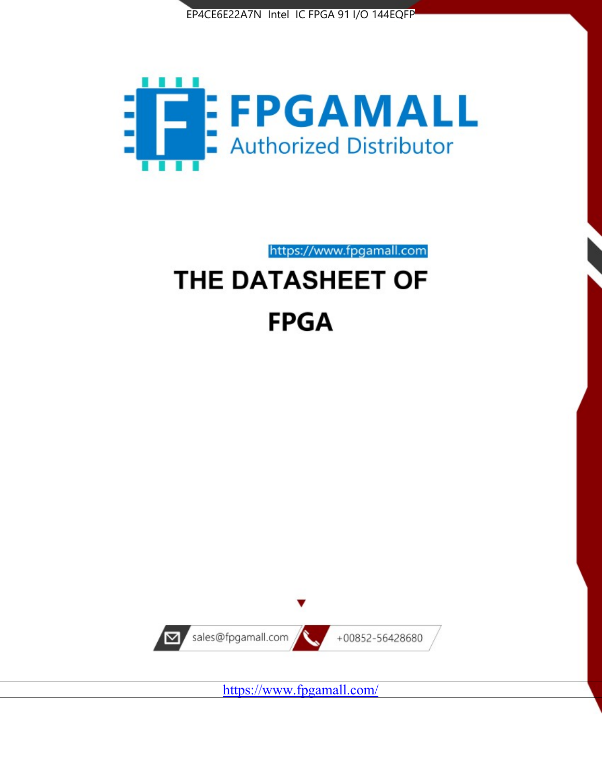



https://www.fpgamall.com

# THE DATASHEET OF **FPGA**



<https://www.fpgamall.com/>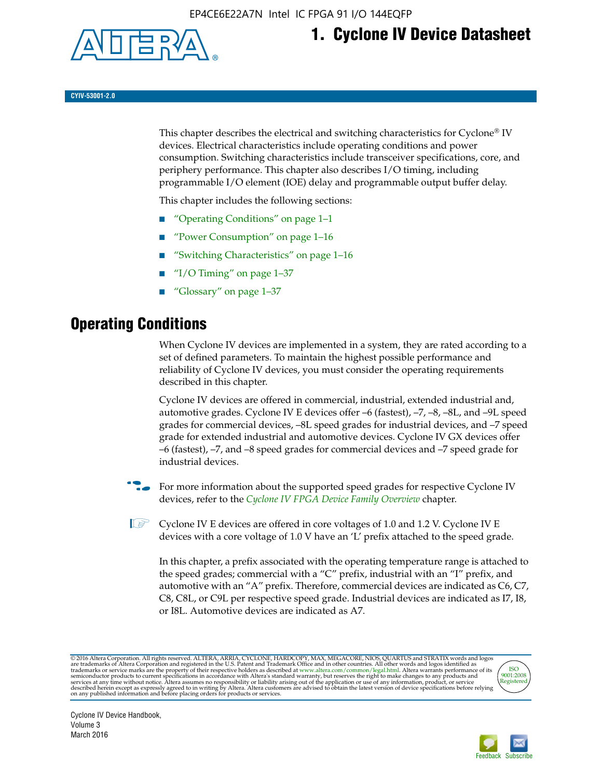

## **1. Cyclone IV Device Datasheet**

**CYIV-53001-2.0**

This chapter describes the electrical and switching characteristics for Cyclone<sup>®</sup> IV devices. Electrical characteristics include operating conditions and power consumption. Switching characteristics include transceiver specifications, core, and periphery performance. This chapter also describes I/O timing, including programmable I/O element (IOE) delay and programmable output buffer delay.

This chapter includes the following sections:

- "Operating Conditions" on page 1–1
- "Power Consumption" on page 1–16
- "Switching Characteristics" on page 1–16
- "I/O Timing" on page  $1-37$
- "Glossary" on page 1–37

## **Operating Conditions**

When Cyclone IV devices are implemented in a system, they are rated according to a set of defined parameters. To maintain the highest possible performance and reliability of Cyclone IV devices, you must consider the operating requirements described in this chapter.

Cyclone IV devices are offered in commercial, industrial, extended industrial and, automotive grades. Cyclone IV E devices offer –6 (fastest), –7, –8, –8L, and –9L speed grades for commercial devices, –8L speed grades for industrial devices, and –7 speed grade for extended industrial and automotive devices. Cyclone IV GX devices offer –6 (fastest), –7, and –8 speed grades for commercial devices and –7 speed grade for industrial devices.

**For more information about the supported speed grades for respective Cyclone IV** devices, refer to the *[Cyclone IV FPGA Device Family Overview](http://www.altera.com/literature/hb/cyclone-iv/cyiv-51001.pdf)* chapter.

**1** Cyclone IV E devices are offered in core voltages of 1.0 and 1.2 V. Cyclone IV E devices with a core voltage of 1.0 V have an 'L' prefix attached to the speed grade.

In this chapter, a prefix associated with the operating temperature range is attached to the speed grades; commercial with a "C" prefix, industrial with an "I" prefix, and automotive with an "A" prefix. Therefore, commercial devices are indicated as C6, C7, C8, C8L, or C9L per respective speed grade. Industrial devices are indicated as I7, I8, or I8L. Automotive devices are indicated as A7.

@2016 Altera Corporation. All rights reserved. ALTERA, ARRIA, CYCLONE, HARDCOPY, MAX, MEGACORE, NIOS, QUARTUS and STRATIX words and logos are trademarks of Altera Corporation and registered in the U.S. Patent and Trademark



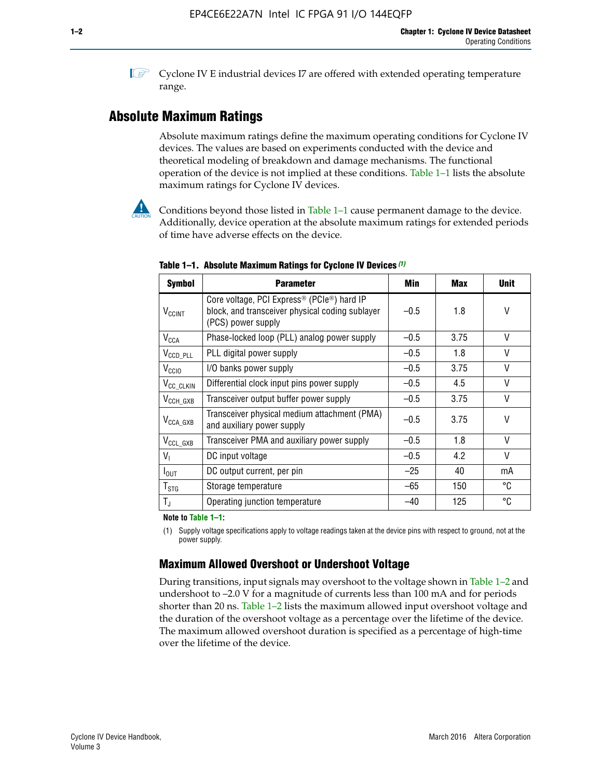**1 Cyclone IV E industrial devices I7 are offered with extended operating temperature** range.

## **Absolute Maximum Ratings**

Absolute maximum ratings define the maximum operating conditions for Cyclone IV devices. The values are based on experiments conducted with the device and theoretical modeling of breakdown and damage mechanisms. The functional operation of the device is not implied at these conditions. Table 1–1 lists the absolute maximum ratings for Cyclone IV devices.

Conditions beyond those listed in Table  $1-1$  cause permanent damage to the device. Additionally, device operation at the absolute maximum ratings for extended periods of time have adverse effects on the device.

| <b>Symbol</b>            | <b>Parameter</b>                                                                                                                | Min    | <b>Max</b> | <b>Unit</b> |
|--------------------------|---------------------------------------------------------------------------------------------------------------------------------|--------|------------|-------------|
| <b>V<sub>CCINT</sub></b> | Core voltage, PCI Express <sup>®</sup> (PCIe®) hard IP<br>block, and transceiver physical coding sublayer<br>(PCS) power supply | $-0.5$ | 1.8        | ۷           |
| $V_{CCA}$                | Phase-locked loop (PLL) analog power supply                                                                                     | $-0.5$ | 3.75       | V           |
| $V_{CCD\_PLL}$           | PLL digital power supply                                                                                                        | $-0.5$ | 1.8        | V           |
| V <sub>CCIO</sub>        | I/O banks power supply                                                                                                          | $-0.5$ | 3.75       | V           |
| V <sub>CC_CLKIN</sub>    | Differential clock input pins power supply                                                                                      | $-0.5$ | 4.5        | V           |
| $V_{\text{CCH_GXB}}$     | Transceiver output buffer power supply                                                                                          | $-0.5$ | 3.75       | $\vee$      |
| $V_{\text{CCA\_GXB}}$    | Transceiver physical medium attachment (PMA)<br>and auxiliary power supply                                                      | $-0.5$ | 3.75       | V           |
| $V_{CCL_GXB}$            | Transceiver PMA and auxiliary power supply                                                                                      | $-0.5$ | 1.8        | V           |
| $V_{1}$                  | DC input voltage                                                                                                                | $-0.5$ | 4.2        | V           |
| $I_{\text{OUT}}$         | DC output current, per pin                                                                                                      | $-25$  | 40         | mA          |
| $T_{\tt STG}$            | Storage temperature                                                                                                             | $-65$  | 150        | °C          |
| $T_{\rm J}$              | Operating junction temperature                                                                                                  | $-40$  | 125        | ℃           |

**Table 1–1. Absolute Maximum Ratings for Cyclone IV Devices** *(1)*

**Note to Table 1–1:**

(1) Supply voltage specifications apply to voltage readings taken at the device pins with respect to ground, not at the power supply.

## **Maximum Allowed Overshoot or Undershoot Voltage**

During transitions, input signals may overshoot to the voltage shown in Table 1–2 and undershoot to –2.0 V for a magnitude of currents less than 100 mA and for periods shorter than 20 ns. Table 1–2 lists the maximum allowed input overshoot voltage and the duration of the overshoot voltage as a percentage over the lifetime of the device. The maximum allowed overshoot duration is specified as a percentage of high-time over the lifetime of the device.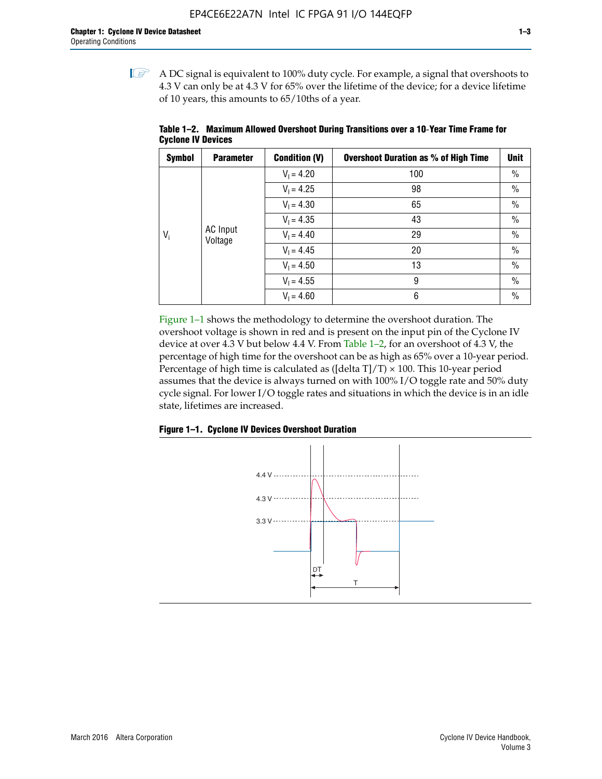$\mathbb{I}$  A DC signal is equivalent to 100% duty cycle. For example, a signal that overshoots to 4.3 V can only be at 4.3 V for 65% over the lifetime of the device; for a device lifetime of 10 years, this amounts to 65/10ths of a year.

| <b>Symbol</b> | <b>Parameter</b> | <b>Condition (V)</b> | <b>Overshoot Duration as % of High Time</b> | <b>Unit</b>   |      |
|---------------|------------------|----------------------|---------------------------------------------|---------------|------|
|               |                  | $V_1 = 4.20$         | 100                                         | $\%$          |      |
|               |                  | $V_1 = 4.25$         | 98                                          | $\%$          |      |
|               |                  | $V_1 = 4.30$         | 65                                          | $\%$          |      |
|               |                  | $V_1 = 4.35$         | 43                                          | $\%$          |      |
| $V_i$         | AC Input         | Voltage              | $V_1 = 4.40$                                | 29            | $\%$ |
|               |                  | $V_1 = 4.45$         | 20                                          | $\%$          |      |
|               |                  | $V_1 = 4.50$         | 13                                          | $\%$          |      |
|               |                  | $V_1 = 4.55$         | 9                                           | $\frac{0}{0}$ |      |
|               |                  | $V_1 = 4.60$         | 6                                           | $\%$          |      |

**Table 1–2. Maximum Allowed Overshoot During Transitions over a 10**-**Year Time Frame for Cyclone IV Devices**

Figure 1–1 shows the methodology to determine the overshoot duration. The overshoot voltage is shown in red and is present on the input pin of the Cyclone IV device at over 4.3 V but below 4.4 V. From Table 1–2, for an overshoot of 4.3 V, the percentage of high time for the overshoot can be as high as 65% over a 10-year period. Percentage of high time is calculated as ([delta  $T$ ]/T)  $\times$  100. This 10-year period assumes that the device is always turned on with 100% I/O toggle rate and 50% duty cycle signal. For lower I/O toggle rates and situations in which the device is in an idle state, lifetimes are increased.



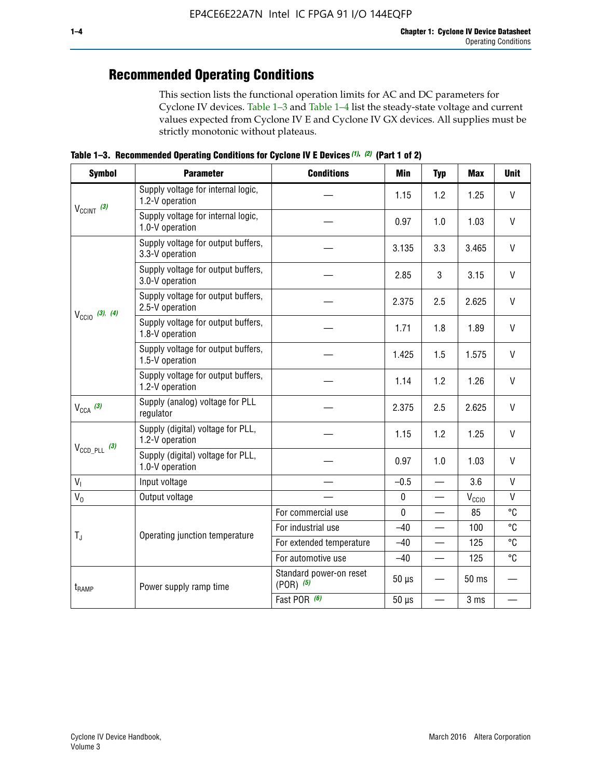## **Recommended Operating Conditions**

This section lists the functional operation limits for AC and DC parameters for Cyclone IV devices. Table 1–3 and Table 1–4 list the steady-state voltage and current values expected from Cyclone IV E and Cyclone IV GX devices. All supplies must be strictly monotonic without plateaus.

**Table 1–3. Recommended Operating Conditions for Cyclone IV E Devices** *(1)***,** *(2)* **(Part 1 of 2)**

| <b>Symbol</b>                                                                                                                                              | <b>Parameter</b>                                      | <b>Conditions</b>                                                                                                                                                                                                                                                                                                                                                                                                                                                                                                                                                                                                                                                                 | <b>Min</b> | <b>Typ</b> | <b>Max</b> | <b>Unit</b>  |
|------------------------------------------------------------------------------------------------------------------------------------------------------------|-------------------------------------------------------|-----------------------------------------------------------------------------------------------------------------------------------------------------------------------------------------------------------------------------------------------------------------------------------------------------------------------------------------------------------------------------------------------------------------------------------------------------------------------------------------------------------------------------------------------------------------------------------------------------------------------------------------------------------------------------------|------------|------------|------------|--------------|
|                                                                                                                                                            | Supply voltage for internal logic,<br>1.2-V operation |                                                                                                                                                                                                                                                                                                                                                                                                                                                                                                                                                                                                                                                                                   | 1.15       | 1.2        | 1.25       | $\mathsf{V}$ |
|                                                                                                                                                            | Supply voltage for internal logic,<br>1.0-V operation |                                                                                                                                                                                                                                                                                                                                                                                                                                                                                                                                                                                                                                                                                   | 0.97       | 1.0        | 1.03       | $\mathsf{V}$ |
|                                                                                                                                                            | Supply voltage for output buffers,<br>3.3-V operation |                                                                                                                                                                                                                                                                                                                                                                                                                                                                                                                                                                                                                                                                                   | 3.135      | 3.3        | 3.465      | $\vee$       |
| $V_{CClNT}$ (3)<br>$V_{\text{CC10}}$ (3), (4)<br>$V_{CCA}$ (3)<br>$V_{\text{CCD\_PLL}}$ (3)<br>V <sub>1</sub><br>$V_0$<br>$T_{\rm J}$<br>t <sub>RAMP</sub> | Supply voltage for output buffers,<br>3.0-V operation |                                                                                                                                                                                                                                                                                                                                                                                                                                                                                                                                                                                                                                                                                   | 2.85       | 3          | 3.15       | V            |
|                                                                                                                                                            | Supply voltage for output buffers,<br>2.5-V operation | $\vee$<br>2.375<br>2.5<br>2.625<br>V<br>1.8<br>1.89<br>1.71<br>$\vee$<br>1.425<br>1.5<br>1.575<br>1.2<br>$\mathsf{V}$<br>1.14<br>1.26<br>$\vee$<br>2.375<br>2.5<br>2.625<br>V<br>1.15<br>1.2<br>1.25<br>$\vee$<br>0.97<br>1.0<br>1.03<br>$\mathsf{V}$<br>$-0.5$<br>3.6<br>$\overline{\phantom{0}}$<br>$\mathsf{V}$<br>$\pmb{0}$<br>$V_{\rm CClO}$<br>—<br>$\mathbf 0$<br>85<br>For commercial use<br>For industrial use<br>$-40$<br>100<br>125<br>For extended temperature<br>$-40$<br>For automotive use<br>$-40$<br>125<br>$\qquad \qquad$<br>Standard power-on reset<br>$50 \mu s$<br>50 ms<br>$(POR)$ $(5)$<br>Fast POR (6)<br>$50 \mu s$<br>3 ms<br>$\overline{\phantom{0}}$ |            |            |            |              |
|                                                                                                                                                            | Supply voltage for output buffers,<br>1.8-V operation |                                                                                                                                                                                                                                                                                                                                                                                                                                                                                                                                                                                                                                                                                   |            |            |            |              |
|                                                                                                                                                            | Supply voltage for output buffers,<br>1.5-V operation |                                                                                                                                                                                                                                                                                                                                                                                                                                                                                                                                                                                                                                                                                   |            |            |            |              |
|                                                                                                                                                            | Supply voltage for output buffers,<br>1.2-V operation |                                                                                                                                                                                                                                                                                                                                                                                                                                                                                                                                                                                                                                                                                   |            |            |            |              |
|                                                                                                                                                            | Supply (analog) voltage for PLL<br>regulator          |                                                                                                                                                                                                                                                                                                                                                                                                                                                                                                                                                                                                                                                                                   |            |            |            |              |
|                                                                                                                                                            | Supply (digital) voltage for PLL,<br>1.2-V operation  |                                                                                                                                                                                                                                                                                                                                                                                                                                                                                                                                                                                                                                                                                   |            |            |            |              |
|                                                                                                                                                            | Supply (digital) voltage for PLL,<br>1.0-V operation  |                                                                                                                                                                                                                                                                                                                                                                                                                                                                                                                                                                                                                                                                                   |            |            |            |              |
|                                                                                                                                                            | Input voltage                                         |                                                                                                                                                                                                                                                                                                                                                                                                                                                                                                                                                                                                                                                                                   |            |            |            |              |
|                                                                                                                                                            | Output voltage                                        |                                                                                                                                                                                                                                                                                                                                                                                                                                                                                                                                                                                                                                                                                   |            |            |            |              |
|                                                                                                                                                            |                                                       |                                                                                                                                                                                                                                                                                                                                                                                                                                                                                                                                                                                                                                                                                   |            |            |            | °C           |
|                                                                                                                                                            | Operating junction temperature                        |                                                                                                                                                                                                                                                                                                                                                                                                                                                                                                                                                                                                                                                                                   |            |            |            | °C           |
|                                                                                                                                                            |                                                       |                                                                                                                                                                                                                                                                                                                                                                                                                                                                                                                                                                                                                                                                                   |            |            |            | °C           |
|                                                                                                                                                            |                                                       |                                                                                                                                                                                                                                                                                                                                                                                                                                                                                                                                                                                                                                                                                   |            |            |            | °C           |
|                                                                                                                                                            | Power supply ramp time                                |                                                                                                                                                                                                                                                                                                                                                                                                                                                                                                                                                                                                                                                                                   |            |            |            |              |
|                                                                                                                                                            |                                                       |                                                                                                                                                                                                                                                                                                                                                                                                                                                                                                                                                                                                                                                                                   |            |            |            |              |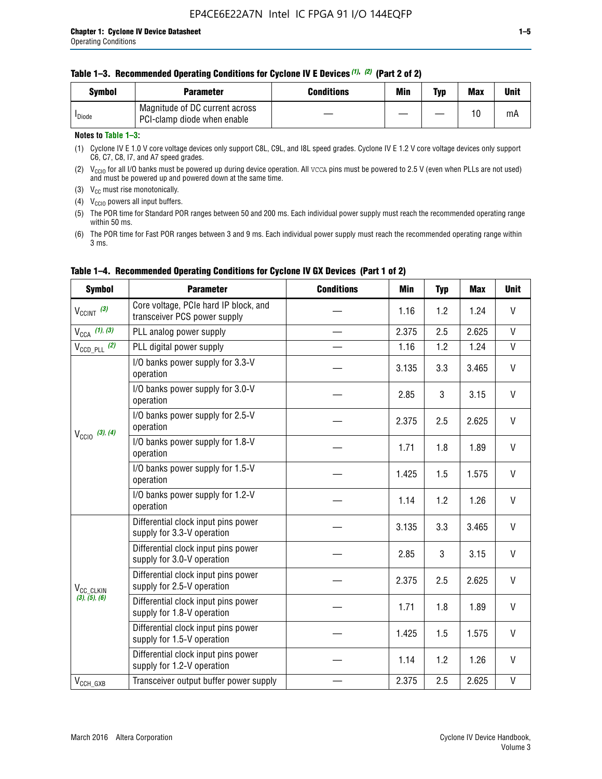#### **Table 1–3. Recommended Operating Conditions for Cyclone IV E Devices** *(1)***,** *(2)* **(Part 2 of 2)**

| <b>Symbol</b>      | <b>Parameter</b>                                              | <b>Conditions</b> | Min | Typ | <b>Max</b> | Unit |
|--------------------|---------------------------------------------------------------|-------------------|-----|-----|------------|------|
| <sup>I</sup> Diode | Magnitude of DC current across<br>PCI-clamp diode when enable |                   |     |     | 10         | mA   |

#### **Notes to Table 1–3:**

(1) Cyclone IV E 1.0 V core voltage devices only support C8L, C9L, and I8L speed grades. Cyclone IV E 1.2 V core voltage devices only support C6, C7, C8, I7, and A7 speed grades.

(2)  $V_{CCIO}$  for all I/O banks must be powered up during device operation. All vcca pins must be powered to 2.5 V (even when PLLs are not used) and must be powered up and powered down at the same time.

(3)  $V_{CC}$  must rise monotonically.

(4)  $V_{\text{CCIO}}$  powers all input buffers.

(5) The POR time for Standard POR ranges between 50 and 200 ms. Each individual power supply must reach the recommended operating range within 50 ms.

(6) The POR time for Fast POR ranges between 3 and 9 ms. Each individual power supply must reach the recommended operating range within 3 ms.

| <b>Symbol</b>                                                                                                                                                                                                                                                                                                                                                                                                                                                                                     | <b>Parameter</b>                                                      | <b>Conditions</b> | <b>Min</b> | <b>Typ</b> | <b>Max</b> | <b>Unit</b>  |
|---------------------------------------------------------------------------------------------------------------------------------------------------------------------------------------------------------------------------------------------------------------------------------------------------------------------------------------------------------------------------------------------------------------------------------------------------------------------------------------------------|-----------------------------------------------------------------------|-------------------|------------|------------|------------|--------------|
| $V_{\text{CCINT}}$ (3)                                                                                                                                                                                                                                                                                                                                                                                                                                                                            | Core voltage, PCIe hard IP block, and<br>transceiver PCS power supply |                   | 1.16       | 1.2        | 1.24       | V            |
| $V_{CCA}$ (1), (3)                                                                                                                                                                                                                                                                                                                                                                                                                                                                                | PLL analog power supply                                               |                   | 2.375      | 2.5        | 2.625      | V            |
| $V_{\text{CCD\_PLL}}$ (2)                                                                                                                                                                                                                                                                                                                                                                                                                                                                         | PLL digital power supply                                              |                   | 1.16       | 1.2        | 1.24       | $\mathsf{V}$ |
|                                                                                                                                                                                                                                                                                                                                                                                                                                                                                                   | I/O banks power supply for 3.3-V<br>operation                         |                   | 3.135      | 3.3        | 3.465      | V            |
| operation<br>operation<br>$V_{\text{CC10}}$ (3), (4)<br>operation<br>operation<br>operation<br>supply for 3.3-V operation                                                                                                                                                                                                                                                                                                                                                                         | I/O banks power supply for 3.0-V                                      |                   | 2.85       | 3          | 3.15       | V            |
|                                                                                                                                                                                                                                                                                                                                                                                                                                                                                                   | I/O banks power supply for 2.5-V                                      |                   | 2.375      | 2.5        | 2.625      | V            |
|                                                                                                                                                                                                                                                                                                                                                                                                                                                                                                   | I/O banks power supply for 1.8-V                                      |                   | 1.71       | 1.8        | 1.89       | V            |
|                                                                                                                                                                                                                                                                                                                                                                                                                                                                                                   | I/O banks power supply for 1.5-V                                      |                   | 1.425      | 1.5        | 1.575      | V            |
|                                                                                                                                                                                                                                                                                                                                                                                                                                                                                                   | I/O banks power supply for 1.2-V                                      |                   | 1.14       | 1.2        | 1.26       | $\mathsf{V}$ |
| Differential clock input pins power<br>Differential clock input pins power<br>supply for 3.0-V operation<br>Differential clock input pins power<br>supply for 2.5-V operation<br>V <sub>CC_CLKIN</sub><br>(3), (5), (6)<br>Differential clock input pins power<br>supply for 1.8-V operation<br>Differential clock input pins power<br>supply for 1.5-V operation<br>Differential clock input pins power<br>supply for 1.2-V operation<br>$V_{CCH_GXB}$<br>Transceiver output buffer power supply |                                                                       |                   | 3.135      | 3.3        | 3.465      | V            |
|                                                                                                                                                                                                                                                                                                                                                                                                                                                                                                   | 2.85                                                                  | 3                 | 3.15       | V          |            |              |
|                                                                                                                                                                                                                                                                                                                                                                                                                                                                                                   |                                                                       |                   | 2.375      | 2.5        | 2.625      | V            |
|                                                                                                                                                                                                                                                                                                                                                                                                                                                                                                   |                                                                       |                   | 1.71       | 1.8        | 1.89       | V            |
|                                                                                                                                                                                                                                                                                                                                                                                                                                                                                                   |                                                                       |                   | 1.425      | 1.5        | 1.575      | V            |
|                                                                                                                                                                                                                                                                                                                                                                                                                                                                                                   |                                                                       |                   | 1.14       | 1.2        | 1.26       | V            |
|                                                                                                                                                                                                                                                                                                                                                                                                                                                                                                   |                                                                       |                   | 2.375      | 2.5        | 2.625      | $\mathsf{V}$ |

### **Table 1–4. Recommended Operating Conditions for Cyclone IV GX Devices (Part 1 of 2)**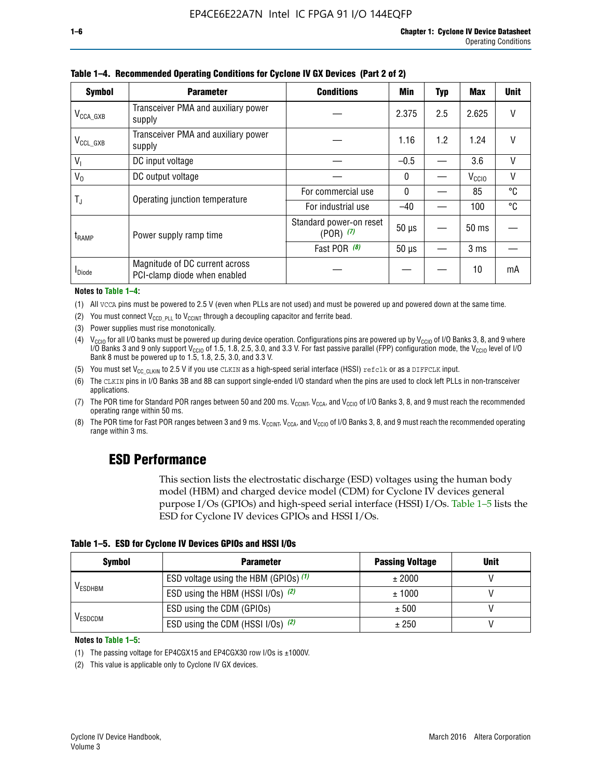| <b>Symbol</b>         | <b>Parameter</b>                                               | <b>Conditions</b>                        | <b>Min</b>   | <b>Typ</b> | <b>Max</b>        | <b>Unit</b> |
|-----------------------|----------------------------------------------------------------|------------------------------------------|--------------|------------|-------------------|-------------|
| $V_{\text{CCA\_GXB}}$ | Transceiver PMA and auxiliary power<br>supply                  |                                          | 2.375        | 2.5        | 2.625             | V           |
| $V_{\rm CCL\_GXB}$    | Transceiver PMA and auxiliary power<br>supply                  |                                          | 1.16         | 1.2        | 1.24              | V           |
| V <sub>1</sub>        | DC input voltage                                               |                                          | $-0.5$       |            | 3.6               | $\vee$      |
| $V_0$                 | DC output voltage                                              |                                          | $\mathbf{0}$ |            | V <sub>CCIO</sub> | V           |
|                       | Operating junction temperature                                 | For commercial use                       | $\mathbf{0}$ |            | 85                | °C          |
| T,                    |                                                                | For industrial use                       | $-40$        |            | 100               | °C          |
| t <sub>RAMP</sub>     | Power supply ramp time                                         | Standard power-on reset<br>$(POR)$ $(7)$ | $50 \mu s$   |            | $50$ ms           |             |
|                       |                                                                | Fast POR (8)                             | $50 \mu s$   |            | 3 ms              |             |
| <sup>I</sup> Diode    | Magnitude of DC current across<br>PCI-clamp diode when enabled |                                          |              |            | 10                | mA          |

**Table 1–4. Recommended Operating Conditions for Cyclone IV GX Devices (Part 2 of 2)**

#### **Notes to Table 1–4:**

- (1) All VCCA pins must be powered to 2.5 V (even when PLLs are not used) and must be powered up and powered down at the same time.
- (2) You must connect  $V_{CCD\_PLL}$  to  $V_{CCINT}$  through a decoupling capacitor and ferrite bead.
- (3) Power supplies must rise monotonically.
- (4)  $V_{\text{CCIO}}$  for all I/O banks must be powered up during device operation. Configurations pins are powered up by V<sub>CCIO</sub> of I/O Banks 3, 8, and 9 where I/O Banks 3 and 9 only support V<sub>CCIO</sub> of 1.5, 1.8, 2.5, 3.0, and 3.3 V. For fast passive parallel (FPP) configuration mode, the V<sub>CCIO</sub> level of I/O<br>Bank 8 must be powered up to 1.5, 1.8, 2.5, 3.0, and 3.3 V.
- (5) You must set  $V_{CC_CCLKIN}$  to 2.5 V if you use CLKIN as a high-speed serial interface (HSSI) refclk or as a DIFFCLK input.
- (6) The CLKIN pins in I/O Banks 3B and 8B can support single-ended I/O standard when the pins are used to clock left PLLs in non-transceiver applications.
- (7) The POR time for Standard POR ranges between 50 and 200 ms.  $V_{\text{CCIA}}$ ,  $V_{\text{CCIA}}$ , and  $V_{\text{CCIO}}$  of I/O Banks 3, 8, and 9 must reach the recommended operating range within 50 ms.
- (8) The POR time for Fast POR ranges between 3 and 9 ms.  $V_{\text{CCH},T}$ ,  $V_{\text{CCA}}$ , and  $V_{\text{CCI}}$  of I/O Banks 3, 8, and 9 must reach the recommended operating range within 3 ms.

## **ESD Performance**

This section lists the electrostatic discharge (ESD) voltages using the human body model (HBM) and charged device model (CDM) for Cyclone IV devices general purpose I/Os (GPIOs) and high-speed serial interface (HSSI) I/Os. Table 1–5 lists the ESD for Cyclone IV devices GPIOs and HSSI I/Os.

|  |  |  | Table 1–5. ESD for Cyclone IV Devices GPIOs and HSSI I/Os |  |  |
|--|--|--|-----------------------------------------------------------|--|--|
|  |  |  |                                                           |  |  |

| <b>Symbol</b>  | <b>Parameter</b>                      | <b>Passing Voltage</b> | <b>Unit</b> |
|----------------|---------------------------------------|------------------------|-------------|
|                | ESD voltage using the HBM (GPIOs) (1) | ± 2000                 |             |
| <b>VESDHBM</b> | ESD using the HBM (HSSI I/Os) (2)     | ± 1000                 |             |
|                | ESD using the CDM (GPIOs)             | ± 500                  |             |
| <b>VESDCDM</b> | ESD using the CDM (HSSI I/Os) (2)     | ± 250                  |             |

#### **Notes to Table 1–5:**

(1) The passing voltage for EP4CGX15 and EP4CGX30 row I/Os is ±1000V.

(2) This value is applicable only to Cyclone IV GX devices.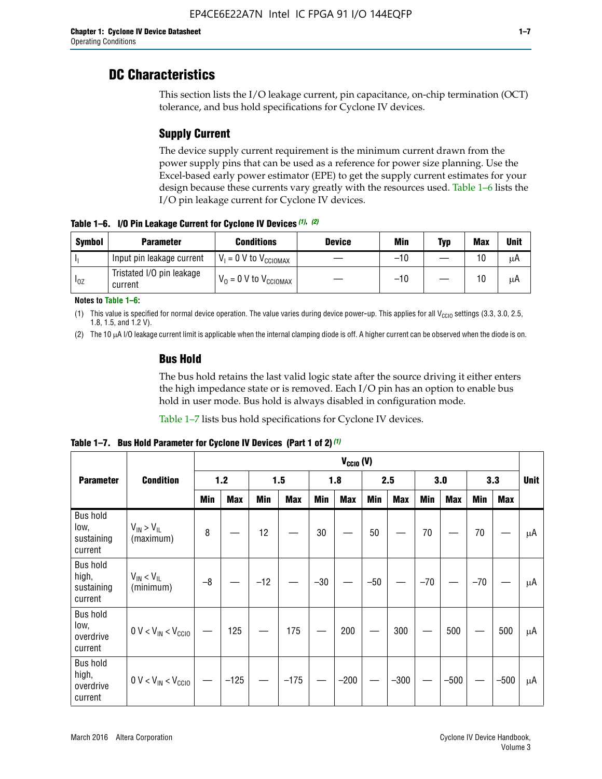## **DC Characteristics**

This section lists the I/O leakage current, pin capacitance, on-chip termination (OCT) tolerance, and bus hold specifications for Cyclone IV devices.

## **Supply Current**

The device supply current requirement is the minimum current drawn from the power supply pins that can be used as a reference for power size planning. Use the Excel-based early power estimator (EPE) to get the supply current estimates for your design because these currents vary greatly with the resources used. Table 1–6 lists the I/O pin leakage current for Cyclone IV devices.

**Table 1–6. I/O Pin Leakage Current for Cyclone IV Devices** *(1)***,** *(2)*

| <b>Symbol</b> | <b>Parameter</b>                     | <b>Conditions</b>                     | <b>Device</b> | Min   | Typ | <b>Max</b> | <b>Unit</b> |
|---------------|--------------------------------------|---------------------------------------|---------------|-------|-----|------------|-------------|
| h             | Input pin leakage current            | $V_1 = 0$ V to $V_{\text{CCIOMAX}}$   |               | $-10$ |     | 10         | μA          |
| $I_{0Z}$      | Tristated I/O pin leakage<br>current | $V_0 = 0 V$ to $V_{\text{CCIOMAX}}$ I |               | $-10$ |     | 10         | μA          |

**Notes to Table 1–6:**

(1) This value is specified for normal device operation. The value varies during device power-up. This applies for all V<sub>CCIO</sub> settings (3.3, 3.0, 2.5, 1.8, 1.5, and 1.2 V).

(2) The 10 µA I/O leakage current limit is applicable when the internal clamping diode is off. A higher current can be observed when the diode is on.

### **Bus Hold**

The bus hold retains the last valid logic state after the source driving it either enters the high impedance state or is removed. Each I/O pin has an option to enable bus hold in user mode. Bus hold is always disabled in configuration mode.

Table 1–7 lists bus hold specifications for Cyclone IV devices.

|                                                   |                                  |            |            |       |            |            | $V_{CCIO} (V)$ |            |            |       |            |       |            |    |
|---------------------------------------------------|----------------------------------|------------|------------|-------|------------|------------|----------------|------------|------------|-------|------------|-------|------------|----|
| <b>Parameter</b>                                  | <b>Condition</b>                 | 1.2        |            |       | 1.5        |            | 1.8            |            | 2.5        |       | 3.0        |       | 3.3        |    |
|                                                   |                                  | <b>Min</b> | <b>Max</b> | Min   | <b>Max</b> | <b>Min</b> | <b>Max</b>     | <b>Min</b> | <b>Max</b> | Min   | <b>Max</b> | Min   | <b>Max</b> |    |
| <b>Bus hold</b><br>low,<br>sustaining<br>current  | $V_{IN}$ > $V_{IL}$<br>(maximum) | 8          |            | 12    |            | 30         |                | 50         |            | 70    |            | 70    |            | μA |
| <b>Bus hold</b><br>high,<br>sustaining<br>current | $V_{IN}$ < $V_{IL}$<br>(minimum) | $-8$       |            | $-12$ |            | $-30$      |                | $-50$      |            | $-70$ |            | $-70$ |            | μA |
| <b>Bus hold</b><br>low,<br>overdrive<br>current   | $0 V < V_{IN} < V_{CG10}$        |            | 125        |       | 175        |            | 200            |            | 300        |       | 500        |       | 500        | μA |
| <b>Bus hold</b><br>high,<br>overdrive<br>current  | $0 V < V_{IN} < V_{CG10}$        |            | $-125$     |       | $-175$     |            | $-200$         |            | $-300$     |       | $-500$     |       | $-500$     | μA |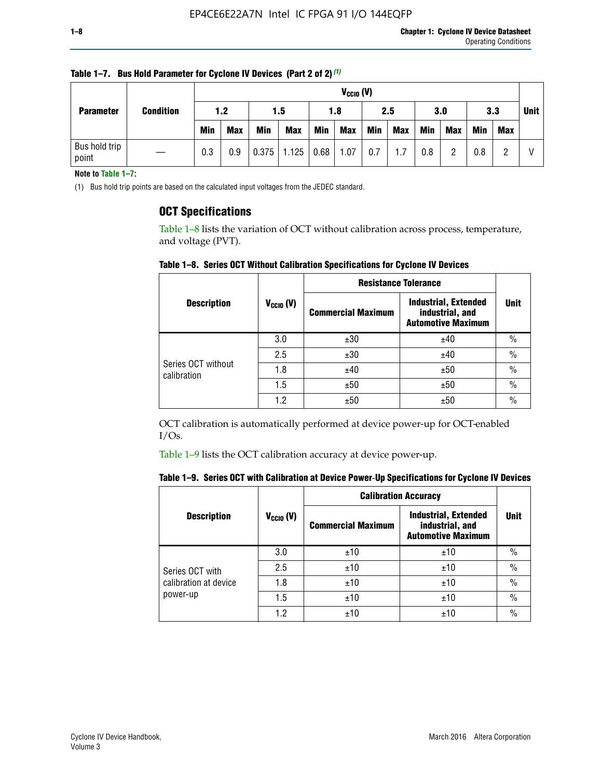| <b>Parameter</b>       | <b>Condition</b> |            | $V_{CGI0} (V)$ |            |            |      |            |     |     |     |            |            |     |             |
|------------------------|------------------|------------|----------------|------------|------------|------|------------|-----|-----|-----|------------|------------|-----|-------------|
|                        |                  | 1.2        |                | 1.5        |            | 1.8  |            | 2.5 |     | 3.0 |            | 3.3        |     | <b>Unit</b> |
|                        |                  | <b>Min</b> | <b>Max</b>     | <b>Min</b> | <b>Max</b> | Min  | <b>Max</b> | Min | Max | Min | <b>Max</b> | <b>Min</b> | Max |             |
| Bus hold trip<br>point |                  | 0.3        | 0.9            | 0.375      | 1.125      | 0.68 | 1.07       | 0.7 | 1.7 | 0.8 | റ          | 0.8        |     |             |

**Table 1–7. Bus Hold Parameter for Cyclone IV Devices (Part 2 of 2)** *(1)*

**Note to Table 1–7:**

(1) Bus hold trip points are based on the calculated input voltages from the JEDEC standard.

### **OCT Specifications**

Table 1–8 lists the variation of OCT without calibration across process, temperature, and voltage (PVT).

**Table 1–8. Series OCT Without Calibration Specifications for Cyclone IV Devices**

|                                   |                      | <b>Resistance Tolerance</b> |                                                                             |               |
|-----------------------------------|----------------------|-----------------------------|-----------------------------------------------------------------------------|---------------|
| <b>Description</b>                | $V_{\text{CCIO}}(V)$ | <b>Commercial Maximum</b>   | <b>Industrial, Extended</b><br>industrial, and<br><b>Automotive Maximum</b> | <b>Unit</b>   |
|                                   | 3.0                  | ±30                         | ±40                                                                         | $\%$          |
|                                   | 2.5                  | ±30                         | ±40                                                                         | $\frac{0}{0}$ |
| Series OCT without<br>calibration | 1.8                  | ±40                         | ±50                                                                         | $\frac{0}{0}$ |
|                                   | 1.5                  | ±50                         | ±50                                                                         | $\frac{0}{0}$ |
|                                   | 1.2                  | ±50                         | ±50                                                                         | $\frac{0}{0}$ |

OCT calibration is automatically performed at device power-up for OCT-enabled I/Os.

Table 1–9 lists the OCT calibration accuracy at device power-up.

|  |  | Table 1–9. Series OCT with Calibration at Device Power-Up Specifications for Cyclone IV Devices |  |
|--|--|-------------------------------------------------------------------------------------------------|--|
|--|--|-------------------------------------------------------------------------------------------------|--|

|                       |                | <b>Calibration Accuracy</b> |                                                                             |               |
|-----------------------|----------------|-----------------------------|-----------------------------------------------------------------------------|---------------|
| <b>Description</b>    | $V_{CGI0} (V)$ | <b>Commercial Maximum</b>   | <b>Industrial, Extended</b><br>industrial, and<br><b>Automotive Maximum</b> | <b>Unit</b>   |
|                       | 3.0            | ±10                         | ±10                                                                         | $\%$          |
| Series OCT with       | 2.5            | ±10                         | ±10                                                                         | $\%$          |
| calibration at device | 1.8            | ±10                         | ±10                                                                         | $\%$          |
| power-up              | 1.5            | ±10                         | ±10                                                                         | $\%$          |
|                       | 1.2            | ±10                         | ±10                                                                         | $\frac{0}{0}$ |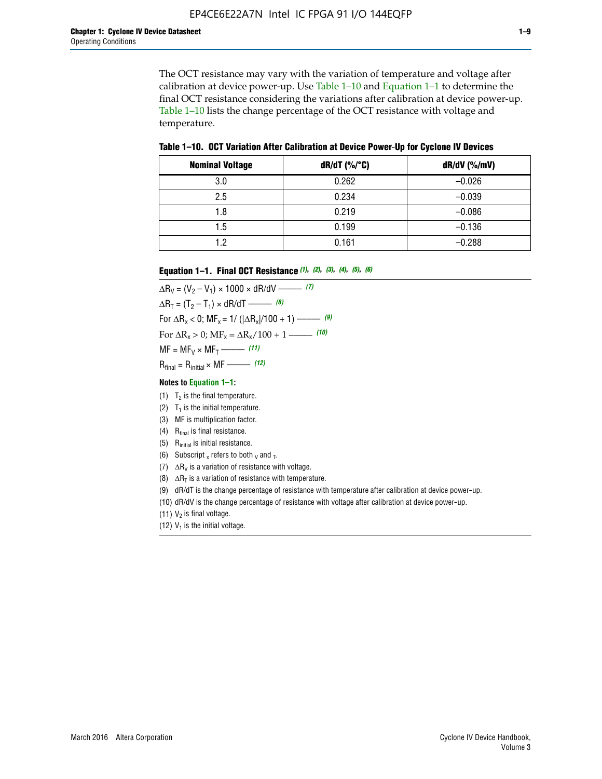The OCT resistance may vary with the variation of temperature and voltage after calibration at device power-up. Use Table 1–10 and Equation 1–1 to determine the final OCT resistance considering the variations after calibration at device power-up. Table 1–10 lists the change percentage of the OCT resistance with voltage and temperature.

**Table 1–10. OCT Variation After Calibration at Device Power**-**Up for Cyclone IV Devices**

| <b>Nominal Voltage</b> | dR/dT (%/°C) | $dR/dV$ (%/mV) |
|------------------------|--------------|----------------|
| 3.0                    | 0.262        | $-0.026$       |
| 2.5                    | 0.234        | $-0.039$       |
| 1.8                    | 0.219        | $-0.086$       |
| 1.5                    | 0.199        | $-0.136$       |
| 1.2                    | 0.161        | $-0.288$       |

#### **Equation 1–1. Final OCT Resistance** *(1)***,** *(2)***,** *(3)***,** *(4)***,** *(5)***,** *(6)*

 $\Delta R_V = (V_2 - V_1) \times 1000 \times dR/dV$  ––––––––––––(7)  $\Delta R_T = (T_2 - T_1) \times dR/dT$  ––––––– (8) For  $\Delta R_x < 0$ ; MF<sub>x</sub> = 1/ ( $|\Delta R_x|/100 + 1$ ) –––––– (9) For  $\Delta R_x > 0$ ;  $\text{MF}_x = \Delta R_x / 100 + 1$  ——– (10)  $MF = MF_V \times MF_T$  –––––––––––(11) Rfinal = Rinitial × MF ––––– *(12)*

#### **Notes to Equation 1–1:**

- (1)  $T_2$  is the final temperature.
- (2)  $T_1$  is the initial temperature.
- (3) MF is multiplication factor.
- (4)  $R<sub>final</sub>$  is final resistance.
- (5) Rinitial is initial resistance.
- (6) Subscript x refers to both  $\sqrt{v}$  and  $\sqrt{v}$ .
- (7)  $\Delta R_V$  is a variation of resistance with voltage.
- (8)  $\Delta R_T$  is a variation of resistance with temperature.
- (9) dR/dT is the change percentage of resistance with temperature after calibration at device power-up.
- (10) dR/dV is the change percentage of resistance with voltage after calibration at device power-up.
- (11)  $V_2$  is final voltage.
- (12)  $V_1$  is the initial voltage.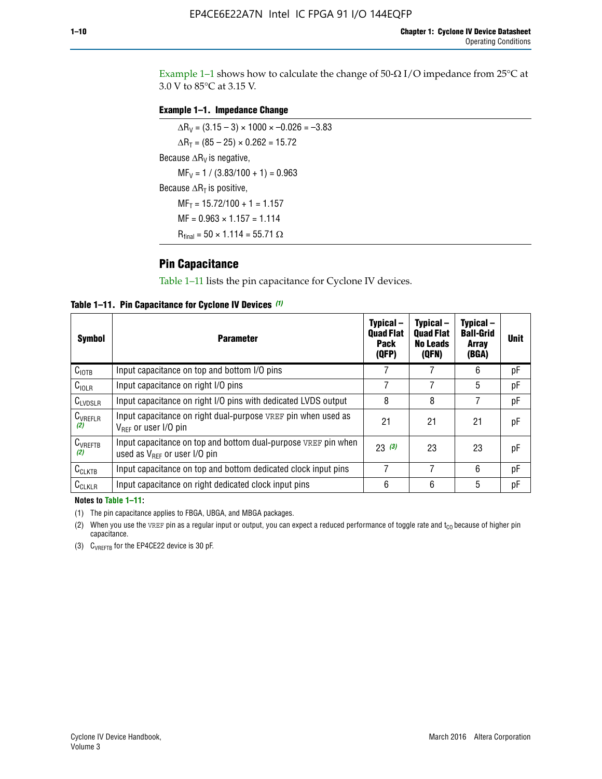Example 1-1 shows how to calculate the change of  $50$ - $\Omega$  I/O impedance from 25°C at 3.0 V to 85°C at 3.15 V.

#### **Example 1–1. Impedance Change**

 $\Delta R_V = (3.15 - 3) \times 1000 \times -0.026 = -3.83$  $\Delta R_T = (85 - 25) \times 0.262 = 15.72$ Because  $\Delta R_V$  is negative,  $MF_V = 1 / (3.83/100 + 1) = 0.963$ Because  $\Delta R_T$  is positive,  $MF_T = 15.72/100 + 1 = 1.157$  $MF = 0.963 \times 1.157 = 1.114$  $R_{final} = 50 \times 1.114 = 55.71 \Omega$ 

### **Pin Capacitance**

Table 1–11 lists the pin capacitance for Cyclone IV devices.

**Table 1–11. Pin Capacitance for Cyclone IV Devices** *(1)*

| <b>Symbol</b>       | <b>Parameter</b>                                                                                    | Typical-<br><b>Quad Flat</b><br>Pack<br>(QFP) | Typical-<br><b>Quad Flat</b><br><b>No Leads</b><br>(QFN) | Typical-<br><b>Ball-Grid</b><br>Array<br>(BGA) | <b>Unit</b> |
|---------------------|-----------------------------------------------------------------------------------------------------|-----------------------------------------------|----------------------------------------------------------|------------------------------------------------|-------------|
| C <sub>IOTB</sub>   | Input capacitance on top and bottom I/O pins                                                        |                                               |                                                          | 6                                              | рF          |
| C <sub>IOLR</sub>   | Input capacitance on right I/O pins                                                                 |                                               |                                                          | 5                                              | рF          |
| $C_{LVDSLR}$        | Input capacitance on right I/O pins with dedicated LVDS output                                      | 8                                             | 8                                                        | 7                                              | рF          |
| $C_{VREFLR}$<br>(2) | Input capacitance on right dual-purpose VREF pin when used as<br>$V_{BFF}$ or user I/O pin          | 21                                            | 21                                                       | 21                                             | pF          |
| $C_{VREFTB}$<br>(2) | Input capacitance on top and bottom dual-purpose VREF pin when<br>used as $V_{BFF}$ or user I/O pin | 23(3)                                         | 23                                                       | 23                                             | рF          |
| $C_{CLKTB}$         | Input capacitance on top and bottom dedicated clock input pins                                      |                                               | 7                                                        | 6                                              | рF          |
| $C_{CLKLR}$         | Input capacitance on right dedicated clock input pins                                               | 6                                             | 6                                                        | 5                                              | рF          |

#### **Notes to Table 1–11:**

(1) The pin capacitance applies to FBGA, UBGA, and MBGA packages.

(2) When you use the VREF pin as a regular input or output, you can expect a reduced performance of toggle rate and  $t_{\rm CO}$  because of higher pin capacitance.

(3) CVREFTB for the EP4CE22 device is 30 pF.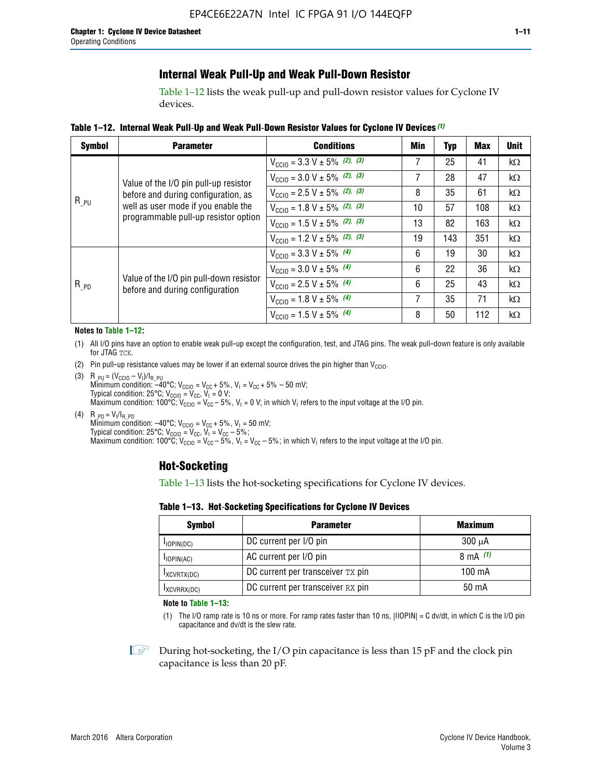### **Internal Weak Pull-Up and Weak Pull-Down Resistor**

Table 1–12 lists the weak pull-up and pull-down resistor values for Cyclone IV devices.

**Table 1–12. Internal Weak Pull**-**Up and Weak Pull**-**Down Resistor Values for Cyclone IV Devices** *(1)*

| <b>Symbol</b> | <b>Parameter</b>                                                            | <b>Conditions</b>                                  | Min | <b>Typ</b> | <b>Max</b> | <b>Unit</b> |
|---------------|-----------------------------------------------------------------------------|----------------------------------------------------|-----|------------|------------|-------------|
|               |                                                                             | $V_{\text{CC10}} = 3.3 \text{ V} \pm 5\%$ (2), (3) | 7   | 25         | 41         | $k\Omega$   |
|               | Value of the I/O pin pull-up resistor                                       | $V_{\text{CC10}} = 3.0 \text{ V} \pm 5\%$ (2), (3) | 7   | 28         | 47         | kΩ          |
|               | before and during configuration, as                                         | $V_{\text{CC10}} = 2.5 V \pm 5\%$ (2), (3)         | 8   | 35         | 61         | kΩ          |
| $R_{PU}$      | well as user mode if you enable the<br>programmable pull-up resistor option | $V_{\text{CGI0}} = 1.8 V \pm 5\%$ (2), (3)         | 10  | 57         | 108        | $k\Omega$   |
|               |                                                                             | $V_{\text{CC10}} = 1.5 V \pm 5\%$ (2), (3)         | 13  | 82         | 163        | $k\Omega$   |
|               |                                                                             | $V_{\text{CC10}} = 1.2 V \pm 5\%$ (2), (3)         | 19  | 143        | 351        | kΩ          |
|               |                                                                             | $V_{\text{CC10}} = 3.3 V \pm 5\%$ (4)              | 6   | 19         | 30         | kΩ          |
|               |                                                                             | $V_{\text{CC10}} = 3.0 V \pm 5\%$ (4)              | 6   | 22         | 36         | $k\Omega$   |
| $R_{PD}$      | Value of the I/O pin pull-down resistor<br>before and during configuration  | $V_{\text{CC10}} = 2.5 V \pm 5\%$ (4)              | 6   | 25         | 43         | kΩ          |
|               |                                                                             | $V_{\text{CC10}} = 1.8 V \pm 5\%$ (4)              | 7   | 35         | 71         | $k\Omega$   |
|               |                                                                             | $V_{\text{CC10}} = 1.5 V \pm 5\%$ (4)              | 8   | 50         | 112        | kΩ          |

#### **Notes to Table 1–12:**

- (1) All I/O pins have an option to enable weak pull-up except the configuration, test, and JTAG pins. The weak pull-down feature is only available for JTAG TCK.
- (2) Pin pull-up resistance values may be lower if an external source drives the pin higher than  $V_{\text{CCIO}}$ .
- (3)  $R_{PU} = (V_{CC10} V_1)/I_{R_PU}$ Minimum condition: –40°C; V<sub>CCIO</sub> = V<sub>CC</sub> + 5%, V<sub>I</sub> = V<sub>CC</sub> + 5% – 50 mV; Typical condition: 25°C; V<sub>CCIO</sub> = V<sub>CC</sub>, V<sub>I</sub> = 0 V; Maximum condition: 100°C;  $V_{\text{CCIO}} = V_{\text{CC}} - 5\%$ ,  $V_1 = 0$  V; in which V<sub>I</sub> refers to the input voltage at the I/O pin.
- (4)  $R_{PD} = V_I/I_{R_PD}$ Minimum condition:  $-40^{\circ}$ C; V<sub>CCIO</sub> = V<sub>CC</sub> + 5%, V<sub>I</sub> = 50 mV; Typical condition: 25°C;  $V_{\text{CCIO}} = V_{\text{CC}}$ ,  $V_{\text{I}} = V_{\text{CC}} - 5\%$ ; Maximum condition: 100°C; V<sub>CClO</sub> = V<sub>CC</sub> – 5%, V<sub>I</sub> = V<sub>CC</sub> – 5%; in which V<sub>I</sub> refers to the input voltage at the I/O pin.

#### **Hot-Socketing**

Table 1–13 lists the hot-socketing specifications for Cyclone IV devices.

**Table 1–13. Hot**-**Socketing Specifications for Cyclone IV Devices**

| <b>Symbol</b> | <b>Maximum</b>                    |             |
|---------------|-----------------------------------|-------------|
| $I$ IOPIN(DC) | DC current per I/O pin            | $300 \mu A$ |
| $I$ IOPIN(AC) | AC current per I/O pin            | 8 mA $(1)$  |
| IXCVRTX(DC)   | DC current per transceiver TX pin | 100 mA      |
| IXCVRRX(DC)   | DC current per transceiver RX pin | 50 mA       |

**Note to Table 1–13:**

(1) The I/O ramp rate is 10 ns or more. For ramp rates faster than 10 ns, |IIOPIN| = C dv/dt, in which C is the I/O pin capacitance and dv/dt is the slew rate.

 $\mathbb{I} \rightarrow \mathbb{I}$  During hot-socketing, the I/O pin capacitance is less than 15 pF and the clock pin capacitance is less than 20 pF.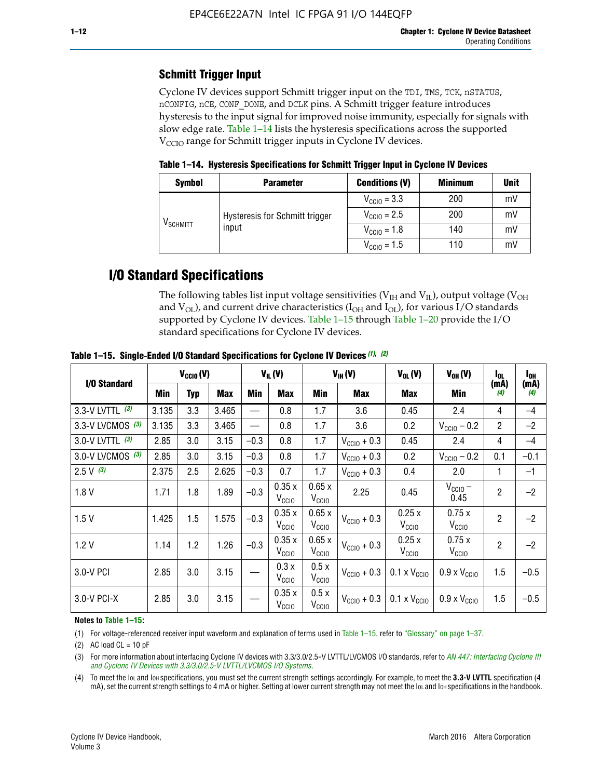## **Schmitt Trigger Input**

Cyclone IV devices support Schmitt trigger input on the TDI, TMS, TCK, nSTATUS, nCONFIG, nCE, CONF\_DONE, and DCLK pins. A Schmitt trigger feature introduces hysteresis to the input signal for improved noise immunity, especially for signals with slow edge rate. Table 1–14 lists the hysteresis specifications across the supported  $V<sub>CCIO</sub>$  range for Schmitt trigger inputs in Cyclone IV devices.

**Table 1–14. Hysteresis Specifications for Schmitt Trigger Input in Cyclone IV Devices**

| <b>Symbol</b>        | <b>Parameter</b>                        | <b>Conditions (V)</b>   | <b>Minimum</b> | <b>Unit</b> |
|----------------------|-----------------------------------------|-------------------------|----------------|-------------|
|                      |                                         | $V_{\text{CCIO}} = 3.3$ | 200            | mV          |
|                      | Hysteresis for Schmitt trigger<br>input | $V_{\text{CGI0}} = 2.5$ | 200            | mV          |
| V <sub>SCHMITT</sub> |                                         | $V_{\text{CCIO}} = 1.8$ | 140            | mV          |
|                      |                                         | $V_{\text{CCIO}} = 1.5$ | 110            | mV          |

## **I/O Standard Specifications**

The following tables list input voltage sensitivities ( $V<sub>IH</sub>$  and  $V<sub>II</sub>$ ), output voltage ( $V<sub>OH</sub>$ and  $V_{OL}$ ), and current drive characteristics ( $I_{OH}$  and  $I_{OL}$ ), for various I/O standards supported by Cyclone IV devices. Table 1–15 through Table 1–20 provide the I/O standard specifications for Cyclone IV devices.

|                    | $V_{CCl0}(V)$ |     | $V_{IL}(V)$ |        | $V_{IH} (V)$               |                            | $V_{OL}(V)$             | $V_{OH} (V)$                 | l <sub>OL</sub>              | l <sub>oh</sub> |             |
|--------------------|---------------|-----|-------------|--------|----------------------------|----------------------------|-------------------------|------------------------------|------------------------------|-----------------|-------------|
| I/O Standard       | <b>Min</b>    | Typ | <b>Max</b>  | Min    | <b>Max</b>                 | Min                        | Max                     | Max                          | Min                          | (mA)<br>(4)     | (mA)<br>(4) |
| 3.3-V LVTTL (3)    | 3.135         | 3.3 | 3.465       |        | 0.8                        | 1.7                        | 3.6                     | 0.45                         | 2.4                          | 4               | $-4$        |
| 3.3-V LVCMOS $(3)$ | 3.135         | 3.3 | 3.465       |        | 0.8                        | 1.7                        | 3.6                     | 0.2                          | $V_{\text{CCIO}} - 0.2$      | $\overline{c}$  | $-2$        |
| 3.0-V LVTTL $(3)$  | 2.85          | 3.0 | 3.15        | $-0.3$ | 0.8                        | 1.7                        | $V_{\text{CC10}} + 0.3$ | 0.45                         | 2.4                          | 4               | $-4$        |
| 3.0-V LVCMOS (3)   | 2.85          | 3.0 | 3.15        | $-0.3$ | 0.8                        | 1.7                        | $V_{\text{CCI0}} + 0.3$ | 0.2                          | $V_{\text{CC10}} - 0.2$      | 0.1             | $-0.1$      |
| $2.5 V$ (3)        | 2.375         | 2.5 | 2.625       | $-0.3$ | 0.7                        | 1.7                        | $V_{\text{CCI0}} + 0.3$ | 0.4                          | 2.0                          | 1               | $-1$        |
| 1.8V               | 1.71          | 1.8 | 1.89        | $-0.3$ | 0.35x<br>V <sub>CCIO</sub> | 0.65x<br>V <sub>CCIO</sub> | 2.25                    | 0.45                         | $V_{\text{CCIO}}$ –<br>0.45  | $\overline{2}$  | $-2$        |
| 1.5V               | 1.425         | 1.5 | 1.575       | $-0.3$ | 0.35x<br>V <sub>CCIO</sub> | 0.65x<br>V <sub>CCIO</sub> | $V_{\text{CC10}} + 0.3$ | 0.25x<br>$V_{\rm CClO}$      | 0.75x<br>V <sub>CCIO</sub>   | $\overline{2}$  | $-2$        |
| 1.2V               | 1.14          | 1.2 | 1.26        | $-0.3$ | 0.35x<br>V <sub>CCIO</sub> | 0.65x<br>V <sub>CCIO</sub> | $V_{\text{CC10}} + 0.3$ | 0.25x<br>V <sub>CCIO</sub>   | 0.75x<br>V <sub>CCIO</sub>   | $\overline{2}$  | $-2$        |
| 3.0-V PCI          | 2.85          | 3.0 | 3.15        |        | 0.3 x<br>V <sub>CCIO</sub> | 0.5x<br>V <sub>CCIO</sub>  | $V_{\text{CC10}} + 0.3$ | $0.1 \times V_{CC10}$        | $0.9 \times V_{\text{CC10}}$ | 1.5             | $-0.5$      |
| $3.0 - V$ PCI-X    | 2.85          | 3.0 | 3.15        |        | 0.35x<br>V <sub>CCIO</sub> | 0.5x<br>V <sub>CCIO</sub>  | $V_{\text{CCI0}} + 0.3$ | $0.1 \times V_{\text{CC10}}$ | $0.9 \times V_{\text{CC10}}$ | 1.5             | $-0.5$      |

**Table 1–15. Single**-**Ended I/O Standard Specifications for Cyclone IV Devices** *(1)***,** *(2)*

#### **Notes to Table 1–15:**

(1) For voltage-referenced receiver input waveform and explanation of terms used in Table 1–15, refer to "Glossary" on page 1–37.

(2) AC load  $CL = 10$  pF

(3) For more information about interfacing Cyclone IV devices with 3.3/3.0/2.5-V LVTTL/LVCMOS I/O standards, refer to *[AN 447: Interfacing Cyclone III](http://www.altera.com/literature/an/an447.pdf)  [and Cyclone IV Devices with 3.3/3.0/2.5-V LVTTL/LVCMOS I/O Systems](http://www.altera.com/literature/an/an447.pdf)*.

(4) To meet the IOL and IOH specifications, you must set the current strength settings accordingly. For example, to meet the **3.3-V LVTTL** specification (4 mA), set the current strength settings to 4 mA or higher. Setting at lower current strength may not meet the lou and lon specifications in the handbook.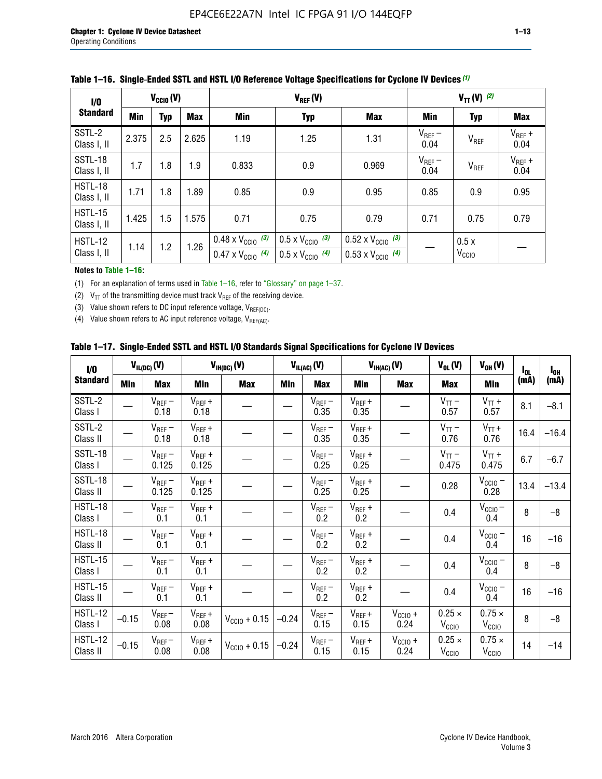| 1/0                           | $V_{\text{CC10}}(V)$ |            |       | $V_{REF}(V)$                                                           |                                                                      |                                                                        | $V_{TT} (V)$ (2)    |                           |                     |
|-------------------------------|----------------------|------------|-------|------------------------------------------------------------------------|----------------------------------------------------------------------|------------------------------------------------------------------------|---------------------|---------------------------|---------------------|
| <b>Standard</b>               | <b>Min</b>           | <b>Typ</b> | Max   | Min                                                                    | <b>Typ</b>                                                           | <b>Max</b>                                                             | Min                 | <b>Typ</b>                | Max                 |
| SSTL-2<br>Class I, II         | 2.375                | 2.5        | 2.625 | 1.19                                                                   | 1.25                                                                 | 1.31                                                                   | $V_{REF}$ –<br>0.04 | $V_{REF}$                 | $V_{REF}$ +<br>0.04 |
| SSTL-18<br>Class I, II        | 1.7                  | 1.8        | 1.9   | 0.833                                                                  | 0.9                                                                  | 0.969                                                                  | $V_{REF}$ –<br>0.04 | V <sub>REF</sub>          | $V_{REF}$ +<br>0.04 |
| HSTL-18<br>Class I, II        | 1.71                 | 1.8        | 1.89  | 0.85                                                                   | 0.9                                                                  | 0.95                                                                   | 0.85                | 0.9                       | 0.95                |
| <b>HSTL-15</b><br>Class I, II | 1.425                | 1.5        | 1.575 | 0.71                                                                   | 0.75                                                                 | 0.79                                                                   | 0.71                | 0.75                      | 0.79                |
| HSTL-12<br>Class I, II        | 1.14                 | 1.2        | 1.26  | $0.48 \times V_{\text{CC10}}$ (3)<br>$0.47 \times V_{\text{CC10}}$ (4) | $0.5 \times V_{\text{CC10}}$ (3)<br>$0.5 \times V_{\text{CC10}}$ (4) | $0.52 \times V_{\text{CC10}}$ (3)<br>$0.53 \times V_{\text{CC10}}$ (4) |                     | 0.5x<br>V <sub>CCIO</sub> |                     |

|  |  |  |  | Table 1–16. Single-Ended SSTL and HSTL I/O Reference Voltage Specifications for Cyclone IV Devices (1) |
|--|--|--|--|--------------------------------------------------------------------------------------------------------|
|--|--|--|--|--------------------------------------------------------------------------------------------------------|

#### **Notes to Table 1–16:**

(1) For an explanation of terms used in Table 1–16, refer to "Glossary" on page 1–37.

(2)  $V_{TT}$  of the transmitting device must track  $V_{REF}$  of the receiving device.

(3) Value shown refers to DC input reference voltage,  $V_{REF(DC)}$ .

(4) Value shown refers to AC input reference voltage,  $V_{REF(AC)}$ .

|  |  |  |  |  | Table 1–17.  Single-Ended SSTL and HSTL I/O Standards Signal Specifications for Cyclone IV Devices |
|--|--|--|--|--|----------------------------------------------------------------------------------------------------|
|--|--|--|--|--|----------------------------------------------------------------------------------------------------|

| I/O                        |         | $V_{IL(DC)}(V)$        |                                      | $V_{IH(DC)}(V)$       |         | $V_{IL(AC)}(V)$     |                     | $V_{IH(AC)}(V)$      | $V_{OL}(V)$                        | $V_{OH} (V)$                       | l <sub>ol</sub> | $I_{0H}$ |
|----------------------------|---------|------------------------|--------------------------------------|-----------------------|---------|---------------------|---------------------|----------------------|------------------------------------|------------------------------------|-----------------|----------|
| <b>Standard</b>            | Min     | <b>Max</b>             | Min                                  | <b>Max</b>            | Min     | <b>Max</b>          | Min                 | <b>Max</b>           | <b>Max</b>                         | Min                                | (mA)            | (mA)     |
| SSTL-2<br>Class I          |         | $\rm V_{REF}-$<br>0.18 | $V_{REF} +$<br>0.18                  |                       |         | $V_{REF}$ –<br>0.35 | $V_{REF} +$<br>0.35 |                      | $V_{TT}$ –<br>0.57                 | $V_{TT}$ +<br>0.57                 | 8.1             | $-8.1$   |
| SSTL-2<br>Class II         |         | $V_{REF}$ –<br>0.18    | $V_{REF} +$<br>0.18                  |                       |         | $V_{REF}$ –<br>0.35 | $V_{REF} +$<br>0.35 |                      | $V_{TT}$ –<br>0.76                 | $V_{TT}$ +<br>0.76                 | 16.4            | $-16.4$  |
| <b>SSTL-18</b><br>Class I  |         | $V_{REF}$ –<br>0.125   | $V_{REF}$ +<br>0.125                 |                       |         | $V_{REF}$ –<br>0.25 | $V_{REF}$ +<br>0.25 |                      | $V_{TT}$ –<br>0.475                | $V_{TT}$ +<br>0.475                | 6.7             | $-6.7$   |
| <b>SSTL-18</b><br>Class II |         | $V_{REF}$ –<br>0.125   | $V_{REF}$ +<br>0.125                 |                       |         | $V_{REF}$ –<br>0.25 | $V_{REF}$ +<br>0.25 |                      | 0.28                               | $V_{CC10} -$<br>0.28               | 13.4            | $-13.4$  |
| HSTL-18<br>Class I         |         | $V_{REF}$ –<br>0.1     | $V_{REF} +$<br>0.1                   |                       |         | $V_{REF}$ –<br>0.2  | $V_{REF}$ +<br>0.2  |                      | 0.4                                | $V_{CCIO}$ –<br>0.4                | 8               | $-8$     |
| HSTL-18<br>Class II        |         | $V_{REF}$ –<br>0.1     | $V_{REF} +$<br>0.1                   |                       |         | $V_{REF}$ –<br>0.2  | $V_{REF} +$<br>0.2  |                      | 0.4                                | $V_{CC10}$ –<br>0.4                | 16              | $-16$    |
| HSTL-15<br>Class I         |         | $V_{REF}$ –<br>0.1     | $V_{REF} +$<br>0.1                   |                       |         | $V_{REF}$ –<br>0.2  | $V_{REF}$ +<br>0.2  |                      | 0.4                                | $V_{\text{CC1O}} -$<br>0.4         | 8               | $-8$     |
| HSTL-15<br>Class II        |         | $V_{REF}$ –<br>0.1     | $\mathsf{V}_{\mathsf{REF}}$ +<br>0.1 |                       |         | $V_{REF}$ –<br>0.2  | $V_{REF}$ +<br>0.2  |                      | 0.4                                | $V_{CC10}$ –<br>0.4                | 16              | $-16$    |
| <b>HSTL-12</b><br>Class I  | $-0.15$ | $V_{REF}-$<br>0.08     | $V_{REF} +$<br>0.08                  | $V_{CGI0} + 0.15$     | $-0.24$ | $V_{REF}$ –<br>0.15 | $V_{REF} +$<br>0.15 | $V_{CCIO} +$<br>0.24 | $0.25 \times$<br>V <sub>CCIO</sub> | $0.75 \times$<br>V <sub>CCIO</sub> | 8               | $-8$     |
| HSTL-12<br>Class II        | $-0.15$ | $V_{REF}-$<br>0.08     | $V_{REF} +$<br>0.08                  | $V_{\rm CClO} + 0.15$ | $-0.24$ | $V_{REF}$ –<br>0.15 | $V_{REF} +$<br>0.15 | $V_{CC10}$ +<br>0.24 | $0.25 \times$<br>V <sub>CCIO</sub> | $0.75 \times$<br>V <sub>CCIO</sub> | 14              | $-14$    |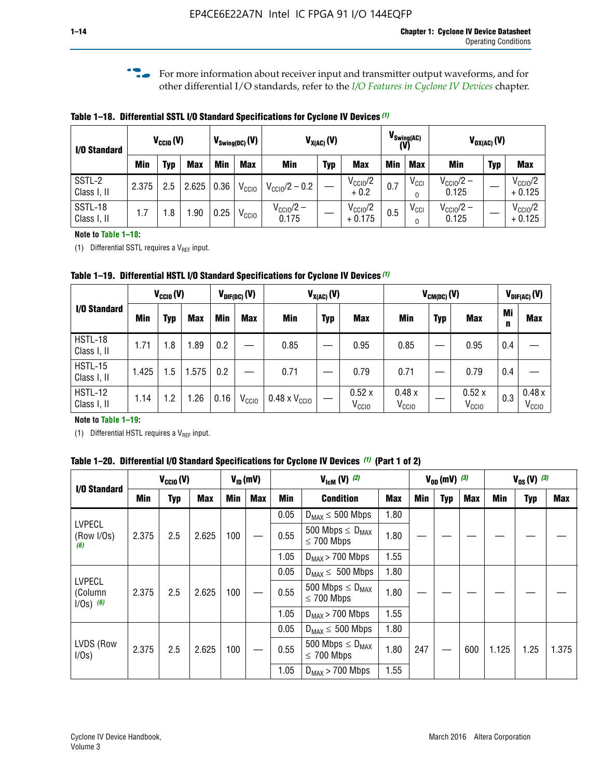**For more information about receiver input and transmitter output waveforms, and for** other differential I/O standards, refer to the *[I/O Features in Cyclone IV Devices](http://www.altera.com/literature/hb/cyclone-iv/cyiv-51006.pdf)* chapter*.*

**Table 1–18. Differential SSTL I/O Standard Specifications for Cyclone IV Devices** *(1)*

| I/O Standard           |       | $V_{CCl0}(V)$ |            |      | $V_{\text{Swing(DC)}}(V)$ |                                | $V_{X(AC)}(V)$ |                                 |            | $V_{\text{Swing(AC)}}$<br>(V) |                                | $V_{OX(AC)}(V)$ |                                 |
|------------------------|-------|---------------|------------|------|---------------------------|--------------------------------|----------------|---------------------------------|------------|-------------------------------|--------------------------------|-----------------|---------------------------------|
|                        | Min   | Typ           | <b>Max</b> | Min  | <b>Max</b>                | <b>Min</b>                     | <b>Typ</b>     | <b>Max</b>                      | <b>Min</b> | <b>Max</b>                    | Min                            | <b>Typ</b>      | <b>Max</b>                      |
| SSTL-2<br>Class I, II  | 2.375 | 2.5           | 2.625      | 0.36 | V <sub>CCIO</sub>         | $V_{\text{CC10}}/2 - 0.2$      |                | $V_{\text{CC10}}/2$<br>$+0.2$   | 0.7        | $V_{\rm CCI}$                 | $V_{\text{CC10}}/2 -$<br>0.125 |                 | $V_{\text{CC10}}/2$<br>$+0.125$ |
| SSTL-18<br>Class I, II | 1.7   | .8            | .90        | 0.25 | V <sub>CCIO</sub>         | $V_{\text{CC10}}/2 -$<br>0.175 |                | $V_{\text{CC10}}/2$<br>$+0.175$ | 0.5        | $V_{\rm CCI}$                 | $V_{\text{CC10}}/2 -$<br>0.125 |                 | $V_{\text{CC10}}/2$<br>$+0.125$ |

#### **Note to Table 1–18:**

(1) Differential SSTL requires a  $V_{REF}$  input.

**Table 1–19. Differential HSTL I/O Standard Specifications for Cyclone IV Devices** *(1)*

|                               |       | $V_{CClO}(V)$ |            |         | $V_{\text{DIF(DC)}}(V)$ |                               | $V_{X(AC)}(V)$ |                            |                            | $V_{CM(DC)}(V)$ |                            |         | $V_{\text{DIF(AC)}}(V)$    |
|-------------------------------|-------|---------------|------------|---------|-------------------------|-------------------------------|----------------|----------------------------|----------------------------|-----------------|----------------------------|---------|----------------------------|
| I/O Standard                  | Min   | Typ           | <b>Max</b> | Min     | <b>Max</b>              | Min                           | <b>Typ</b>     | <b>Max</b>                 | Min                        | <b>Typ</b>      | <b>Max</b>                 | Mi<br>n | <b>Max</b>                 |
| HSTL-18<br>Class I, II        | 1.71  | 1.8           | .89        | 0.2     |                         | 0.85                          |                | 0.95                       | 0.85                       |                 | 0.95                       | 0.4     |                            |
| <b>HSTL-15</b><br>Class I, II | 1.425 | 1.5           | .575       | $0.2\,$ |                         | 0.71                          |                | 0.79                       | 0.71                       |                 | 0.79                       | 0.4     |                            |
| <b>HSTL-12</b><br>Class I, II | 1.14  | 1.2           | 1.26       | 0.16    | V <sub>CCIO</sub>       | $0.48 \times V_{\text{CC10}}$ |                | 0.52x<br>V <sub>CCIO</sub> | 0.48x<br>V <sub>CCIO</sub> |                 | 0.52x<br>V <sub>CCIO</sub> | 0.3     | 0.48x<br>V <sub>CCIO</sub> |

#### **Note to Table 1–19:**

(1) Differential HSTL requires a  $V_{REF}$  input.

**Table 1–20. Differential I/O Standard Specifications for Cyclone IV Devices** *(1)* **(Part 1 of 2)**

| I/O Standard                            |       | $V_{CCl0} (V)$ |            |            | $V_{ID}$ (mV) |      | $V_{\text{lcm}}(V)^{(2)}$                  |            |     | $V_{0D}$ (mV) $(3)$ |     |       | $V_{0S} (V)^{(3)}$ |       |
|-----------------------------------------|-------|----------------|------------|------------|---------------|------|--------------------------------------------|------------|-----|---------------------|-----|-------|--------------------|-------|
|                                         | Min   | Typ            | <b>Max</b> | <b>Min</b> | Max           | Min  | <b>Condition</b>                           | <b>Max</b> | Min | Typ                 | Max | Min   | <b>Typ</b>         | Max   |
|                                         |       |                |            |            |               | 0.05 | $D_{MAX} \leq 500$ Mbps                    | 1.80       |     |                     |     |       |                    |       |
| <b>LVPECL</b><br>(Row I/Os)<br>(6)      | 2.375 | 2.5            | 2.625      | 100        |               | 0.55 | 500 Mbps $\leq D_{MAX}$<br>$\leq$ 700 Mbps | 1.80       |     |                     |     |       |                    |       |
|                                         |       |                |            |            |               | 1.05 | $D_{MAX}$ > 700 Mbps                       | 1.55       |     |                     |     |       |                    |       |
|                                         |       |                |            |            |               | 0.05 | $D_{MAX} \leq 500$ Mbps                    | 1.80       |     |                     |     |       |                    |       |
| <b>LVPECL</b><br>(Column<br>$1/Os)$ (6) | 2.375 | 2.5            | 2.625      | 100        |               | 0.55 | 500 Mbps $\leq D_{MAX}$<br>$\leq$ 700 Mbps | 1.80       |     |                     |     |       |                    |       |
|                                         |       |                |            |            |               | 1.05 | $D_{MAX}$ > 700 Mbps                       | 1.55       |     |                     |     |       |                    |       |
|                                         |       |                |            |            |               | 0.05 | $D_{MAX} \leq 500$ Mbps                    | 1.80       |     |                     |     |       |                    |       |
| LVDS (Row<br>I/Os)                      | 2.375 | 2.5            | 2.625      | 100        |               | 0.55 | 500 Mbps $\leq D_{MAX}$<br>$\leq 700$ Mbps | 1.80       | 247 |                     | 600 | 1.125 | 1.25               | 1.375 |
|                                         |       |                |            |            |               | 1.05 | $D_{MAX}$ > 700 Mbps                       | 1.55       |     |                     |     |       |                    |       |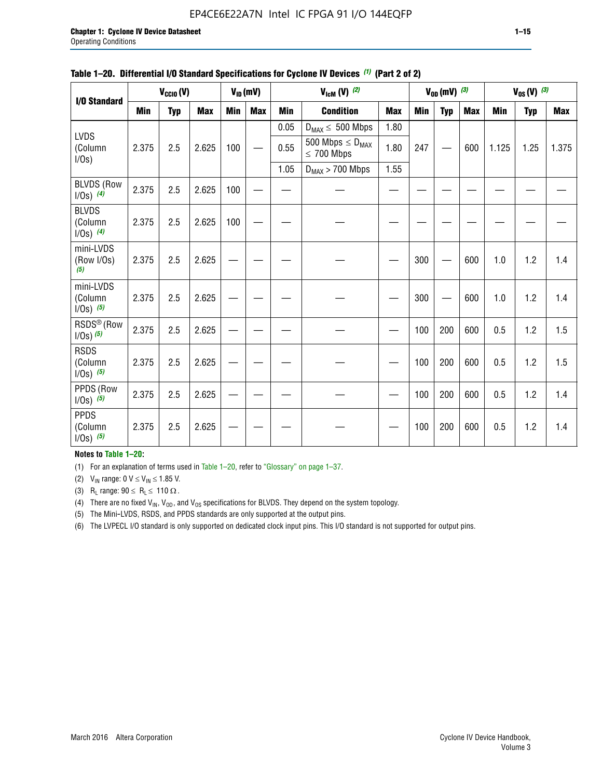#### EP4CE6E22A7N Intel IC FPGA 91 I/O 144EQFP

|                                         |            | $V_{\text{CCIO}}(V)$ |            |     | $V_{ID}(mV)$ |            | $V_{\text{lcm}}(V)$ (2)                    |            |     | $V_{OD}$ (mV) $(3)$ |            |            | $V_{0S} (V)$ (3) |            |
|-----------------------------------------|------------|----------------------|------------|-----|--------------|------------|--------------------------------------------|------------|-----|---------------------|------------|------------|------------------|------------|
| I/O Standard                            | <b>Min</b> | <b>Typ</b>           | <b>Max</b> | Min | <b>Max</b>   | <b>Min</b> | <b>Condition</b>                           | <b>Max</b> | Min | <b>Typ</b>          | <b>Max</b> | <b>Min</b> | <b>Typ</b>       | <b>Max</b> |
|                                         |            |                      |            |     |              | 0.05       | $D_{MAX} \leq 500$ Mbps                    | 1.80       |     |                     |            |            |                  |            |
| LVDS<br>(Column<br>$I/Os$ )             | 2.375      | 2.5                  | 2.625      | 100 |              | 0.55       | 500 Mbps $\leq D_{MAX}$<br>$\leq 700$ Mbps | 1.80       | 247 |                     | 600        | 1.125      | 1.25             | 1.375      |
|                                         |            |                      |            |     |              | 1.05       | $D_{MAX}$ > 700 Mbps                       | 1.55       |     |                     |            |            |                  |            |
| <b>BLVDS (Row</b><br>$1/0s)$ (4)        | 2.375      | 2.5                  | 2.625      | 100 |              |            |                                            |            |     |                     |            |            |                  |            |
| <b>BLVDS</b><br>(Column<br>$1/0s)$ (4)  | 2.375      | 2.5                  | 2.625      | 100 |              |            |                                            |            |     |                     |            |            |                  |            |
| mini-LVDS<br>(Row I/Os)<br>(5)          | 2.375      | 2.5                  | 2.625      |     |              |            |                                            |            | 300 |                     | 600        | 1.0        | 1.2              | 1.4        |
| mini-LVDS<br>(Column<br>$1/0s)$ (5)     | 2.375      | 2.5                  | 2.625      |     |              |            |                                            |            | 300 |                     | 600        | 1.0        | 1.2              | 1.4        |
| RSDS <sup>®</sup> (Row<br>$1/0s)$ $(5)$ | 2.375      | 2.5                  | 2.625      |     |              |            |                                            |            | 100 | 200                 | 600        | 0.5        | 1.2              | 1.5        |
| <b>RSDS</b><br>(Column<br>$1/Os)$ (5)   | 2.375      | 2.5                  | 2.625      |     |              |            |                                            |            | 100 | 200                 | 600        | 0.5        | 1.2              | 1.5        |
| PPDS (Row<br>$1/Os)$ (5)                | 2.375      | 2.5                  | 2.625      |     |              |            |                                            |            | 100 | 200                 | 600        | 0.5        | 1.2              | 1.4        |
| <b>PPDS</b><br>(Column<br>$1/Os)$ (5)   | 2.375      | 2.5                  | 2.625      |     |              |            |                                            |            | 100 | 200                 | 600        | 0.5        | 1.2              | 1.4        |

|  | Table 1-20. Differential I/O Standard Specifications for Cyclone IV Devices (1) (Part 2 of 2) |  |  |  |
|--|-----------------------------------------------------------------------------------------------|--|--|--|
|--|-----------------------------------------------------------------------------------------------|--|--|--|

#### **Notes to Table 1–20:**

(1) For an explanation of terms used in Table 1–20, refer to "Glossary" on page 1–37.

(2)  $V_{IN}$  range: 0  $V \le V_{IN} \le 1.85$  V.

(3) R<sub>L</sub> range:  $90 \le R_L \le 110 \Omega$ .

(4) There are no fixed  $V_{IN}$ ,  $V_{OD}$ , and  $V_{OS}$  specifications for BLVDS. They depend on the system topology.

(5) The Mini-LVDS, RSDS, and PPDS standards are only supported at the output pins.

(6) The LVPECL I/O standard is only supported on dedicated clock input pins. This I/O standard is not supported for output pins.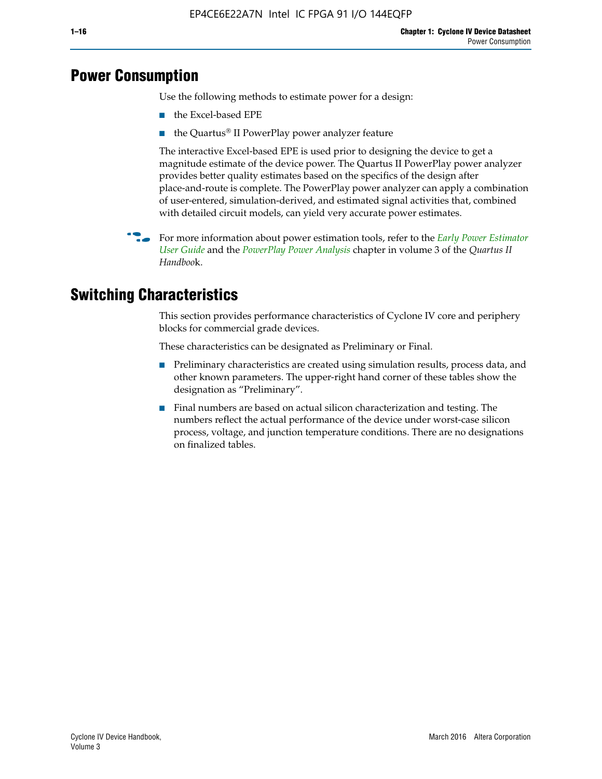## **Power Consumption**

Use the following methods to estimate power for a design:

- the Excel-based EPE
- the Quartus® II PowerPlay power analyzer feature

The interactive Excel-based EPE is used prior to designing the device to get a magnitude estimate of the device power. The Quartus II PowerPlay power analyzer provides better quality estimates based on the specifics of the design after place-and-route is complete. The PowerPlay power analyzer can apply a combination of user-entered, simulation-derived, and estimated signal activities that, combined with detailed circuit models, can yield very accurate power estimates.

**For more information about power estimation tools, refer to the** *Early Power Estimator* **<b>For a** *[User Guide](http://www.altera.com/literature/ug/ug_epe.pdf
)* and the *[PowerPlay Power Analysis](http://www.altera.com/literature/hb/qts/qts_qii53013.pdf)* chapter in volume 3 of the *Quartus II Handboo*k.

## **Switching Characteristics**

This section provides performance characteristics of Cyclone IV core and periphery blocks for commercial grade devices.

These characteristics can be designated as Preliminary or Final.

- Preliminary characteristics are created using simulation results, process data, and other known parameters. The upper-right hand corner of these tables show the designation as "Preliminary".
- Final numbers are based on actual silicon characterization and testing. The numbers reflect the actual performance of the device under worst-case silicon process, voltage, and junction temperature conditions. There are no designations on finalized tables.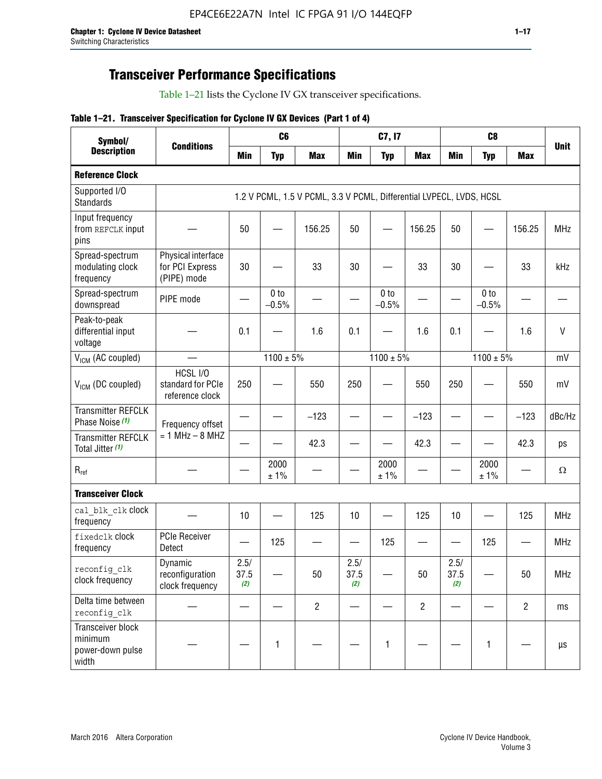## **Transceiver Performance Specifications**

Table 1–21 lists the Cyclone IV GX transceiver specifications.

#### **Table 1–21. Transceiver Specification for Cyclone IV GX Devices (Part 1 of 4)**

| Symbol/                                                   |                                                      |                     | C <sub>6</sub>             |                                                                     |                     | C7, I7                     |                |                     | C <sub>8</sub>  |                |              |
|-----------------------------------------------------------|------------------------------------------------------|---------------------|----------------------------|---------------------------------------------------------------------|---------------------|----------------------------|----------------|---------------------|-----------------|----------------|--------------|
| <b>Description</b>                                        | <b>Conditions</b>                                    | <b>Min</b>          | <b>Typ</b>                 | <b>Max</b>                                                          | <b>Min</b>          | <b>Typ</b>                 | <b>Max</b>     | <b>Min</b>          | <b>Typ</b>      | <b>Max</b>     | <b>Unit</b>  |
| <b>Reference Clock</b>                                    |                                                      |                     |                            |                                                                     |                     |                            |                |                     |                 |                |              |
| Supported I/O<br><b>Standards</b>                         |                                                      |                     |                            | 1.2 V PCML, 1.5 V PCML, 3.3 V PCML, Differential LVPECL, LVDS, HCSL |                     |                            |                |                     |                 |                |              |
| Input frequency<br>from REFCLK input<br>pins              |                                                      | 50                  |                            | 156.25                                                              | 50                  |                            | 156.25         | 50                  |                 | 156.25         | <b>MHz</b>   |
| Spread-spectrum<br>modulating clock<br>frequency          | Physical interface<br>for PCI Express<br>(PIPE) mode | 30                  |                            | 33                                                                  | 30                  |                            | 33             | 30                  |                 | 33             | kHz          |
| Spread-spectrum<br>downspread                             | PIPE mode                                            |                     | 0 <sub>to</sub><br>$-0.5%$ |                                                                     |                     | 0 <sub>to</sub><br>$-0.5%$ |                |                     | 0 to<br>$-0.5%$ |                |              |
| Peak-to-peak<br>differential input<br>voltage             |                                                      | 0.1                 |                            | 1.6                                                                 | 0.1                 |                            | 1.6            | 0.1                 |                 | 1.6            | $\mathsf{V}$ |
| V <sub>ICM</sub> (AC coupled)                             |                                                      |                     | $1100 \pm 5\%$             |                                                                     |                     | $1100 \pm 5\%$             |                |                     | $1100 \pm 5\%$  |                | mV           |
| $VICM$ (DC coupled)                                       | HCSL I/O<br>standard for PCIe<br>reference clock     | 250                 |                            | 550                                                                 | 250                 |                            | 550            | 250                 |                 | 550            | mV           |
| <b>Transmitter REFCLK</b><br>Phase Noise (1)              | Frequency offset                                     |                     |                            | $-123$                                                              |                     |                            | $-123$         |                     |                 | $-123$         | dBc/Hz       |
| <b>Transmitter REFCLK</b><br>Total Jitter (1)             | $= 1$ MHz $- 8$ MHZ                                  |                     |                            | 42.3                                                                |                     |                            | 42.3           |                     |                 | 42.3           | ps           |
| $R_{ref}$                                                 |                                                      |                     | 2000<br>± 1%               |                                                                     |                     | 2000<br>± 1%               |                |                     | 2000<br>± 1%    |                | $\Omega$     |
| <b>Transceiver Clock</b>                                  |                                                      |                     |                            |                                                                     |                     |                            |                |                     |                 |                |              |
| cal blk clk clock<br>frequency                            |                                                      | 10                  |                            | 125                                                                 | 10                  |                            | 125            | 10                  |                 | 125            | <b>MHz</b>   |
| fixedclk Clock<br>frequency                               | <b>PCIe Receiver</b><br>Detect                       |                     | 125                        |                                                                     |                     | 125                        |                |                     | 125             |                | <b>MHz</b>   |
| reconfig clk<br>clock frequency                           | Dynamic<br>reconfiguration<br>clock frequency        | 2.5/<br>37.5<br>(2) |                            | 50                                                                  | 2.5/<br>37.5<br>(2) |                            | 50             | 2.5/<br>37.5<br>(2) |                 | 50             | <b>MHz</b>   |
| Delta time between<br>reconfig_clk                        |                                                      |                     |                            | $\overline{2}$                                                      |                     |                            | $\overline{2}$ |                     |                 | $\overline{2}$ | ms           |
| Transceiver block<br>minimum<br>power-down pulse<br>width |                                                      |                     | 1                          |                                                                     |                     | 1                          |                |                     | $\mathbf{1}$    |                | $\mu s$      |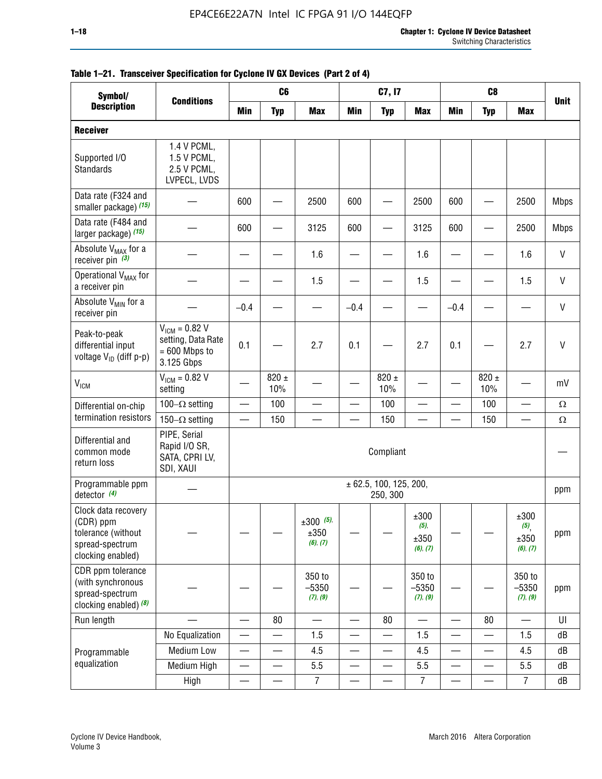| Symbol/                                                                                        |                                                                           |                          | C <sub>6</sub>   |                                    |                          | C7, I7                             |                                     |                          | C <sub>8</sub>           |                                                |              |
|------------------------------------------------------------------------------------------------|---------------------------------------------------------------------------|--------------------------|------------------|------------------------------------|--------------------------|------------------------------------|-------------------------------------|--------------------------|--------------------------|------------------------------------------------|--------------|
| <b>Description</b>                                                                             | <b>Conditions</b>                                                         | <b>Min</b>               | <b>Typ</b>       | <b>Max</b>                         | <b>Min</b>               | <b>Typ</b>                         | <b>Max</b>                          | <b>Min</b>               | <b>Typ</b>               | <b>Max</b>                                     | <b>Unit</b>  |
| <b>Receiver</b>                                                                                |                                                                           |                          |                  |                                    |                          |                                    |                                     |                          |                          |                                                |              |
| Supported I/O<br>Standards                                                                     | 1.4 V PCML,<br>1.5 V PCML,<br>2.5 V PCML,<br>LVPECL, LVDS                 |                          |                  |                                    |                          |                                    |                                     |                          |                          |                                                |              |
| Data rate (F324 and<br>smaller package) (15)                                                   |                                                                           | 600                      |                  | 2500                               | 600                      |                                    | 2500                                | 600                      |                          | 2500                                           | <b>Mbps</b>  |
| Data rate (F484 and<br>larger package) (15)                                                    |                                                                           | 600                      |                  | 3125                               | 600                      |                                    | 3125                                | 600                      | -                        | 2500                                           | <b>Mbps</b>  |
| Absolute V <sub>MAX</sub> for a<br>receiver pin $(3)$                                          |                                                                           |                          |                  | 1.6                                |                          |                                    | 1.6                                 |                          |                          | 1.6                                            | V            |
| Operational V <sub>MAX</sub> for<br>a receiver pin                                             |                                                                           |                          |                  | 1.5                                |                          |                                    | 1.5                                 |                          |                          | 1.5                                            | $\mathsf{V}$ |
| Absolute V <sub>MIN</sub> for a<br>receiver pin                                                |                                                                           | $-0.4$                   |                  |                                    | $-0.4$                   |                                    |                                     | $-0.4$                   |                          |                                                | V            |
| Peak-to-peak<br>differential input<br>voltage V <sub>ID</sub> (diff p-p)                       | $V_{ICM} = 0.82 V$<br>setting, Data Rate<br>$= 600$ Mbps to<br>3.125 Gbps | 0.1                      |                  | 2.7                                | 0.1                      |                                    | 2.7                                 | 0.1                      |                          | 2.7                                            | $\mathsf{V}$ |
| <b>V<sub>ICM</sub></b>                                                                         | $V_{IGM} = 0.82 V$<br>setting                                             |                          | 820 $\pm$<br>10% |                                    |                          | 820 $\pm$<br>10%                   |                                     |                          | $820 \pm$<br>10%         |                                                | mV           |
| Differential on-chip                                                                           | 100 $-\Omega$ setting                                                     |                          | 100              |                                    |                          | 100                                |                                     |                          | 100                      |                                                | $\Omega$     |
| termination resistors                                                                          | 150 $-\Omega$ setting                                                     |                          | 150              |                                    |                          | 150                                |                                     |                          | 150                      |                                                | Ω            |
| Differential and<br>common mode<br>return loss                                                 | PIPE, Serial<br>Rapid I/O SR,<br>SATA, CPRI LV,<br>SDI, XAUI              |                          |                  |                                    |                          | Compliant                          |                                     |                          |                          |                                                |              |
| Programmable ppm<br>detector $(4)$                                                             |                                                                           |                          |                  |                                    |                          | ± 62.5, 100, 125, 200,<br>250, 300 |                                     |                          |                          |                                                | ppm          |
| Clock data recovery<br>(CDR) ppm<br>tolerance (without<br>spread-spectrum<br>clocking enabled) |                                                                           |                          |                  | $\pm 300$ (5),<br>±350<br>(6), (7) |                          |                                    | ±300<br>$(5)$ ,<br>±350<br>(6), (7) |                          |                          | ±300<br>$(5)$ <sub>,</sub><br>±350<br>(6), (7) | ppm          |
| CDR ppm tolerance<br>(with synchronous<br>spread-spectrum<br>clocking enabled) (8)             |                                                                           |                          |                  | 350 to<br>$-5350$<br>(7), (9)      |                          |                                    | 350 to<br>$-5350$<br>(7), (9)       |                          |                          | 350 to<br>$-5350$<br>(7), (9)                  | ppm          |
| Run length                                                                                     |                                                                           |                          | 80               |                                    |                          | 80                                 |                                     |                          | 80                       |                                                | UI           |
|                                                                                                | No Equalization                                                           | $\overline{\phantom{0}}$ |                  | 1.5                                | $\overline{\phantom{0}}$ | <u>—</u>                           | 1.5                                 | $\overline{\phantom{0}}$ | $\overline{\phantom{0}}$ | 1.5                                            | dB           |
| Programmable                                                                                   | <b>Medium Low</b>                                                         |                          | —                | 4.5                                |                          | —                                  | 4.5                                 |                          | $\qquad \qquad$          | 4.5                                            | dB           |
| equalization                                                                                   | Medium High                                                               |                          |                  | 5.5                                |                          |                                    | 5.5                                 | $\overline{\phantom{0}}$ |                          | 5.5                                            | dB           |
|                                                                                                | High                                                                      |                          |                  | $\overline{7}$                     | —                        |                                    | $\boldsymbol{7}$                    | —                        |                          | $\overline{7}$                                 | dB           |

### **Table 1–21. Transceiver Specification for Cyclone IV GX Devices (Part 2 of 4)**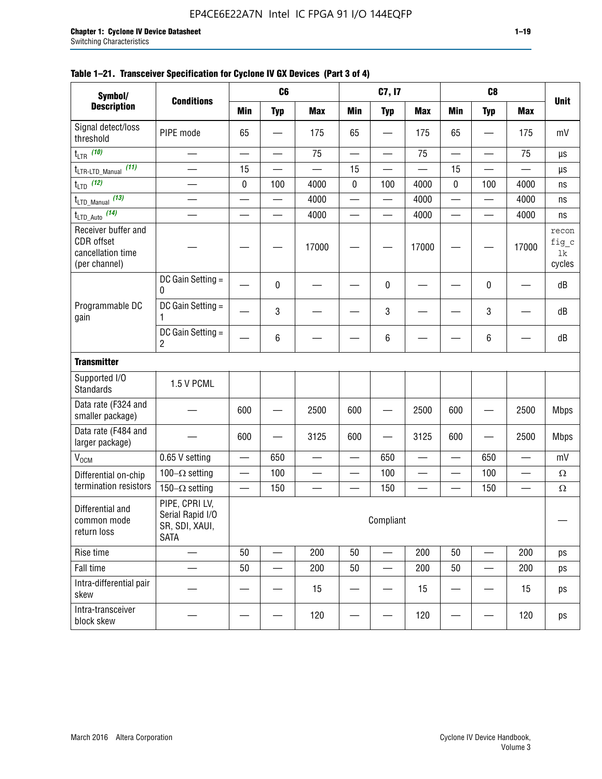#### **Table 1–21. Transceiver Specification for Cyclone IV GX Devices (Part 3 of 4)**

| Symbol/                                                                 |                                                                     |                          | C6                       |                          |                          | C7, I7                         |                 |                          | C <sub>8</sub>           |                          |                                |
|-------------------------------------------------------------------------|---------------------------------------------------------------------|--------------------------|--------------------------|--------------------------|--------------------------|--------------------------------|-----------------|--------------------------|--------------------------|--------------------------|--------------------------------|
| <b>Description</b>                                                      | <b>Conditions</b>                                                   | <b>Min</b>               | <b>Typ</b>               | <b>Max</b>               | <b>Min</b>               | <b>Typ</b>                     | <b>Max</b>      | <b>Min</b>               | <b>Typ</b>               | <b>Max</b>               | <b>Unit</b>                    |
| Signal detect/loss<br>threshold                                         | PIPE mode                                                           | 65                       |                          | 175                      | 65                       |                                | 175             | 65                       | —                        | 175                      | mV                             |
| $t_{LTR}$ (10)                                                          | $\overline{\phantom{0}}$                                            | $\overline{\phantom{0}}$ | $\qquad \qquad \qquad$   | 75                       | $\overline{\phantom{0}}$ | $\qquad \qquad \longleftarrow$ | 75              |                          | $\overline{\phantom{0}}$ | 75                       | $\mu s$                        |
| (11)<br>$t_{\text{LTR-LTD\_Manual}}$                                    |                                                                     | 15                       |                          |                          | 15                       |                                |                 | 15                       |                          |                          | μs                             |
| $t_{LTD}$ (12)                                                          |                                                                     | 0                        | 100                      | 4000                     | 0                        | 100                            | 4000            | 0                        | 100                      | 4000                     | ns                             |
| $t_{\text{LTD\_Manual}}$ (13)                                           | $\overline{\phantom{0}}$                                            | $\overline{\phantom{0}}$ | $\overline{\phantom{0}}$ | 4000                     | $\overline{\phantom{0}}$ | $\overline{\phantom{0}}$       | 4000            | $\overline{\phantom{0}}$ | $\overline{\phantom{0}}$ | 4000                     | ns                             |
| $t_{\text{LTD\_Auto}}$ (14)                                             |                                                                     |                          |                          | 4000                     |                          |                                | 4000            |                          |                          | 4000                     | ns                             |
| Receiver buffer and<br>CDR offset<br>cancellation time<br>(per channel) |                                                                     |                          |                          | 17000                    |                          |                                | 17000           |                          |                          | 17000                    | recon<br>fig_c<br>lk<br>cycles |
|                                                                         | DC Gain Setting =<br>0                                              |                          | 0                        |                          |                          | $\mathbf 0$                    |                 |                          | $\pmb{0}$                |                          | dB                             |
| Programmable DC<br>gain                                                 | DC Gain Setting =<br>1                                              |                          | 3                        |                          |                          | 3                              |                 |                          | 3                        |                          | dB                             |
|                                                                         | DC Gain Setting =<br>$\overline{2}$                                 |                          | $\,6\,$                  |                          |                          | $\,6\,$                        |                 |                          | 6                        |                          | dB                             |
| <b>Transmitter</b>                                                      |                                                                     |                          |                          |                          |                          |                                |                 |                          |                          |                          |                                |
| Supported I/O<br><b>Standards</b>                                       | 1.5 V PCML                                                          |                          |                          |                          |                          |                                |                 |                          |                          |                          |                                |
| Data rate (F324 and<br>smaller package)                                 |                                                                     | 600                      |                          | 2500                     | 600                      |                                | 2500            | 600                      | $\overline{\phantom{0}}$ | 2500                     | <b>Mbps</b>                    |
| Data rate (F484 and<br>larger package)                                  |                                                                     | 600                      | -                        | 3125                     | 600                      | —                              | 3125            | 600                      | —                        | 2500                     | <b>Mbps</b>                    |
| $\rm V_{\rm OCM}$                                                       | 0.65 V setting                                                      | $\overline{\phantom{0}}$ | 650                      | —                        | $\overline{\phantom{0}}$ | 650                            | —               | $\qquad \qquad$          | 650                      | $\overline{\phantom{0}}$ | mV                             |
| Differential on-chip                                                    | 100 $-\Omega$ setting                                               |                          | 100                      | $\overline{\phantom{0}}$ | $\overline{\phantom{0}}$ | 100                            | —               | $\overline{\phantom{0}}$ | 100                      | $\overline{\phantom{0}}$ | $\Omega$                       |
| termination resistors                                                   | 150 $-\Omega$ setting                                               | $\qquad \qquad -$        | 150                      | —                        | $\overline{\phantom{0}}$ | 150                            | $\qquad \qquad$ | $\qquad \qquad$          | 150                      |                          | Ω                              |
| Differential and<br>common mode<br>return loss                          | PIPE, CPRI LV,<br>Serial Rapid I/O<br>SR, SDI, XAUI,<br><b>SATA</b> |                          |                          |                          |                          | Compliant                      |                 |                          |                          |                          |                                |
| Rise time                                                               | $\qquad \qquad$                                                     | 50                       | $\overline{\phantom{0}}$ | 200                      | 50                       | $\overline{\phantom{0}}$       | 200             | 50                       | $\overline{\phantom{0}}$ | 200                      | ps                             |
| Fall time                                                               |                                                                     | 50                       | $\overline{\phantom{0}}$ | 200                      | 50                       |                                | 200             | 50                       | $\overline{\phantom{0}}$ | 200                      | ps                             |
| Intra-differential pair<br>skew                                         |                                                                     |                          |                          | 15                       |                          |                                | 15              |                          | $\overline{\phantom{0}}$ | 15                       | ps                             |
| Intra-transceiver<br>block skew                                         |                                                                     |                          |                          | 120                      |                          |                                | 120             |                          |                          | 120                      | ps                             |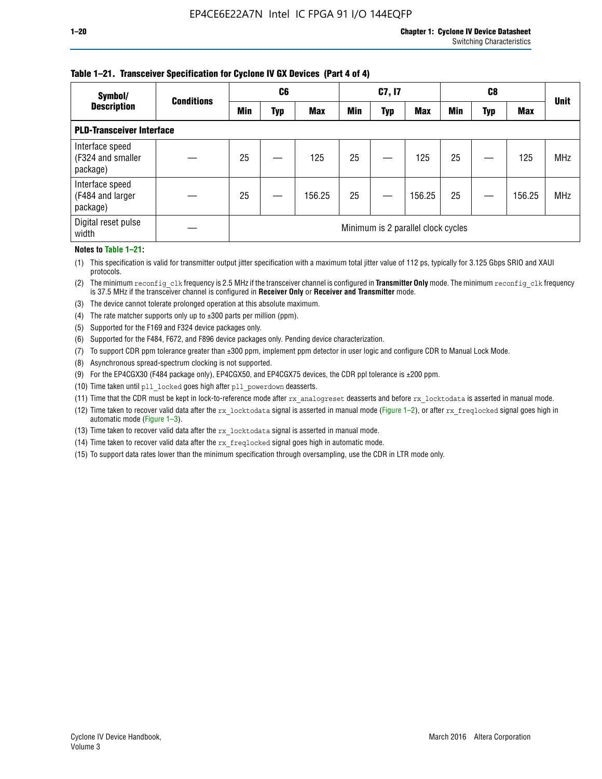#### **Table 1–21. Transceiver Specification for Cyclone IV GX Devices (Part 4 of 4)**

| Symbol/                                          | <b>Conditions</b> |            | C <sub>6</sub> |            |            | C7, I7     |                                    |            | C8  |            | <b>Unit</b> |
|--------------------------------------------------|-------------------|------------|----------------|------------|------------|------------|------------------------------------|------------|-----|------------|-------------|
| <b>Description</b>                               |                   | <b>Min</b> | Typ            | <b>Max</b> | <b>Min</b> | <b>Typ</b> | <b>Max</b>                         | <b>Min</b> | Typ | <b>Max</b> |             |
| <b>PLD-Transceiver Interface</b>                 |                   |            |                |            |            |            |                                    |            |     |            |             |
| Interface speed<br>(F324 and smaller<br>package) |                   | 25         |                | 125        | 25         |            | 125                                | 25         |     | 125        | <b>MHz</b>  |
| Interface speed<br>(F484 and larger<br>package)  |                   | 25         |                | 156.25     | 25         |            | 156.25                             | 25         |     | 156.25     | <b>MHz</b>  |
| Digital reset pulse<br>width                     |                   |            |                |            |            |            | Minimum is 2 parallel clock cycles |            |     |            |             |

#### **Notes to Table 1–21:**

(1) This specification is valid for transmitter output jitter specification with a maximum total jitter value of 112 ps, typically for 3.125 Gbps SRIO and XAUI protocols.

(2) The minimum reconfig\_clk frequency is 2.5 MHz if the transceiver channel is configured in **Transmitter Only** mode. The minimum reconfig\_clk frequency is 37.5 MHz if the transceiver channel is configured in **Receiver Only** or **Receiver and Transmitter** mode.

- (3) The device cannot tolerate prolonged operation at this absolute maximum.
- (4) The rate matcher supports only up to  $\pm 300$  parts per million (ppm).
- (5) Supported for the F169 and F324 device packages only.
- (6) Supported for the F484, F672, and F896 device packages only. Pending device characterization.
- (7) To support CDR ppm tolerance greater than ±300 ppm, implement ppm detector in user logic and configure CDR to Manual Lock Mode.
- (8) Asynchronous spread-spectrum clocking is not supported.
- (9) For the EP4CGX30 (F484 package only), EP4CGX50, and EP4CGX75 devices, the CDR ppl tolerance is ±200 ppm.
- (10) Time taken until pll\_locked goes high after pll\_powerdown deasserts.
- (11) Time that the CDR must be kept in lock-to-reference mode after rx analogreset deasserts and before rx locktodata is asserted in manual mode.

(12) Time taken to recover valid data after the rx locktodata signal is asserted in manual mode (Figure 1–2), or after rx freqlocked signal goes high in automatic mode (Figure 1–3).

(13) Time taken to recover valid data after the rx locktodata signal is asserted in manual mode.

- (14) Time taken to recover valid data after the rx\_freqlocked signal goes high in automatic mode.
- (15) To support data rates lower than the minimum specification through oversampling, use the CDR in LTR mode only.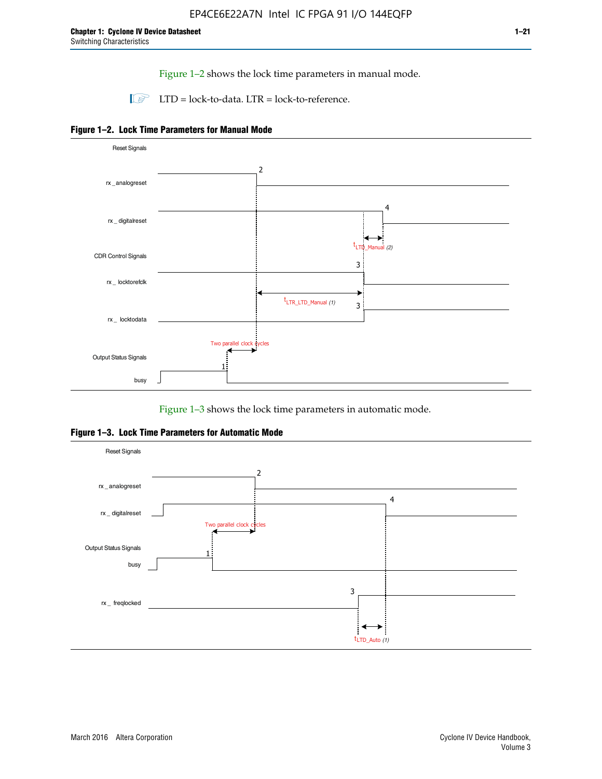Figure 1–2 shows the lock time parameters in manual mode.

 $\Box$  LTD = lock-to-data. LTR = lock-to-reference.





Figure 1–3 shows the lock time parameters in automatic mode.

**Figure 1–3. Lock Time Parameters for Automatic Mode**

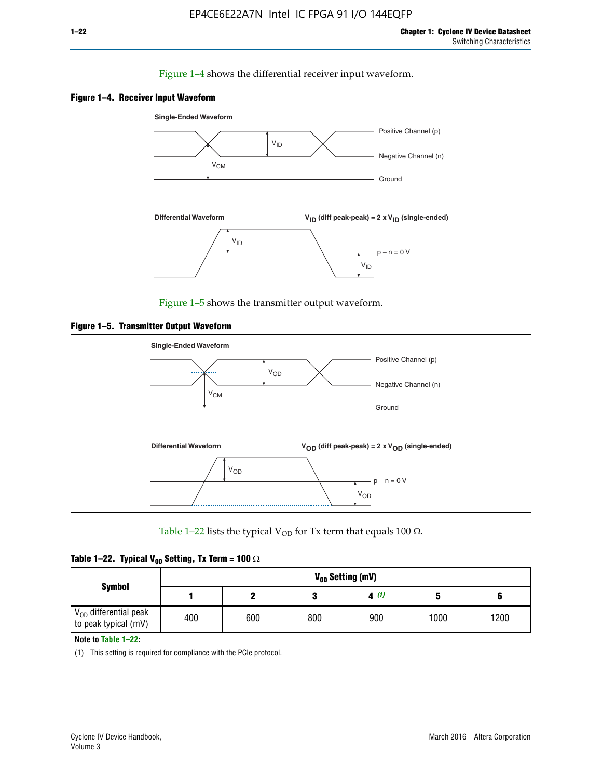#### Figure 1–4 shows the differential receiver input waveform.





Figure 1–5 shows the transmitter output waveform.





Table 1–22 lists the typical V<sub>OD</sub> for Tx term that equals 100  $\Omega$ .

|  |  | Table 1–22. Typical V <sub>0D</sub> Setting, Tx Term = 100 $\Omega$ |  |  |
|--|--|---------------------------------------------------------------------|--|--|
|--|--|---------------------------------------------------------------------|--|--|

|                                                        |     |     |     | V <sub>on</sub> Setting (mV) |      |      |
|--------------------------------------------------------|-----|-----|-----|------------------------------|------|------|
| <b>Symbol</b>                                          |     |     |     | 4(1)                         |      |      |
| $\rm V_{OD}$ differential peak<br>to peak typical (mV) | 400 | 600 | 800 | 900                          | 1000 | 1200 |

**Note to Table 1–22:**

(1) This setting is required for compliance with the PCIe protocol.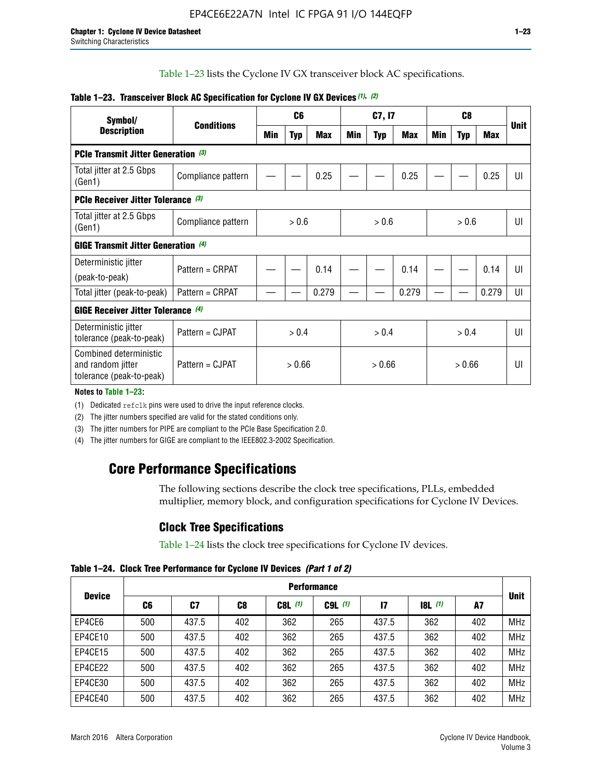Table 1–23 lists the Cyclone IV GX transceiver block AC specifications.

| Symbol/                                                                 | <b>Conditions</b>  |       | C <sub>6</sub> |            |        | C7, I7     |       |       | <b>Unit</b> |            |                |
|-------------------------------------------------------------------------|--------------------|-------|----------------|------------|--------|------------|-------|-------|-------------|------------|----------------|
| <b>Description</b>                                                      |                    | Min   | <b>Typ</b>     | <b>Max</b> | Min    | <b>Typ</b> | Max   | Min   | <b>Typ</b>  | <b>Max</b> |                |
| <b>PCIe Transmit Jitter Generation (3)</b>                              |                    |       |                |            |        |            |       |       |             |            |                |
| Total jitter at 2.5 Gbps<br>(Gen1)                                      | Compliance pattern |       |                | 0.25       |        |            | 0.25  |       |             | 0.25       | UI             |
| <b>PCIe Receiver Jitter Tolerance (3)</b>                               |                    |       |                |            |        |            |       |       |             |            |                |
| Total jitter at 2.5 Gbps<br>(Gen1)                                      | Compliance pattern | > 0.6 |                |            | > 0.6  |            |       |       | UI          |            |                |
| <b>GIGE Transmit Jitter Generation (4)</b>                              |                    |       |                |            |        |            |       |       |             |            |                |
| Deterministic jitter                                                    | Pattern = CRPAT    |       |                | 0.14       |        |            | 0.14  |       |             | 0.14       | UI             |
| (peak-to-peak)                                                          |                    |       |                |            |        |            |       |       |             |            |                |
| Total jitter (peak-to-peak)                                             | Pattern = CRPAT    |       |                | 0.279      |        |            | 0.279 |       |             | 0.279      | UI             |
| <b>GIGE Receiver Jitter Tolerance</b> (4)                               |                    |       |                |            |        |            |       |       |             |            |                |
| Deterministic jitter<br>tolerance (peak-to-peak)                        | Pattern = CJPAT    | > 0.4 |                |            |        | > 0.4      |       | > 0.4 |             |            | $\mathsf{III}$ |
| Combined deterministic<br>and random jitter<br>tolerance (peak-to-peak) | Pattern = CJPAT    |       | > 0.66         |            | > 0.66 |            |       |       | UI          |            |                |

#### **Table 1–23. Transceiver Block AC Specification for Cyclone IV GX Devices** *(1)***,** *(2)*

**Notes to Table 1–23:**

(1) Dedicated refclk pins were used to drive the input reference clocks.

(2) The jitter numbers specified are valid for the stated conditions only.

(3) The jitter numbers for PIPE are compliant to the PCIe Base Specification 2.0.

(4) The jitter numbers for GIGE are compliant to the IEEE802.3-2002 Specification.

## **Core Performance Specifications**

The following sections describe the clock tree specifications, PLLs, embedded multiplier, memory block, and configuration specifications for Cyclone IV Devices.

## **Clock Tree Specifications**

Table 1–24 lists the clock tree specifications for Cyclone IV devices.

**Table 1–24. Clock Tree Performance for Cyclone IV Devices** *(Part 1 of 2)*

| <b>Device</b> |     | <b>Performance</b> |     |           |             |              |                  |     |             |  |  |  |  |  |  |
|---------------|-----|--------------------|-----|-----------|-------------|--------------|------------------|-----|-------------|--|--|--|--|--|--|
|               | C6  | C7                 | C8  | $C8L$ (1) | $C9L$ $(1)$ | $\mathbf{I}$ | <b>18L</b> $(1)$ | A7  | <b>Unit</b> |  |  |  |  |  |  |
| EP4CE6        | 500 | 437.5              | 402 | 362       | 265         | 437.5        | 362              | 402 | <b>MHz</b>  |  |  |  |  |  |  |
| EP4CE10       | 500 | 437.5              | 402 | 362       | 265         | 437.5        | 362              | 402 | <b>MHz</b>  |  |  |  |  |  |  |
| EP4CE15       | 500 | 437.5              | 402 | 362       | 265         | 437.5        | 362              | 402 | <b>MHz</b>  |  |  |  |  |  |  |
| EP4CE22       | 500 | 437.5              | 402 | 362       | 265         | 437.5        | 362              | 402 | <b>MHz</b>  |  |  |  |  |  |  |
| EP4CE30       | 500 | 437.5              | 402 | 362       | 265         | 437.5        | 362              | 402 | <b>MHz</b>  |  |  |  |  |  |  |
| EP4CE40       | 500 | 437.5              | 402 | 362       | 265         | 437.5        | 362              | 402 | <b>MHz</b>  |  |  |  |  |  |  |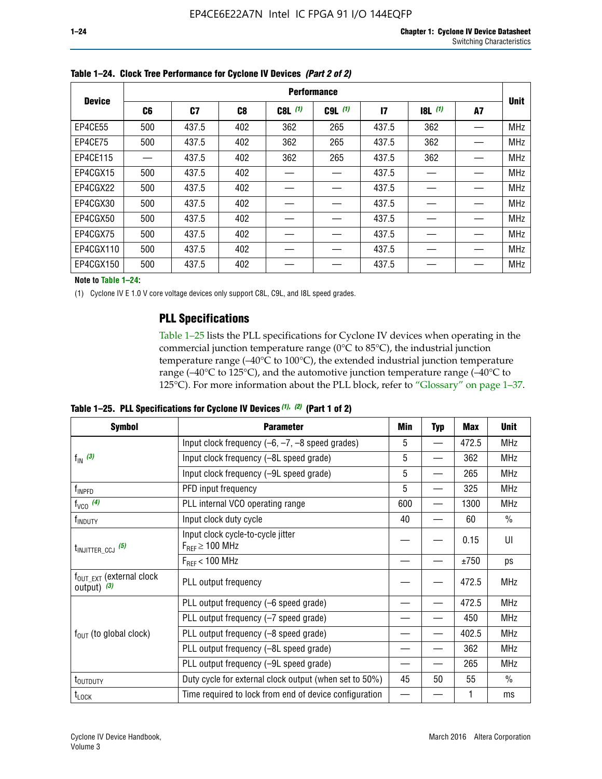|               |     |       |     |           | <b>Performance</b> |              |       |    |             |
|---------------|-----|-------|-----|-----------|--------------------|--------------|-------|----|-------------|
| <b>Device</b> | C6  | C7    | C8  | $C8L$ (1) | $C9L$ $(1)$        | $\mathbf{I}$ | 8L(1) | A7 | <b>Unit</b> |
| EP4CE55       | 500 | 437.5 | 402 | 362       | 265                | 437.5        | 362   |    | <b>MHz</b>  |
| EP4CE75       | 500 | 437.5 | 402 | 362       | 265                | 437.5        | 362   |    | <b>MHz</b>  |
| EP4CE115      |     | 437.5 | 402 | 362       | 265                | 437.5        | 362   |    | <b>MHz</b>  |
| EP4CGX15      | 500 | 437.5 | 402 |           |                    | 437.5        |       |    | <b>MHz</b>  |
| EP4CGX22      | 500 | 437.5 | 402 |           |                    | 437.5        |       |    | <b>MHz</b>  |
| EP4CGX30      | 500 | 437.5 | 402 |           |                    | 437.5        |       |    | <b>MHz</b>  |
| EP4CGX50      | 500 | 437.5 | 402 |           |                    | 437.5        |       |    | <b>MHz</b>  |
| EP4CGX75      | 500 | 437.5 | 402 |           |                    | 437.5        |       |    | <b>MHz</b>  |
| EP4CGX110     | 500 | 437.5 | 402 |           |                    | 437.5        |       |    | <b>MHz</b>  |
| EP4CGX150     | 500 | 437.5 | 402 |           |                    | 437.5        |       |    | <b>MHz</b>  |

**Table 1–24. Clock Tree Performance for Cyclone IV Devices** *(Part 2 of 2)*

**Note to Table 1–24:**

(1) Cyclone IV E 1.0 V core voltage devices only support C8L, C9L, and I8L speed grades.

## **PLL Specifications**

Table 1–25 lists the PLL specifications for Cyclone IV devices when operating in the commercial junction temperature range (0°C to 85°C), the industrial junction temperature range (–40°C to 100°C), the extended industrial junction temperature range (–40°C to 125°C), and the automotive junction temperature range (–40°C to 125°C). For more information about the PLL block, refer to "Glossary" on page 1–37.

|  |  | Table 1–25. PLL Specifications for Cyclone IV Devices $(1)$ , $(2)$ (Part 1 of 2) |  |
|--|--|-----------------------------------------------------------------------------------|--|
|--|--|-----------------------------------------------------------------------------------|--|

| <b>Symbol</b>                                          | <b>Parameter</b>                                            | Min | <b>Typ</b>               | <b>Max</b> | <b>Unit</b>   |
|--------------------------------------------------------|-------------------------------------------------------------|-----|--------------------------|------------|---------------|
|                                                        | Input clock frequency $(-6, -7, -8)$ speed grades)          | 5   | $\qquad \qquad$          | 472.5      | <b>MHz</b>    |
| $f_{\text{IN}}(3)$                                     | Input clock frequency (-8L speed grade)                     | 5   |                          | 362        | <b>MHz</b>    |
|                                                        | Input clock frequency (-9L speed grade)                     | 5   |                          | 265        | <b>MHz</b>    |
| f <sub>INPFD</sub>                                     | PFD input frequency                                         | 5   | $\overline{\phantom{0}}$ | 325        | <b>MHz</b>    |
| $f_{VCO}$ (4)                                          | PLL internal VCO operating range                            | 600 |                          | 1300       | <b>MHz</b>    |
| f <sub>INDUTY</sub>                                    | Input clock duty cycle                                      | 40  |                          | 60         | $\frac{0}{0}$ |
| $t_{\text{INJITTER\_CCJ}}$ (5)                         | Input clock cycle-to-cycle jitter<br>$F_{REF} \geq 100$ MHz |     |                          | 0.15       | UI            |
|                                                        | $F_{RFF}$ < 100 MHz                                         |     |                          | ±750       | ps            |
| $f_{\text{OUT\_EXT}}$ (external clock<br>output) $(3)$ | PLL output frequency                                        |     |                          | 472.5      | <b>MHz</b>    |
|                                                        | PLL output frequency (-6 speed grade)                       |     |                          | 472.5      | <b>MHz</b>    |
|                                                        | PLL output frequency (-7 speed grade)                       |     |                          | 450        | <b>MHz</b>    |
| $f_{OUT}$ (to global clock)                            | PLL output frequency (-8 speed grade)                       |     |                          | 402.5      | <b>MHz</b>    |
|                                                        | PLL output frequency (-8L speed grade)                      |     |                          | 362        | <b>MHz</b>    |
|                                                        | PLL output frequency (-9L speed grade)                      |     |                          | 265        | <b>MHz</b>    |
| t <sub>outduty</sub>                                   | Duty cycle for external clock output (when set to 50%)      | 45  | 50                       | 55         | $\frac{0}{0}$ |
| $t_{\text{LOCK}}$                                      | Time required to lock from end of device configuration      |     |                          |            | ms            |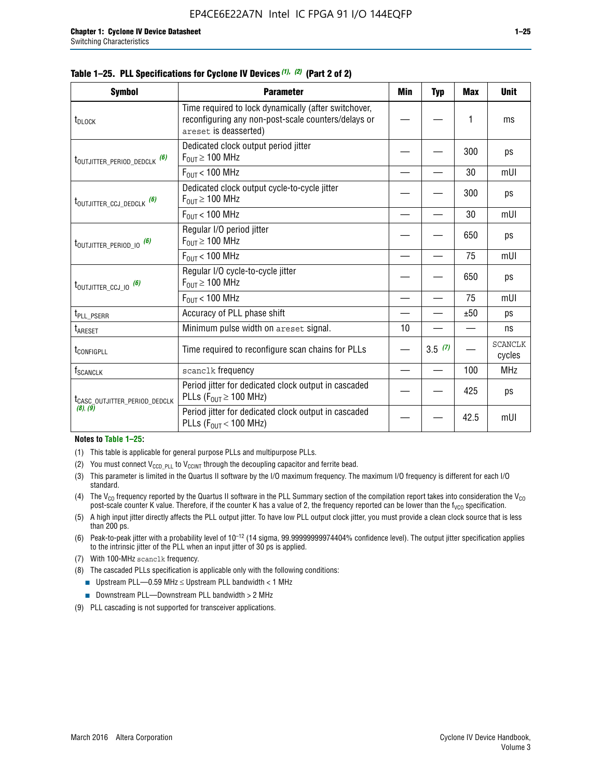| <b>Symbol</b>                             | <b>Parameter</b>                                                                                                                     | Min | <b>Typ</b> | <b>Max</b> | <b>Unit</b>              |
|-------------------------------------------|--------------------------------------------------------------------------------------------------------------------------------------|-----|------------|------------|--------------------------|
| t <sub>DLOCK</sub>                        | Time required to lock dynamically (after switchover,<br>reconfiguring any non-post-scale counters/delays or<br>areset is deasserted) |     |            | 1          | ms                       |
| t <sub>outjitter_period_dedclk</sub> (6)  | Dedicated clock output period jitter<br>$F_{OUT} \geq 100$ MHz                                                                       |     |            | 300        | ps                       |
|                                           | $F_{OUT}$ < 100 MHz                                                                                                                  |     |            | 30         | mUI                      |
| t <sub>outjitter_ccj_dedclk</sub> (6)     | Dedicated clock output cycle-to-cycle jitter<br>$F_{OUT} \geq 100$ MHz                                                               |     |            | 300        | ps                       |
|                                           | $F_{OUT}$ < 100 MHz                                                                                                                  |     |            | 30         | mUI                      |
| $t_{\text{OUTJITTER}$ period 10 $^{(6)}$  | Regular I/O period jitter<br>$F_{OUT} \geq 100$ MHz                                                                                  |     |            | 650        | ps                       |
|                                           | $F_{OUT}$ < 100 MHz                                                                                                                  |     |            | 75         | mUI                      |
| $t_{\text{OUTJITTER\_CCJ\_IO}}$ (6)       | Regular I/O cycle-to-cycle jitter<br>$F_{OUT} \geq 100$ MHz                                                                          |     |            | 650        | ps                       |
|                                           | $F_{OUT}$ < 100 MHz                                                                                                                  |     |            | 75         | mUI                      |
| t <sub>PLL_PSERR</sub>                    | Accuracy of PLL phase shift                                                                                                          |     |            | ±50        | ps                       |
| t <sub>ARESET</sub>                       | Minimum pulse width on areset signal.                                                                                                | 10  |            |            | ns                       |
| t <sub>configpll</sub>                    | Time required to reconfigure scan chains for PLLs                                                                                    |     | 3.5(7)     |            | <b>SCANCLK</b><br>cycles |
| $f_{\footnotesize\rm SCANCLK}$            | scanclk frequency                                                                                                                    |     |            | 100        | <b>MHz</b>               |
| t <sub>CASC_OUTJITTER_PERIOD_DEDCLK</sub> | Period jitter for dedicated clock output in cascaded<br>PLLs ( $F_{OUT} \ge 100$ MHz)                                                |     |            | 425        | ps                       |
| (8), (9)                                  | Period jitter for dedicated clock output in cascaded<br>PLLs ( $F_{OUT}$ < 100 MHz)                                                  |     |            | 42.5       | mUI                      |

#### **Table 1–25. PLL Specifications for Cyclone IV Devices** *(1), (2)* **(Part 2 of 2)**

#### **Notes to Table 1–25:**

- (1) This table is applicable for general purpose PLLs and multipurpose PLLs.
- (2) You must connect  $V_{CCD-PLL}$  to  $V_{CCINT}$  through the decoupling capacitor and ferrite bead.
- (3) This parameter is limited in the Quartus II software by the I/O maximum frequency. The maximum I/O frequency is different for each I/O standard.
- (4) The V<sub>CO</sub> frequency reported by the Quartus II software in the PLL Summary section of the compilation report takes into consideration the V<sub>CO</sub> post-scale counter K value. Therefore, if the counter K has a value of 2, the frequency reported can be lower than the f<sub>VCO</sub> specification.
- (5) A high input jitter directly affects the PLL output jitter. To have low PLL output clock jitter, you must provide a clean clock source that is less than 200 ps.
- (6) Peak-to-peak jitter with a probability level of 10–12 (14 sigma, 99.99999999974404% confidence level). The output jitter specification applies to the intrinsic jitter of the PLL when an input jitter of 30 ps is applied.
- (7) With 100-MHz scanclk frequency.
- (8) The cascaded PLLs specification is applicable only with the following conditions:
	- Upstream PLL—0.59 MHz  $≤$  Upstream PLL bandwidth  $<$  1 MHz
	- Downstream PLL—Downstream PLL bandwidth > 2 MHz
- (9) PLL cascading is not supported for transceiver applications.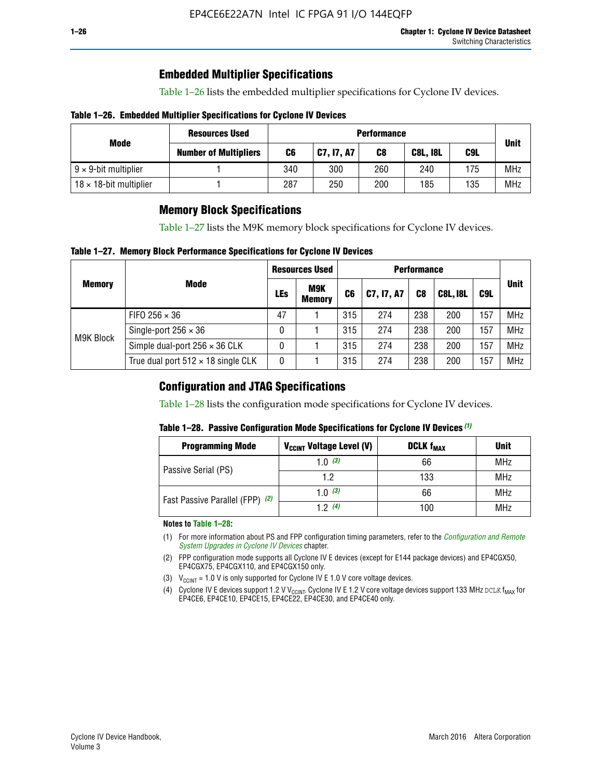## **Embedded Multiplier Specifications**

Table 1–26 lists the embedded multiplier specifications for Cyclone IV devices.

#### **Table 1–26. Embedded Multiplier Specifications for Cyclone IV Devices**

|                                | <b>Resources Used</b>        |     | <b>Performance</b> |     |                 |     |             |  |  |  |  |  |
|--------------------------------|------------------------------|-----|--------------------|-----|-----------------|-----|-------------|--|--|--|--|--|
| Mode                           | <b>Number of Multipliers</b> | C6  | <b>C7, I7, A7</b>  | C8  | <b>C8L, I8L</b> | C9L | <b>Unit</b> |  |  |  |  |  |
| $9 \times 9$ -bit multiplier   |                              | 340 | 300                | 260 | 240             | 175 | <b>MHz</b>  |  |  |  |  |  |
| $18 \times 18$ -bit multiplier |                              | 287 | 250                | 200 | 185             | 135 | <b>MHz</b>  |  |  |  |  |  |

## **Memory Block Specifications**

Table 1–27 lists the M9K memory block specifications for Cyclone IV devices.

#### **Table 1–27. Memory Block Performance Specifications for Cyclone IV Devices**

|               |                                           |     | <b>Resources Used</b>       |                |            |                |                 |     |             |
|---------------|-------------------------------------------|-----|-----------------------------|----------------|------------|----------------|-----------------|-----|-------------|
| <b>Memory</b> | <b>Mode</b>                               | LEs | <b>M9K</b><br><b>Memory</b> | C <sub>6</sub> | C7, I7, A7 | C <sub>8</sub> | <b>C8L, I8L</b> | C9L | <b>Unit</b> |
|               | FIFO 256 $\times$ 36                      | 47  |                             | 315            | 274        | 238            | 200             | 157 | <b>MHz</b>  |
| M9K Block     | Single-port $256 \times 36$               | 0   |                             | 315            | 274        | 238            | 200             | 157 | <b>MHz</b>  |
|               | Simple dual-port $256 \times 36$ CLK      | 0   |                             | 315            | 274        | 238            | 200             | 157 | <b>MHz</b>  |
|               | True dual port $512 \times 18$ single CLK | 0   |                             | 315            | 274        | 238            | 200             | 157 | <b>MHz</b>  |

### **Configuration and JTAG Specifications**

Table 1–28 lists the configuration mode specifications for Cyclone IV devices.

#### **Table 1–28. Passive Configuration Mode Specifications for Cyclone IV Devices** *(1)*

| <b>Programming Mode</b>         | V <sub>CCINT</sub> Voltage Level (V) | <b>DCLK f<sub>MAX</sub></b> | <b>Unit</b> |
|---------------------------------|--------------------------------------|-----------------------------|-------------|
| Passive Serial (PS)             | 1.0 $(3)$                            | 66                          | MHz         |
|                                 | 1.2                                  | 133                         | MHz         |
| Fast Passive Parallel (FPP) (2) | 1.0 $(3)$                            | 66                          | <b>MHz</b>  |
|                                 | 12(4)                                | 100                         | <b>MHz</b>  |

#### **Notes to Table 1–28:**

- (1) For more information about PS and FPP configuration timing parameters, refer to the *[Configuration and Remote](http://www.altera.com/literature/hb/cyclone-iv/cyiv-51008.pdf)  [System Upgrades in Cyclone IV Devices](http://www.altera.com/literature/hb/cyclone-iv/cyiv-51008.pdf)* chapter.
- (2) FPP configuration mode supports all Cyclone IV E devices (except for E144 package devices) and EP4CGX50, EP4CGX75, EP4CGX110, and EP4CGX150 only.
- (3)  $V_{CCMT}$  = 1.0 V is only supported for Cyclone IV E 1.0 V core voltage devices.
- (4) Cyclone IV E devices support 1.2 V V<sub>CCINT</sub>. Cyclone IV E 1.2 V core voltage devices support 133 MHz DCLK f<sub>MAX</sub> for EP4CE6, EP4CE10, EP4CE15, EP4CE22, EP4CE30, and EP4CE40 only.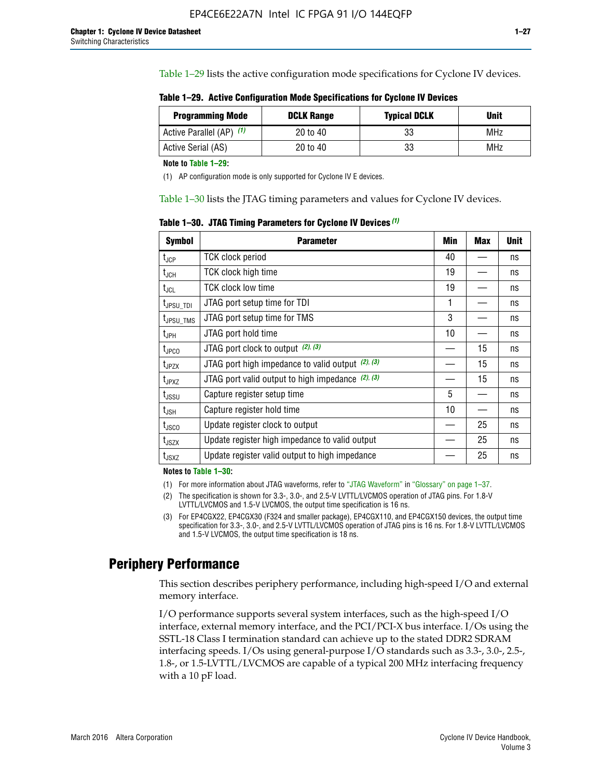Table 1–29 lists the active configuration mode specifications for Cyclone IV devices.

**Table 1–29. Active Configuration Mode Specifications for Cyclone IV Devices**

| <b>Programming Mode</b>  | <b>DCLK Range</b> | <b>Typical DCLK</b> | Unit |
|--------------------------|-------------------|---------------------|------|
| Active Parallel (AP) (1) | 20 to 40          | 33                  | MHz  |
| Active Serial (AS)       | 20 to 40          | 33                  | MHz  |

**Note to Table 1–29:**

(1) AP configuration mode is only supported for Cyclone IV E devices.

Table 1–30 lists the JTAG timing parameters and values for Cyclone IV devices.

**Table 1–30. JTAG Timing Parameters for Cyclone IV Devices** *(1)*

| Symbol                       | <b>Parameter</b>                                       | <b>Min</b> | <b>Max</b> | <b>Unit</b> |
|------------------------------|--------------------------------------------------------|------------|------------|-------------|
| t <sub>JCP</sub>             | <b>TCK clock period</b>                                | 40         |            | ns          |
| t <sub>JCH</sub>             | <b>TCK clock high time</b>                             | 19         |            | ns          |
| $t_{JCL}$                    | TCK clock low time                                     | 19         |            | ns          |
| t <sub>JPSU_TDI</sub>        | JTAG port setup time for TDI                           | 1          |            | ns          |
| t <sub>JPSU_TMS</sub>        | JTAG port setup time for TMS                           | 3          |            | ns          |
| t <sub>JPH</sub>             | JTAG port hold time                                    | 10         |            | ns          |
| t <sub>JPCO</sub>            | JTAG port clock to output $(2)$ , $(3)$                |            | 15         | ns          |
| t <sub>JPZX</sub>            | JTAG port high impedance to valid output $(2)$ , $(3)$ |            | 15         | ns          |
| t <sub>JPXZ</sub>            | JTAG port valid output to high impedance $(2)$ , $(3)$ |            | 15         | ns          |
| ${\rm t}_{\rm JSSU}$         | Capture register setup time                            | 5          |            | ns          |
| $\mathsf{t}_{\mathsf{JSH}}$  | Capture register hold time                             | 10         |            | ns          |
| $t_{\rm JSCO}$               | Update register clock to output                        |            | 25         | ns          |
| $t_{\footnotesize \rm JSZX}$ | Update register high impedance to valid output         |            | 25         | ns          |
| t <sub>JSXZ</sub>            | Update register valid output to high impedance         |            | 25         | ns          |

**Notes to Table 1–30:**

(1) For more information about JTAG waveforms, refer to "JTAG Waveform" in "Glossary" on page 1–37.

(2) The specification is shown for 3.3-, 3.0-, and 2.5-V LVTTL/LVCMOS operation of JTAG pins. For 1.8-V LVTTL/LVCMOS and 1.5-V LVCMOS, the output time specification is 16 ns.

(3) For EP4CGX22, EP4CGX30 (F324 and smaller package), EP4CGX110, and EP4CGX150 devices, the output time specification for 3.3-, 3.0-, and 2.5-V LVTTL/LVCMOS operation of JTAG pins is 16 ns. For 1.8-V LVTTL/LVCMOS and 1.5-V LVCMOS, the output time specification is 18 ns.

## **Periphery Performance**

This section describes periphery performance, including high-speed I/O and external memory interface.

I/O performance supports several system interfaces, such as the high-speed I/O interface, external memory interface, and the PCI/PCI-X bus interface. I/Os using the SSTL-18 Class I termination standard can achieve up to the stated DDR2 SDRAM interfacing speeds. I/Os using general-purpose I/O standards such as 3.3-, 3.0-, 2.5-, 1.8-, or 1.5-LVTTL/LVCMOS are capable of a typical 200 MHz interfacing frequency with a 10 pF load.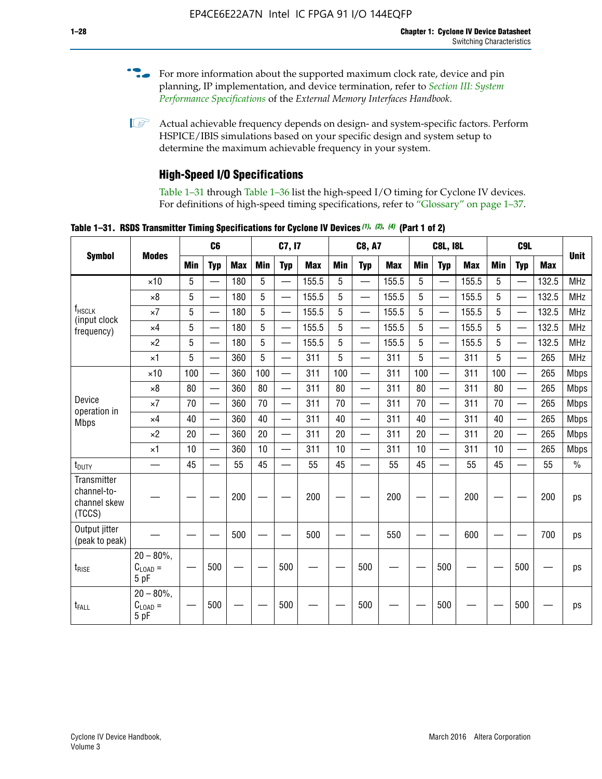- For more information about the supported maximum clock rate, device and pin planning, IP implementation, and device termination, refer to *[Section III: System](http://www.altera.com/literature/hb/external-memory/emi_intro_specs.pdf)  [Performance Specifications](http://www.altera.com/literature/hb/external-memory/emi_intro_specs.pdf)* of the *External Memory Interfaces Handbook*.
- **1 Actual achievable frequency depends on design- and system-specific factors. Perform** HSPICE/IBIS simulations based on your specific design and system setup to determine the maximum achievable frequency in your system.

## **High-Speed I/O Specifications**

Table 1–31 through Table 1–36 list the high-speed I/O timing for Cyclone IV devices. For definitions of high-speed timing specifications, refer to "Glossary" on page 1–37.

**Table 1–31. RSDS Transmitter Timing Specifications for Cyclone IV Devices** *(1)***,** *(2)***,** *(4)* **(Part 1 of 2)**

|                                                             |                                     |            | C <sub>6</sub>           |            |            | C7, I7                   |            |                 | <b>C8, A7</b>            |            |     | <b>C8L, I8L</b>          |            | C <sub>9</sub> L |                          |            |               |
|-------------------------------------------------------------|-------------------------------------|------------|--------------------------|------------|------------|--------------------------|------------|-----------------|--------------------------|------------|-----|--------------------------|------------|------------------|--------------------------|------------|---------------|
| <b>Symbol</b>                                               | <b>Modes</b>                        | <b>Min</b> | <b>Typ</b>               | <b>Max</b> | <b>Min</b> | <b>Typ</b>               | <b>Max</b> | <b>Min</b>      | <b>Typ</b>               | <b>Max</b> | Min | <b>Typ</b>               | <b>Max</b> | Min              | <b>Typ</b>               | <b>Max</b> | <b>Unit</b>   |
|                                                             | $\times$ 10                         | 5          | $\qquad \qquad$          | 180        | 5          | $\overline{\phantom{0}}$ | 155.5      | 5               | $\overline{\phantom{0}}$ | 155.5      | 5   | $\overline{\phantom{0}}$ | 155.5      | 5                | —                        | 132.5      | <b>MHz</b>    |
|                                                             | $\times 8$                          | 5          | $\overline{\phantom{0}}$ | 180        | 5          | $\overline{\phantom{0}}$ | 155.5      | $5\phantom{.0}$ | $\overline{\phantom{0}}$ | 155.5      | 5   | $\overline{\phantom{0}}$ | 155.5      | 5                |                          | 132.5      | <b>MHz</b>    |
| f <sub>HSCLK</sub><br>(input clock                          | $\times 7$                          | 5          | $\overline{\phantom{0}}$ | 180        | 5          |                          | 155.5      | $5\overline{)}$ | $\overline{\phantom{0}}$ | 155.5      | 5   |                          | 155.5      | 5                |                          | 132.5      | <b>MHz</b>    |
| frequency)                                                  | $\times$ 4                          | 5          |                          | 180        | 5          |                          | 155.5      | 5               | $\overline{\phantom{0}}$ | 155.5      | 5   |                          | 155.5      | 5                |                          | 132.5      | <b>MHz</b>    |
|                                                             | $\times 2$                          | 5          |                          | 180        | 5          | $\overline{\phantom{0}}$ | 155.5      | 5               | $\overline{\phantom{0}}$ | 155.5      | 5   | $\overline{\phantom{0}}$ | 155.5      | 5                | $\overline{\phantom{0}}$ | 132.5      | <b>MHz</b>    |
|                                                             | $\times$ 1                          | 5          | $\overline{\phantom{0}}$ | 360        | 5          | $\overline{\phantom{0}}$ | 311        | 5               | $\equiv$                 | 311        | 5   | $\overline{\phantom{0}}$ | 311        | 5                | $\overline{\phantom{0}}$ | 265        | <b>MHz</b>    |
|                                                             | $\times$ 10                         | 100        | $\overline{\phantom{0}}$ | 360        | 100        |                          | 311        | 100             | $\overline{\phantom{0}}$ | 311        | 100 | $\overline{\phantom{0}}$ | 311        | 100              | $\overline{\phantom{0}}$ | 265        | <b>Mbps</b>   |
|                                                             | $\times 8$                          | 80         | $\overline{\phantom{0}}$ | 360        | 80         |                          | 311        | 80              | $\overline{\phantom{0}}$ | 311        | 80  | $\overline{\phantom{0}}$ | 311        | 80               |                          | 265        | <b>Mbps</b>   |
| Device<br>operation in                                      | $\times 7$                          | 70         |                          | 360        | 70         | $\equiv$                 | 311        | 70              | $\overline{\phantom{0}}$ | 311        | 70  | $\overline{\phantom{0}}$ | 311        | 70               | $\equiv$                 | 265        | <b>Mbps</b>   |
| <b>Mbps</b>                                                 | $\times$ 4                          | 40         |                          | 360        | 40         | $\overline{\phantom{0}}$ | 311        | 40              | $\overline{\phantom{0}}$ | 311        | 40  | $\overline{\phantom{0}}$ | 311        | 40               | $\overline{\phantom{0}}$ | 265        | <b>Mbps</b>   |
|                                                             | $\times 2$                          | 20         |                          | 360        | 20         |                          | 311        | 20              |                          | 311        | 20  |                          | 311        | 20               | $\overline{\phantom{0}}$ | 265        | <b>Mbps</b>   |
|                                                             | $\times$ 1                          | 10         |                          | 360        | 10         |                          | 311        | 10              | $\overline{\phantom{0}}$ | 311        | 10  | $\overline{\phantom{0}}$ | 311        | 10               |                          | 265        | <b>Mbps</b>   |
| t <sub>DUTY</sub>                                           | —                                   | 45         |                          | 55         | 45         |                          | 55         | 45              | $\overline{\phantom{0}}$ | 55         | 45  | —                        | 55         | 45               |                          | 55         | $\frac{0}{0}$ |
| <b>Transmitter</b><br>channel-to-<br>channel skew<br>(TCCS) |                                     |            |                          | 200        |            |                          | 200        |                 |                          | 200        |     |                          | 200        |                  |                          | 200        | ps            |
| Output jitter<br>(peak to peak)                             |                                     |            |                          | 500        |            |                          | 500        |                 |                          | 550        |     |                          | 600        |                  |                          | 700        | ps            |
| $t_{\text{RISE}}$                                           | $20 - 80\%$<br>$C_{LOAD} =$<br>5 pF |            | 500                      |            |            | 500                      |            |                 | 500                      |            |     | 500                      |            |                  | 500                      |            | ps            |
| t <sub>FALL</sub>                                           | $20 - 80\%$<br>$C_{LOAD} =$<br>5 pF |            | 500                      |            |            | 500                      |            |                 | 500                      |            |     | 500                      |            |                  | 500                      |            | ps            |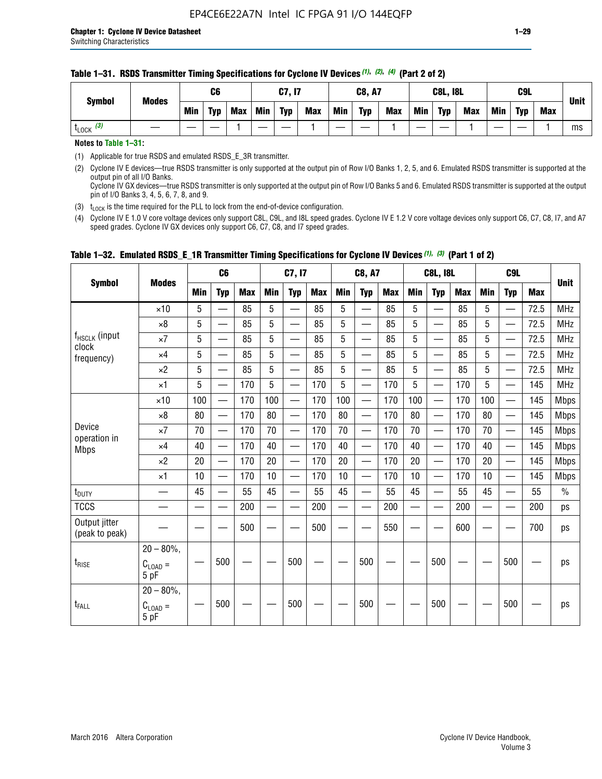| <b>Symbol</b>         | <b>Modes</b> |            | C6         |            |     | C7, I7     |            |            | <b>C8, A7</b> |            |            | <b>C8L, I8L</b> |            |            | C <sub>9</sub> L |            | <b>Unit</b> |
|-----------------------|--------------|------------|------------|------------|-----|------------|------------|------------|---------------|------------|------------|-----------------|------------|------------|------------------|------------|-------------|
|                       |              | <b>Min</b> | <b>Typ</b> | <b>Max</b> | Min | <b>Typ</b> | <b>Max</b> | <b>Min</b> | <b>Typ</b>    | <b>Max</b> | <b>Min</b> | <b>Typ</b>      | <b>Max</b> | <b>Min</b> | <b>Typ</b>       | <b>Max</b> |             |
| $t_{\text{LOCK}}$ (3) |              |            |            |            |     |            |            |            |               |            |            |                 |            |            |                  |            | ms          |

#### **Table 1–31. RSDS Transmitter Timing Specifications for Cyclone IV Devices** *(1)***,** *(2)***,** *(4)* **(Part 2 of 2)**

**Notes to Table 1–31:**

(1) Applicable for true RSDS and emulated RSDS\_E\_3R transmitter.

(2) Cyclone IV E devices—true RSDS transmitter is only supported at the output pin of Row I/O Banks 1, 2, 5, and 6. Emulated RSDS transmitter is supported at the output pin of all I/O Banks. Cyclone IV GX devices—true RSDS transmitter is only supported at the output pin of Row I/O Banks 5 and 6. Emulated RSDS transmitter is supported at the output

pin of I/O Banks 3, 4, 5, 6, 7, 8, and 9. (3)  $t_{\text{LOCK}}$  is the time required for the PLL to lock from the end-of-device configuration.

(4) Cyclone IV E 1.0 V core voltage devices only support C8L, C9L, and I8L speed grades. Cyclone IV E 1.2 V core voltage devices only support C6, C7, C8, I7, and A7 speed grades. Cyclone IV GX devices only support C6, C7, C8, and I7 speed grades.

|                                 |                                       |            | C <sub>6</sub>           |            |                          | C7, I7                   |            |            | <b>C8, A7</b>            |            |            | <b>C8L, I8L</b>          |            |     | C <sub>9</sub> L                          |            | <b>Unit</b>   |
|---------------------------------|---------------------------------------|------------|--------------------------|------------|--------------------------|--------------------------|------------|------------|--------------------------|------------|------------|--------------------------|------------|-----|-------------------------------------------|------------|---------------|
| <b>Symbol</b>                   | <b>Modes</b>                          | <b>Min</b> | <b>Typ</b>               | <b>Max</b> | <b>Min</b>               | <b>Typ</b>               | <b>Max</b> | <b>Min</b> | <b>Typ</b>               | <b>Max</b> | <b>Min</b> | <b>Typ</b>               | <b>Max</b> | Min | <b>Typ</b>                                | <b>Max</b> |               |
|                                 | $\times$ 10                           | 5          |                          | 85         | 5                        |                          | 85         | 5          |                          | 85         | 5          | —                        | 85         | 5   |                                           | 72.5       | <b>MHz</b>    |
|                                 | $\times 8$                            | 5          | $\overline{\phantom{0}}$ | 85         | 5                        | $\overline{\phantom{0}}$ | 85         | 5          | $\overline{\phantom{0}}$ | 85         | 5          | —                        | 85         | 5   |                                           | 72.5       | <b>MHz</b>    |
| f <sub>HSCLK</sub> (input       | $\times 7$                            | 5          | —                        | 85         | 5                        | $\overline{\phantom{0}}$ | 85         | 5          | $\overline{\phantom{0}}$ | 85         | 5          | $\overline{\phantom{0}}$ | 85         | 5   | $\qquad \qquad$                           | 72.5       | <b>MHz</b>    |
| clock<br>frequency)             | $\times$ 4                            | 5          | $\overline{\phantom{0}}$ | 85         | 5                        | $\overline{\phantom{0}}$ | 85         | 5          | $\overline{\phantom{0}}$ | 85         | 5          | $\overline{\phantom{0}}$ | 85         | 5   |                                           | 72.5       | <b>MHz</b>    |
|                                 | $\times 2$                            | 5          | $\equiv$                 | 85         | 5                        | $\overline{\phantom{0}}$ | 85         | 5          | $\equiv$                 | 85         | 5          | $\overline{\phantom{0}}$ | 85         | 5   | $\qquad \qquad$                           | 72.5       | <b>MHz</b>    |
|                                 | $\times$ 1                            | 5          | $\overline{\phantom{0}}$ | 170        | 5                        |                          | 170        | 5          |                          | 170        | 5          | $\overline{\phantom{0}}$ | 170        | 5   |                                           | 145        | <b>MHz</b>    |
|                                 | $\times$ 10                           | 100        | $\overline{\phantom{0}}$ | 170        | 100                      |                          | 170        | 100        | $\overline{\phantom{0}}$ | 170        | 100        | $\overline{\phantom{0}}$ | 170        | 100 |                                           | 145        | <b>Mbps</b>   |
|                                 | $\times 8$                            | 80         | $\overline{\phantom{0}}$ | 170        | 80                       | $\overline{\phantom{0}}$ | 170        | 80         | $\overline{\phantom{0}}$ | 170        | 80         | —                        | 170        | 80  |                                           | 145        | <b>Mbps</b>   |
| Device                          | $\times 7$                            | 70         | $\overline{\phantom{0}}$ | 170        | 70                       | $\overline{\phantom{0}}$ | 170        | 70         | $\equiv$                 | 170        | 70         | $\overline{\phantom{0}}$ | 170        | 70  | $\qquad \qquad \overline{\qquad \qquad }$ | 145        | <b>Mbps</b>   |
| operation in<br><b>Mbps</b>     | $\times 4$                            | 40         |                          | 170        | 40                       | $\overline{\phantom{0}}$ | 170        | 40         | $\overline{\phantom{0}}$ | 170        | 40         | $\overline{\phantom{0}}$ | 170        | 40  |                                           | 145        | <b>Mbps</b>   |
|                                 | $\times 2$                            | 20         |                          | 170        | 20                       |                          | 170        | 20         | $\overline{\phantom{m}}$ | 170        | 20         | $\overline{\phantom{0}}$ | 170        | 20  | $\qquad \qquad$                           | 145        | <b>Mbps</b>   |
|                                 | $\times$ 1                            | 10         | $\overline{\phantom{0}}$ | 170        | 10                       |                          | 170        | 10         | $\overline{\phantom{0}}$ | 170        | 10         | $\overline{\phantom{0}}$ | 170        | 10  |                                           | 145        | <b>Mbps</b>   |
| $t_{\text{DUTY}}$               |                                       | 45         | $\equiv$                 | 55         | 45                       | $\equiv$                 | 55         | 45         |                          | 55         | 45         | $\overline{\phantom{0}}$ | 55         | 45  |                                           | 55         | $\frac{0}{0}$ |
| <b>TCCS</b>                     |                                       |            | —                        | 200        | $\overline{\phantom{0}}$ |                          | 200        | —          |                          | 200        | —          | —                        | 200        |     |                                           | 200        | ps            |
| Output jitter<br>(peak to peak) |                                       |            |                          | 500        |                          |                          | 500        |            |                          | 550        |            |                          | 600        |     |                                           | 700        | ps            |
| $t_{\text{RISE}}$               | $20 - 80\%$ ,<br>$C_{LOAD} =$<br>5 pF |            | 500                      |            |                          | 500                      |            |            | 500                      |            |            | 500                      |            |     | 500                                       |            | ps            |
| t <sub>FALL</sub>               | $20 - 80\%$ .<br>$C_{LOAD} =$<br>5 pF |            | 500                      |            |                          | 500                      |            |            | 500                      |            |            | 500                      |            |     | 500                                       |            | ps            |

#### **Table 1–32. Emulated RSDS\_E\_1R Transmitter Timing Specifications for Cyclone IV Devices** *(1), (3)* **(Part 1 of 2)**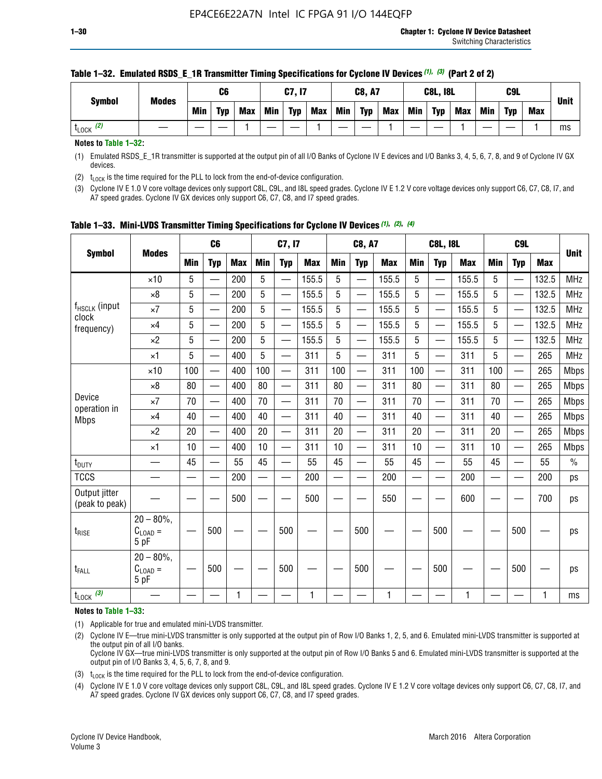|              | C6         |            |     |            |            |               |            |     |               |            |            |                 | C <sub>9</sub> L |            |             |
|--------------|------------|------------|-----|------------|------------|---------------|------------|-----|---------------|------------|------------|-----------------|------------------|------------|-------------|
| Min          | <b>Typ</b> | <b>Max</b> | Min | <b>Typ</b> | <b>Max</b> | Min           | <b>Typ</b> | Max | <b>Min</b>    | <b>Typ</b> | <b>Max</b> | Min             | <b>Typ</b>       | <b>Max</b> | <b>Unit</b> |
|              |            |            |     |            |            |               |            |     |               |            |            |                 |                  |            | ms          |
| <b>Modes</b> |            |            |     |            |            | <b>C7, I7</b> |            |     | <b>C8, A7</b> |            |            | <b>C8L, I8L</b> |                  |            |             |

#### **Table 1–32. Emulated RSDS\_E\_1R Transmitter Timing Specifications for Cyclone IV Devices** *(1), (3)* **(Part 2 of 2)**

**Notes to Table 1–32:**

(1) Emulated RSDS\_E\_1R transmitter is supported at the output pin of all I/O Banks of Cyclone IV E devices and I/O Banks 3, 4, 5, 6, 7, 8, and 9 of Cyclone IV GX devices.

(2)  $t_{\text{LOCK}}$  is the time required for the PLL to lock from the end-of-device configuration.

(3) Cyclone IV E 1.0 V core voltage devices only support C8L, C9L, and I8L speed grades. Cyclone IV E 1.2 V core voltage devices only support C6, C7, C8, I7, and A7 speed grades. Cyclone IV GX devices only support C6, C7, C8, and I7 speed grades.

| <b>Symbol</b>                   |                                     |            | C <sub>6</sub>           |            |            | C7, I7                   |            |            | <b>C8, A7</b>            |            |                          | <b>C8L, I8L</b>          |            |            | C <sub>9</sub> L |            |             |
|---------------------------------|-------------------------------------|------------|--------------------------|------------|------------|--------------------------|------------|------------|--------------------------|------------|--------------------------|--------------------------|------------|------------|------------------|------------|-------------|
|                                 | <b>Modes</b>                        | <b>Min</b> | <b>Typ</b>               | <b>Max</b> | <b>Min</b> | <b>Typ</b>               | <b>Max</b> | <b>Min</b> | <b>Typ</b>               | <b>Max</b> | <b>Min</b>               | <b>Typ</b>               | <b>Max</b> | <b>Min</b> | <b>Typ</b>       | <b>Max</b> | <b>Unit</b> |
|                                 | $\times$ 10                         | 5          | —<br>—                   | 200        | 5          |                          | 155.5      | 5          | ÷,                       | 155.5      | 5                        | $\overline{\phantom{0}}$ | 155.5      | 5          |                  | 132.5      | <b>MHz</b>  |
|                                 | $\times 8$                          | 5          | $\overline{\phantom{0}}$ | 200        | 5          | $\overline{\phantom{0}}$ | 155.5      | 5          | —                        | 155.5      | 5                        |                          | 155.5      | 5          |                  | 132.5      | <b>MHz</b>  |
| f <sub>HSCLK</sub> (input       | $\times 7$                          | 5          | $\overline{\phantom{0}}$ | 200        | 5          | —                        | 155.5      | 5          | $\overline{\phantom{0}}$ | 155.5      | 5                        |                          | 155.5      | 5          | —                | 132.5      | <b>MHz</b>  |
| clock<br>frequency)             | $\times$ 4                          | 5          | $\overline{\phantom{0}}$ | 200        | 5          | —                        | 155.5      | 5          | $\overline{\phantom{0}}$ | 155.5      | 5                        | $\overline{\phantom{0}}$ | 155.5      | 5          | —                | 132.5      | <b>MHz</b>  |
|                                 | $\times 2$                          | 5          | $\overline{\phantom{0}}$ | 200        | 5          | $\overline{\phantom{0}}$ | 155.5      | 5          | $\overline{\phantom{0}}$ | 155.5      | 5                        | $\overline{\phantom{0}}$ | 155.5      | 5          |                  | 132.5      | <b>MHz</b>  |
|                                 | $\times$ 1                          | 5          | $\overline{\phantom{0}}$ | 400        | 5          |                          | 311        | 5          | —                        | 311        | 5                        | $\overline{\phantom{0}}$ | 311        | 5          |                  | 265        | <b>MHz</b>  |
|                                 | $\times$ 10                         | 100        |                          | 400        | 100        | $\overline{\phantom{0}}$ | 311        | 100        | $\overline{\phantom{0}}$ | 311        | 100                      | $\overline{\phantom{0}}$ | 311        | 100        |                  | 265        | <b>Mbps</b> |
|                                 | $\times 8$                          | 80         | $\overline{\phantom{0}}$ | 400        | 80         | $\equiv$                 | 311        | 80         | $\overline{\phantom{0}}$ | 311        | 80                       | —                        | 311        | 80         |                  | 265        | <b>Mbps</b> |
| Device                          | $\times 7$                          | 70         | $\overline{\phantom{0}}$ | 400        | 70         | $\overline{\phantom{0}}$ | 311        | 70         | $\qquad \qquad$          | 311        | 70                       |                          | 311        | 70         |                  | 265        | <b>Mbps</b> |
| operation in<br><b>Mbps</b>     | $\times 4$                          | 40         | $\overline{\phantom{0}}$ | 400        | 40         |                          | 311        | 40         | er<br>Here               | 311        | 40                       | $\overline{\phantom{0}}$ | 311        | 40         |                  | 265        | <b>Mbps</b> |
|                                 | $\times 2$                          | 20         | $\overline{\phantom{0}}$ | 400        | 20         | —                        | 311        | 20         | $\overline{\phantom{0}}$ | 311        | 20                       | $\overline{\phantom{0}}$ | 311        | 20         |                  | 265        | <b>Mbps</b> |
|                                 | ×1                                  | 10         | $\overline{\phantom{0}}$ | 400        | 10         | —                        | 311        | 10         | $\overline{\phantom{0}}$ | 311        | 10                       | $\overline{\phantom{0}}$ | 311        | 10         |                  | 265        | <b>Mbps</b> |
| t <sub>DUTY</sub>               |                                     | 45         | $\qquad \qquad$          | 55         | 45         |                          | 55         | 45         | $\overline{\phantom{0}}$ | 55         | 45                       | —                        | 55         | 45         |                  | 55         | $\%$        |
| <b>TCCS</b>                     |                                     |            |                          | 200        | —          |                          | 200        |            |                          | 200        | $\overline{\phantom{0}}$ |                          | 200        |            |                  | 200        | ps          |
| Output jitter<br>(peak to peak) |                                     |            |                          | 500        |            |                          | 500        |            |                          | 550        |                          |                          | 600        |            |                  | 700        | ps          |
| $t_{\text{RISE}}$               | $20 - 80\%$<br>$C_{LOAD} =$<br>5 pF |            | 500                      |            |            | 500                      |            |            | 500                      |            |                          | 500                      |            |            | 500              |            | ps          |
| t <sub>FALL</sub>               | $20 - 80\%$<br>$C_{LOAD} =$<br>5 pF |            | 500                      |            |            | 500                      |            |            | 500                      |            |                          | 500                      |            |            | 500              |            | ps          |
| $t_{\text{LOCK}}$ (3)           |                                     |            |                          | 1          |            |                          | 1          |            |                          | 1          |                          |                          | 1          |            |                  | 1          | ms          |

**Table 1–33. Mini-LVDS Transmitter Timing Specifications for Cyclone IV Devices** *(1)***,** *(2)***,** *(4)*

**Notes to Table 1–33:**

(1) Applicable for true and emulated mini-LVDS transmitter.

(2) Cyclone IV E—true mini-LVDS transmitter is only supported at the output pin of Row I/O Banks 1, 2, 5, and 6. Emulated mini-LVDS transmitter is supported at the output pin of all I/O banks.

Cyclone IV GX—true mini-LVDS transmitter is only supported at the output pin of Row I/O Banks 5 and 6. Emulated mini-LVDS transmitter is supported at the output pin of I/O Banks 3, 4, 5, 6, 7, 8, and 9.

(3)  $t_{\text{LOCK}}$  is the time required for the PLL to lock from the end-of-device configuration.

(4) Cyclone IV E 1.0 V core voltage devices only support C8L, C9L, and I8L speed grades. Cyclone IV E 1.2 V core voltage devices only support C6, C7, C8, I7, and A7 speed grades. Cyclone IV GX devices only support C6, C7, C8, and I7 speed grades.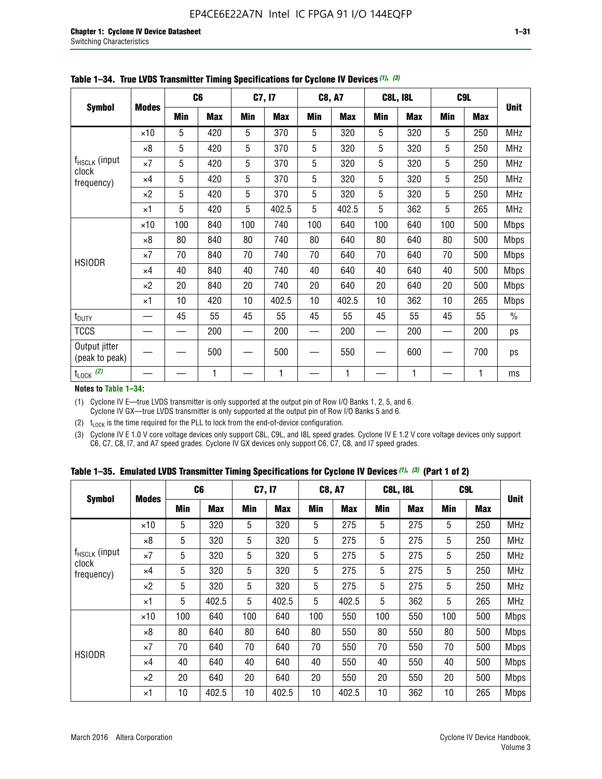|                                 |              |     | C <sub>6</sub> |     | C7, I7     |     | <b>C8, A7</b> |             | <b>C8L, I8L</b> |            | C <sub>9</sub> L | <b>Unit</b>   |
|---------------------------------|--------------|-----|----------------|-----|------------|-----|---------------|-------------|-----------------|------------|------------------|---------------|
| <b>Symbol</b>                   | <b>Modes</b> | Min | <b>Max</b>     | Min | <b>Max</b> | Min | <b>Max</b>    | Min         | <b>Max</b>      | <b>Min</b> | <b>Max</b>       |               |
|                                 | $\times$ 10  | 5   | 420            | 5   | 370        | 5   | 320           | 5           | 320             | 5          | 250              | <b>MHz</b>    |
|                                 | $\times 8$   | 5   | 420            | 5   | 370        | 5   | 320           | $\mathbf 5$ | 320             | 5          | 250              | <b>MHz</b>    |
| $f_{HSCLK}$ (input<br>clock     | $\times 7$   | 5   | 420            | 5   | 370        | 5   | 320           | 5           | 320             | 5          | 250              | <b>MHz</b>    |
| frequency)                      | $\times$ 4   | 5   | 420            | 5   | 370        | 5   | 320           | 5           | 320             | 5          | 250              | MHz           |
|                                 | $\times 2$   | 5   | 420            | 5   | 370        | 5   | 320           | 5           | 320             | 5          | 250              | <b>MHz</b>    |
|                                 | $\times$ 1   | 5   | 420            | 5   | 402.5      | 5   | 402.5         | 5           | 362             | 5          | 265              | <b>MHz</b>    |
|                                 | $\times$ 10  | 100 | 840            | 100 | 740        | 100 | 640           | 100         | 640             | 100        | 500              | Mbps          |
|                                 | $\times 8$   | 80  | 840            | 80  | 740        | 80  | 640           | 80          | 640             | 80         | 500              | <b>Mbps</b>   |
| <b>HSIODR</b>                   | $\times 7$   | 70  | 840            | 70  | 740        | 70  | 640           | 70          | 640             | 70         | 500              | <b>Mbps</b>   |
|                                 | $\times$ 4   | 40  | 840            | 40  | 740        | 40  | 640           | 40          | 640             | 40         | 500              | Mbps          |
|                                 | $\times 2$   | 20  | 840            | 20  | 740        | 20  | 640           | 20          | 640             | 20         | 500              | <b>Mbps</b>   |
|                                 | $\times$ 1   | 10  | 420            | 10  | 402.5      | 10  | 402.5         | 10          | 362             | 10         | 265              | <b>Mbps</b>   |
| t <sub>DUTY</sub>               |              | 45  | 55             | 45  | 55         | 45  | 55            | 45          | 55              | 45         | 55               | $\frac{0}{0}$ |
| <b>TCCS</b>                     |              |     | 200            |     | 200        |     | 200           |             | 200             |            | 200              | ps            |
| Output jitter<br>(peak to peak) |              |     | 500            |     | 500        |     | 550           |             | 600             |            | 700              | ps            |
| $t_{\text{LOCK}}$ (2)           |              |     | 1              |     | 1          |     | 1             |             | 1               |            | 1                | ms            |

**Table 1–34. True LVDS Transmitter Timing Specifications for Cyclone IV Devices** *(1)***,** *(3)*

**Notes to Table 1–34:**

(1) Cyclone IV E—true LVDS transmitter is only supported at the output pin of Row I/O Banks 1, 2, 5, and 6. Cyclone IV GX—true LVDS transmitter is only supported at the output pin of Row I/O Banks 5 and 6.

(2)  $t_{\text{LOCK}}$  is the time required for the PLL to lock from the end-of-device configuration.

(3) Cyclone IV E 1.0 V core voltage devices only support C8L, C9L, and I8L speed grades. Cyclone IV E 1.2 V core voltage devices only support C6, C7, C8, I7, and A7 speed grades. Cyclone IV GX devices only support C6, C7, C8, and I7 speed grades.

|  |  |  |  | Table 1–35. Emulated LVDS Transmitter Timing Specifications for Cyclone IV Devices <sup>(1),</sup> <sup>(3)</sup> (Part 1 of 2) |  |  |
|--|--|--|--|---------------------------------------------------------------------------------------------------------------------------------|--|--|
|--|--|--|--|---------------------------------------------------------------------------------------------------------------------------------|--|--|

| <b>Symbol</b>               |              |                                                                                                                                                                                                                                                                                                                                                                                                                                                                                                                                                                                                                                                                        |            |            |            |            |            |            |            |            |            |             |
|-----------------------------|--------------|------------------------------------------------------------------------------------------------------------------------------------------------------------------------------------------------------------------------------------------------------------------------------------------------------------------------------------------------------------------------------------------------------------------------------------------------------------------------------------------------------------------------------------------------------------------------------------------------------------------------------------------------------------------------|------------|------------|------------|------------|------------|------------|------------|------------|------------|-------------|
|                             | <b>Modes</b> | Min                                                                                                                                                                                                                                                                                                                                                                                                                                                                                                                                                                                                                                                                    | <b>Max</b> | <b>Min</b> | <b>Max</b> | <b>Min</b> | <b>Max</b> | <b>Min</b> | <b>Max</b> | <b>Min</b> | <b>Max</b> | <b>Unit</b> |
|                             | $\times$ 10  | 5                                                                                                                                                                                                                                                                                                                                                                                                                                                                                                                                                                                                                                                                      | 320        | 5          | 320        | 5          | 275        | 5          | 275        | 5          | 250        | <b>MHz</b>  |
|                             | $\times 8$   | C <sub>6</sub><br>C <sub>9</sub> L<br>C7, I7<br><b>C8, A7</b><br><b>C8L, I8L</b><br>5<br>5<br>5<br>5<br>5<br>320<br>320<br>275<br>275<br>5<br>5<br>5<br>5<br>5<br>320<br>320<br>275<br>275<br>5<br>5<br>5<br>5<br>5<br>320<br>320<br>275<br>275<br>5<br>5<br>5<br>5<br>5<br>320<br>320<br>275<br>275<br>5<br>5<br>5<br>5<br>5<br>362<br>402.5<br>402.5<br>402.5<br>100<br>640<br>100<br>640<br>100<br>550<br>100<br>550<br>100<br>80<br>80<br>640<br>80<br>640<br>550<br>80<br>80<br>550<br>70<br>70<br>640<br>70<br>70<br>70<br>640<br>550<br>550<br>640<br>640<br>40<br>550<br>550<br>40<br>40<br>40<br>40<br>20<br>20<br>640<br>20<br>640<br>550<br>20<br>550<br>20 | 250        | <b>MHz</b> |            |            |            |            |            |            |            |             |
| $f_{HSCLK}$ (input<br>clock | $\times 7$   |                                                                                                                                                                                                                                                                                                                                                                                                                                                                                                                                                                                                                                                                        |            |            |            |            |            |            |            |            | 250        | <b>MHz</b>  |
| frequency)                  | $\times$ 4   |                                                                                                                                                                                                                                                                                                                                                                                                                                                                                                                                                                                                                                                                        |            |            |            |            |            |            |            |            | 250        | <b>MHz</b>  |
|                             | $\times 2$   |                                                                                                                                                                                                                                                                                                                                                                                                                                                                                                                                                                                                                                                                        |            |            |            |            |            |            |            |            | 250        | <b>MHz</b>  |
|                             | $\times$ 1   |                                                                                                                                                                                                                                                                                                                                                                                                                                                                                                                                                                                                                                                                        |            |            |            |            |            |            |            |            | 265        | <b>MHz</b>  |
|                             | $\times$ 10  |                                                                                                                                                                                                                                                                                                                                                                                                                                                                                                                                                                                                                                                                        |            |            |            |            |            |            |            |            | 500        | <b>Mbps</b> |
|                             | $\times 8$   |                                                                                                                                                                                                                                                                                                                                                                                                                                                                                                                                                                                                                                                                        |            |            |            |            |            |            |            |            | 500        | <b>Mbps</b> |
| <b>HSIODR</b>               | $\times 7$   |                                                                                                                                                                                                                                                                                                                                                                                                                                                                                                                                                                                                                                                                        |            |            |            |            |            |            |            |            | 500        | <b>Mbps</b> |
|                             | $\times$ 4   |                                                                                                                                                                                                                                                                                                                                                                                                                                                                                                                                                                                                                                                                        |            |            |            |            |            |            |            |            | 500        | <b>Mbps</b> |
|                             | $\times 2$   |                                                                                                                                                                                                                                                                                                                                                                                                                                                                                                                                                                                                                                                                        |            |            |            |            |            |            |            |            | 500        | <b>Mbps</b> |
|                             | $\times$ 1   | 10                                                                                                                                                                                                                                                                                                                                                                                                                                                                                                                                                                                                                                                                     | 402.5      | 10         | 402.5      | 10         | 402.5      | 10         | 362        | 10         | 265        | <b>Mbps</b> |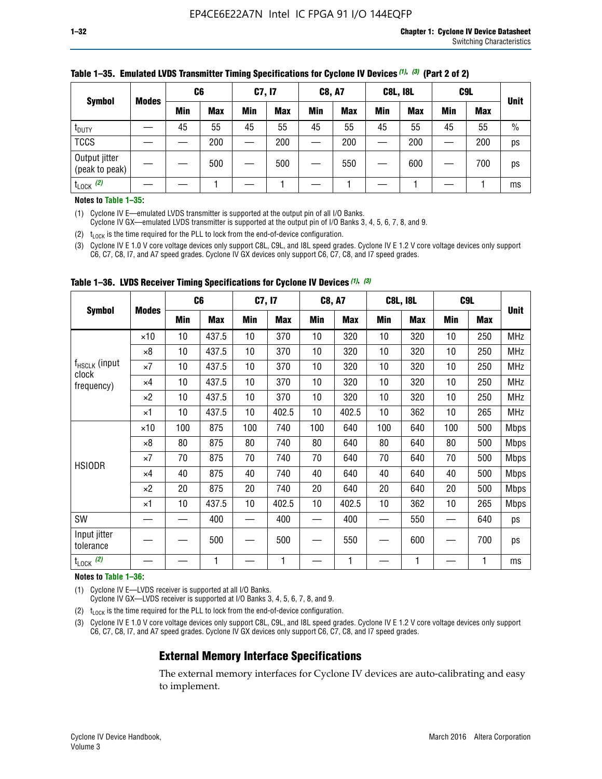|                                 | <b>Modes</b> | C6  |            | <b>C7, I7</b> |            | <b>C8, A7</b> |            | <b>C8L, I8L</b> |            |     | C <sub>9</sub> L | <b>Unit</b>   |
|---------------------------------|--------------|-----|------------|---------------|------------|---------------|------------|-----------------|------------|-----|------------------|---------------|
| <b>Symbol</b>                   |              | Min | <b>Max</b> | <b>Min</b>    | <b>Max</b> | Min           | <b>Max</b> | Min             | <b>Max</b> | Min | <b>Max</b>       |               |
| $t_{\text{DUTY}}$               |              | 45  | 55         | 45            | 55         | 45            | 55         | 45              | 55         | 45  | 55               | $\frac{0}{0}$ |
| <b>TCCS</b>                     |              |     | 200        |               | 200        |               | 200        |                 | 200        | —   | 200              | ps            |
| Output jitter<br>(peak to peak) |              |     | 500        |               | 500        |               | 550        |                 | 600        | —   | 700              | ps            |
| $t_{\text{LOCK}}$ (2)           |              |     |            |               |            |               |            |                 |            |     |                  | ms            |

#### **Table 1–35. Emulated LVDS Transmitter Timing Specifications for Cyclone IV Devices** *(1)***,** *(3)* **(Part 2 of 2)**

#### **Notes to Table 1–35:**

(1) Cyclone IV E—emulated LVDS transmitter is supported at the output pin of all I/O Banks.

Cyclone IV GX—emulated LVDS transmitter is supported at the output pin of I/O Banks 3, 4, 5, 6, 7, 8, and 9.

(2)  $t_{\text{LOCK}}$  is the time required for the PLL to lock from the end-of-device configuration.

(3) Cyclone IV E 1.0 V core voltage devices only support C8L, C9L, and I8L speed grades. Cyclone IV E 1.2 V core voltage devices only support C6, C7, C8, I7, and A7 speed grades. Cyclone IV GX devices only support C6, C7, C8, and I7 speed grades.

| <b>Symbol</b>                                    |              | C <sub>6</sub> |            | C7, I7     |            | <b>C8, A7</b> |            |            | <b>C8L, I8L</b> | C <sub>9</sub> L         |            |             |
|--------------------------------------------------|--------------|----------------|------------|------------|------------|---------------|------------|------------|-----------------|--------------------------|------------|-------------|
|                                                  | <b>Modes</b> | <b>Min</b>     | <b>Max</b> | <b>Min</b> | <b>Max</b> | Min           | <b>Max</b> | <b>Min</b> | <b>Max</b>      | <b>Min</b>               | <b>Max</b> | <b>Unit</b> |
|                                                  | $\times 10$  | 10             | 437.5      | 10         | 370        | 10            | 320        | 10         | 320             | 10                       | 250        | <b>MHz</b>  |
|                                                  | $\times 8$   | 10             | 437.5      | 10         | 370        | 10            | 320        | 10         | 320             | 10                       | 250        | <b>MHz</b>  |
| f <sub>HSCLK</sub> (input<br>clock<br>frequency) | $\times 7$   | 10             | 437.5      | 10         | 370        | 10            | 320        | 10         | 320             | 10                       | 250        | <b>MHz</b>  |
|                                                  | ×4           | 10             | 437.5      | 10         | 370        | 10            | 320        | 10         | 320             | 10                       | 250        | <b>MHz</b>  |
|                                                  | $\times 2$   | 10             | 437.5      | 10         | 370        | 10            | 320        | 10         | 320             | 10                       | 250        | <b>MHz</b>  |
|                                                  | ×1           | 10             | 437.5      | 10         | 402.5      | 10            | 402.5      | 10         | 362             | 10                       | 265        | <b>MHz</b>  |
|                                                  | $\times$ 10  | 100            | 875        | 100        | 740        | 100           | 640        | 100        | 640             | 100                      | 500        | <b>Mbps</b> |
|                                                  | $\times 8$   | 80             | 875        | 80         | 740        | 80            | 640        | 80         | 640             | 80                       | 500        | <b>Mbps</b> |
| <b>HSIODR</b>                                    | $\times 7$   | 70             | 875        | 70         | 740        | 70            | 640        | 70         | 640             | 70                       | 500        | <b>Mbps</b> |
|                                                  | $\times 4$   | 40             | 875        | 40         | 740        | 40            | 640        | 40         | 640             | 40                       | 500        | Mbps        |
|                                                  | $\times 2$   | 20             | 875        | 20         | 740        | 20            | 640        | 20         | 640             | 20                       | 500        | Mbps        |
|                                                  | ×1           | 10             | 437.5      | 10         | 402.5      | 10            | 402.5      | 10         | 362             | 10                       | 265        | <b>Mbps</b> |
| SW                                               |              |                | 400        |            | 400        |               | 400        |            | 550             | $\overline{\phantom{0}}$ | 640        | ps          |
| Input jitter<br>tolerance                        |              |                | 500        |            | 500        |               | 550        |            | 600             | —                        | 700        | ps          |
| $t_{\text{LOCK}}$ (2)                            |              |                | 1          |            | 1          |               | 1          |            | 1               |                          |            | ms          |

**Table 1–36. LVDS Receiver Timing Specifications for Cyclone IV Devices** *(1)***,** *(3)*

#### **Notes to Table 1–36:**

(1) Cyclone IV E—LVDS receiver is supported at all I/O Banks.

Cyclone IV GX—LVDS receiver is supported at I/O Banks 3, 4, 5, 6, 7, 8, and 9.

(2)  $t_{\text{LOCK}}$  is the time required for the PLL to lock from the end-of-device configuration.

(3) Cyclone IV E 1.0 V core voltage devices only support C8L, C9L, and I8L speed grades. Cyclone IV E 1.2 V core voltage devices only support C6, C7, C8, I7, and A7 speed grades. Cyclone IV GX devices only support C6, C7, C8, and I7 speed grades.

### **External Memory Interface Specifications**

The external memory interfaces for Cyclone IV devices are auto-calibrating and easy to implement.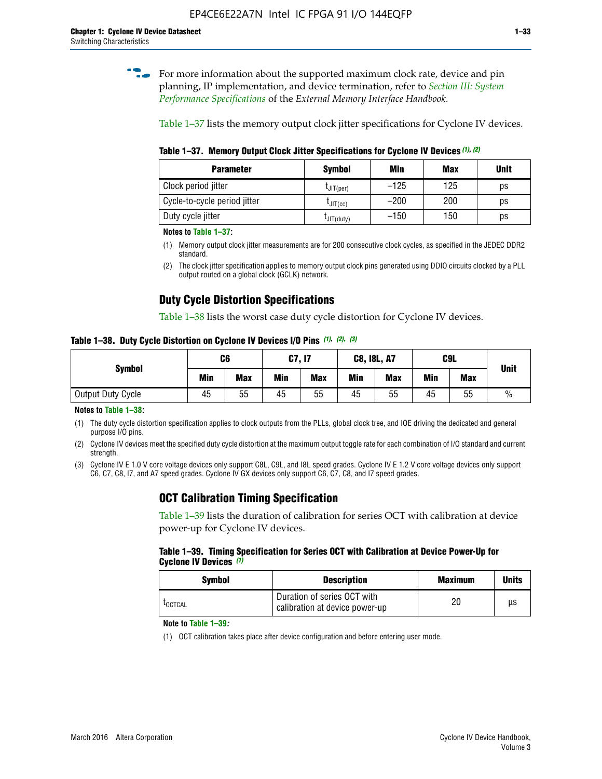**for more information about the supported maximum clock rate, device and pin** planning, IP implementation, and device termination, refer to *[Section III: System](http://www.altera.com/literature/hb/external-memory/emi_intro_specs.pdf)  [Performance Specifications](http://www.altera.com/literature/hb/external-memory/emi_intro_specs.pdf)* of the *External Memory Interface Handbook*.

Table 1–37 lists the memory output clock jitter specifications for Cyclone IV devices.

**Table 1–37. Memory Output Clock Jitter Specifications for Cyclone IV Devices** *(1)***,** *(2)*

| <b>Parameter</b>             | <b>Symbol</b>  | Min    | <b>Max</b> | <b>Unit</b> |
|------------------------------|----------------|--------|------------|-------------|
| Clock period jitter          | $L$ JIT(per)   | $-125$ | 125        | ps          |
| Cycle-to-cycle period jitter | $L$ JIT $(cc)$ | $-200$ | 200        | ps          |
| Duty cycle jitter            | LJIT(duty)     | $-150$ | 150        | рs          |

**Notes to Table 1–37:**

(1) Memory output clock jitter measurements are for 200 consecutive clock cycles, as specified in the JEDEC DDR2 standard.

(2) The clock jitter specification applies to memory output clock pins generated using DDIO circuits clocked by a PLL output routed on a global clock (GCLK) network.

## **Duty Cycle Distortion Specifications**

Table 1–38 lists the worst case duty cycle distortion for Cyclone IV devices.

**Table 1–38. Duty Cycle Distortion on Cyclone IV Devices I/O Pins** *(1)***,** *(2), (3)*

| <b>Symbol</b>     | C6         |            |            | <b>C7, I7</b> | <b>C8, I8L, A7</b> |            |     | C9L        | <b>Unit</b>   |
|-------------------|------------|------------|------------|---------------|--------------------|------------|-----|------------|---------------|
|                   | <b>Min</b> | <b>Max</b> | <b>Min</b> | <b>Max</b>    | Min                | <b>Max</b> | Min | <b>Max</b> |               |
| Output Duty Cycle | 45         | 55         | 45         | 55            | 45                 | 55         | 45  | 55         | $\frac{0}{0}$ |

**Notes to Table 1–38:**

(1) The duty cycle distortion specification applies to clock outputs from the PLLs, global clock tree, and IOE driving the dedicated and general purpose I/O pins.

(2) Cyclone IV devices meet the specified duty cycle distortion at the maximum output toggle rate for each combination of I/O standard and current strength.

(3) Cyclone IV E 1.0 V core voltage devices only support C8L, C9L, and I8L speed grades. Cyclone IV E 1.2 V core voltage devices only support C6, C7, C8, I7, and A7 speed grades. Cyclone IV GX devices only support C6, C7, C8, and I7 speed grades.

## **OCT Calibration Timing Specification**

Table 1–39 lists the duration of calibration for series OCT with calibration at device power-up for Cyclone IV devices.

#### **Table 1–39. Timing Specification for Series OCT with Calibration at Device Power-Up for Cyclone IV Devices** *(1)*

| Symbol  | <b>Description</b>                                            | <b>Maximum</b> | <b>Units</b> |
|---------|---------------------------------------------------------------|----------------|--------------|
| LOCTCAL | Duration of series OCT with<br>calibration at device power-up | 20             | μs           |

#### **Note to Table 1–39***:*

(1) OCT calibration takes place after device configuration and before entering user mode.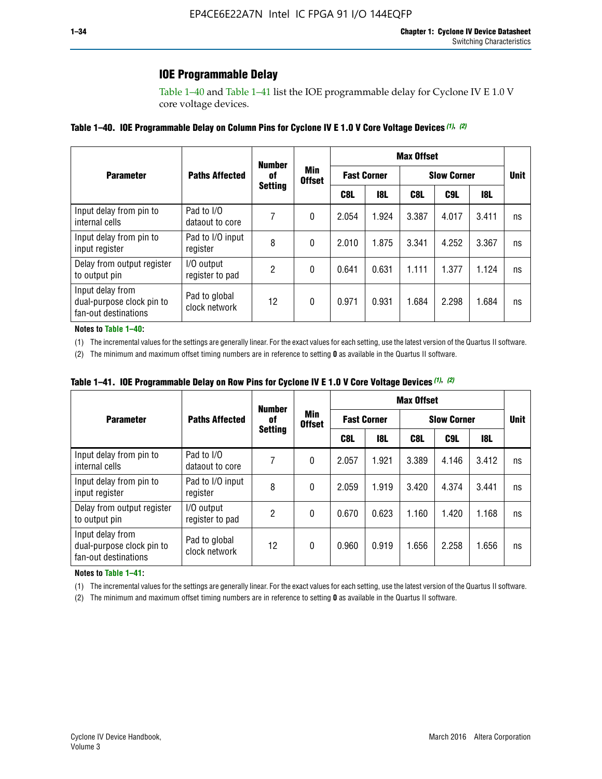## **IOE Programmable Delay**

Table 1–40 and Table 1–41 list the IOE programmable delay for Cyclone IV E 1.0 V core voltage devices.

#### **Table 1–40. IOE Programmable Delay on Column Pins for Cyclone IV E 1.0 V Core Voltage Devices** *(1)***,** *(2)*

|                                                                       |                                | <b>Number</b>  |                      |       |                    | <b>Max Offset</b> |                    |       | <b>Unit</b><br>ns<br>ns<br>ns<br>ns |
|-----------------------------------------------------------------------|--------------------------------|----------------|----------------------|-------|--------------------|-------------------|--------------------|-------|-------------------------------------|
| <b>Parameter</b>                                                      | <b>Paths Affected</b>          | 0f             | Min<br><b>Offset</b> |       | <b>Fast Corner</b> |                   | <b>Slow Corner</b> |       |                                     |
|                                                                       |                                | <b>Setting</b> |                      | C8L   | 18L                | C8L               | C9L                | 18L   |                                     |
| Input delay from pin to<br>internal cells                             | Pad to I/O<br>dataout to core  | 7              | 0                    | 2.054 | 1.924              | 3.387             | 4.017              | 3.411 |                                     |
| Input delay from pin to<br>input register                             | Pad to I/O input<br>register   | 8              | 0                    | 2.010 | 1.875              | 3.341             | 4.252              | 3.367 |                                     |
| Delay from output register<br>to output pin                           | I/O output<br>register to pad  | 2              | 0                    | 0.641 | 0.631              | 1.111             | 1.377              | 1.124 |                                     |
| Input delay from<br>dual-purpose clock pin to<br>fan-out destinations | Pad to global<br>clock network | 12             | 0                    | 0.971 | 0.931              | 1.684             | 2.298              | 1.684 |                                     |

#### **Notes to Table 1–40:**

(1) The incremental values for the settings are generally linear. For the exact values for each setting, use the latest version of the Quartus II software.

(2) The minimum and maximum offset timing numbers are in reference to setting **0** as available in the Quartus II software.

| Table 1–41. IOE Programmable Delay on Row Pins for Cyclone IV E 1.0 V Core Voltage Devices (1), (2) |  |  |
|-----------------------------------------------------------------------------------------------------|--|--|
|-----------------------------------------------------------------------------------------------------|--|--|

|                                                                       |                                | <b>Number</b>  |                      |                   |                    | <b>Max Offset</b> |                    |       |             |  |
|-----------------------------------------------------------------------|--------------------------------|----------------|----------------------|-------------------|--------------------|-------------------|--------------------|-------|-------------|--|
| <b>Parameter</b>                                                      | <b>Paths Affected</b>          | 0f             | Min<br><b>Offset</b> |                   | <b>Fast Corner</b> |                   | <b>Slow Corner</b> |       | <b>Unit</b> |  |
|                                                                       |                                | <b>Setting</b> |                      | <b>18L</b><br>C8L |                    |                   | C9L                | 18L   |             |  |
| Input delay from pin to<br>internal cells                             | Pad to I/O<br>dataout to core  |                | 0                    | 2.057             | 1.921              | 3.389             | 4.146              | 3.412 | ns          |  |
| Input delay from pin to<br>input register                             | Pad to I/O input<br>register   | 8              | 0                    | 2.059             | 1.919              | 3.420             | 4.374              | 3.441 | ns          |  |
| Delay from output register<br>to output pin                           | I/O output<br>register to pad  | 2              | 0                    | 0.670             | 0.623              | 1.160             | 1.420              | 1.168 | ns          |  |
| Input delay from<br>dual-purpose clock pin to<br>fan-out destinations | Pad to global<br>clock network | 12             | 0                    | 0.960             | 0.919              | 1.656             | 2.258              | 1.656 | ns          |  |

#### **Notes to Table 1–41:**

(1) The incremental values for the settings are generally linear. For the exact values for each setting, use the latest version of the Quartus II software.

(2) The minimum and maximum offset timing numbers are in reference to setting **0** as available in the Quartus II software.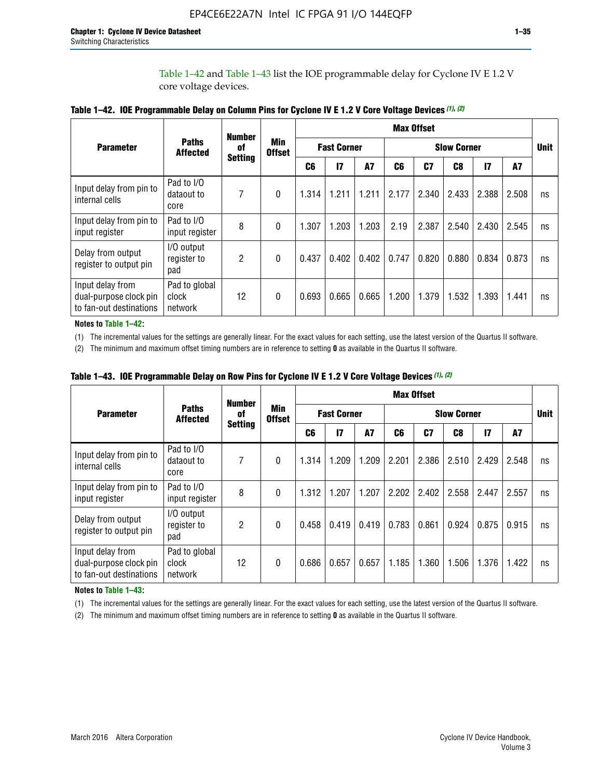Table 1–42 and Table 1–43 list the IOE programmable delay for Cyclone IV E 1.2 V core voltage devices.

|                                                                       |                                   | <b>Number</b>  |                      |                |                    |           |                    | <b>Max Offset</b> |                |               |       |             |
|-----------------------------------------------------------------------|-----------------------------------|----------------|----------------------|----------------|--------------------|-----------|--------------------|-------------------|----------------|---------------|-------|-------------|
| <b>Parameter</b>                                                      | <b>Paths</b><br><b>Affected</b>   | 0f             | Min<br><b>Offset</b> |                | <b>Fast Corner</b> |           | <b>Slow Corner</b> |                   |                |               |       | <b>Unit</b> |
|                                                                       |                                   | <b>Setting</b> |                      | C <sub>6</sub> | 17                 | <b>A7</b> | C6                 | C <sub>7</sub>    | C <sub>8</sub> | $\mathsf{I}7$ | A7    |             |
| Input delay from pin to<br>internal cells                             | Pad to I/O<br>dataout to<br>core  | 7              | 0                    | 1.314          | 1.211              | 1.211     | 2.177              | 2.340             | 2.433          | 2.388         | 2.508 | ns          |
| Input delay from pin to<br>input register                             | Pad to I/O<br>input register      | 8              | $\theta$             | 1.307          | 1.203              | 1.203     | 2.19               | 2.387             | 2.540          | 2.430         | 2.545 | ns          |
| Delay from output<br>register to output pin                           | I/O output<br>register to<br>pad  | $\overline{2}$ | 0                    | 0.437          | 0.402              | 0.402     | 0.747              | 0.820             | 0.880          | 0.834         | 0.873 | ns          |
| Input delay from<br>dual-purpose clock pin<br>to fan-out destinations | Pad to global<br>clock<br>network | 12             | 0                    | 0.693          | 0.665              | 0.665     | 1.200              | 1.379             | 1.532          | 1.393         | 1.441 | ns          |

**Table 1–42. IOE Programmable Delay on Column Pins for Cyclone IV E 1.2 V Core Voltage Devices** *(1)***,** *(2)*

**Notes to Table 1–42:**

(1) The incremental values for the settings are generally linear. For the exact values for each setting, use the latest version of the Quartus II software.

(2) The minimum and maximum offset timing numbers are in reference to setting **0** as available in the Quartus II software.

|                                                                       |                                   | <b>Number</b>  |                      |       |                    |       |                    | <b>Max Offset</b> |       |               |       |    |
|-----------------------------------------------------------------------|-----------------------------------|----------------|----------------------|-------|--------------------|-------|--------------------|-------------------|-------|---------------|-------|----|
| <b>Parameter</b>                                                      | <b>Paths</b><br><b>Affected</b>   | 0f             | Min<br><b>Offset</b> |       | <b>Fast Corner</b> |       | <b>Slow Corner</b> |                   |       |               |       |    |
|                                                                       |                                   | <b>Setting</b> |                      | C6    | 17                 | A7    | C6                 | C7                | C8    | $\mathsf{I}7$ | A7    |    |
| Input delay from pin to<br>internal cells                             | Pad to I/O<br>dataout to<br>core  | 7              | 0                    | 1.314 | 1.209              | 1.209 | 2.201              | 2.386             | 2.510 | 2.429         | 2.548 | ns |
| Input delay from pin to<br>input register                             | Pad to I/O<br>input register      | 8              | $\theta$             | 1.312 | 1.207              | 1.207 | 2.202              | 2.402             | 2.558 | 2.447         | 2.557 | ns |
| Delay from output<br>register to output pin                           | I/O output<br>register to<br>pad  | $\overline{2}$ | 0                    | 0.458 | 0.419              | 0.419 | 0.783              | 0.861             | 0.924 | 0.875         | 0.915 | ns |
| Input delay from<br>dual-purpose clock pin<br>to fan-out destinations | Pad to global<br>clock<br>network | 12             | 0                    | 0.686 | 0.657              | 0.657 | 1.185              | 1.360             | 1.506 | 1.376         | 1.422 | ns |

**Table 1–43. IOE Programmable Delay on Row Pins for Cyclone IV E 1.2 V Core Voltage Devices** *(1)***,** *(2)*

#### **Notes to Table 1–43:**

(1) The incremental values for the settings are generally linear. For the exact values for each setting, use the latest version of the Quartus II software.

(2) The minimum and maximum offset timing numbers are in reference to setting **0** as available in the Quartus II software.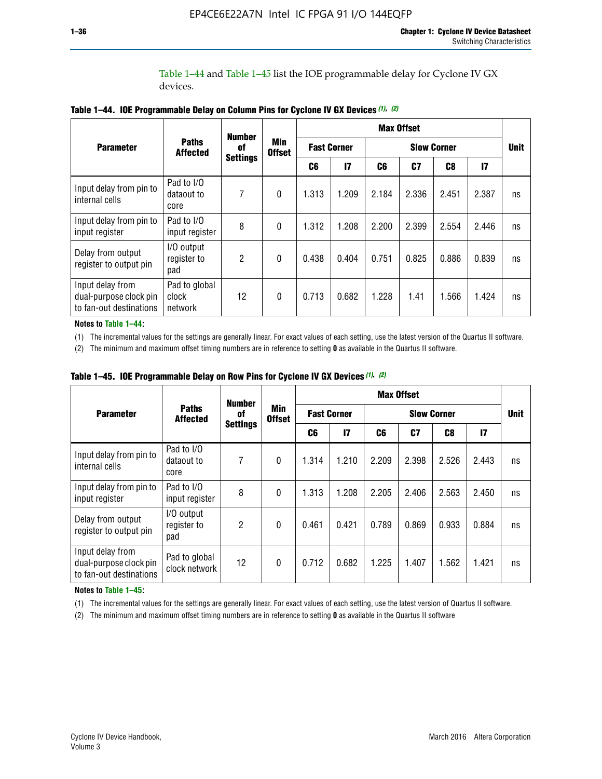Table 1–44 and Table 1–45 list the IOE programmable delay for Cyclone IV GX devices.

|                                                                       |                                   | <b>Number</b>   |                      |       |                    | <b>Max Offset</b> |                    |       |               |             |  |
|-----------------------------------------------------------------------|-----------------------------------|-----------------|----------------------|-------|--------------------|-------------------|--------------------|-------|---------------|-------------|--|
| <b>Parameter</b>                                                      | <b>Paths</b><br><b>Affected</b>   | 0f              | Min<br><b>Offset</b> |       | <b>Fast Corner</b> |                   | <b>Slow Corner</b> |       |               | <b>Unit</b> |  |
|                                                                       |                                   | <b>Settings</b> |                      | C6    | $\overline{17}$    | C6                | C7                 | C8    | $\mathsf{I}7$ |             |  |
| Input delay from pin to<br>internal cells                             | Pad to I/O<br>dataout to<br>core  | 7               | $\mathbf{0}$         | 1.313 | 1.209              | 2.184             | 2.336              | 2.451 | 2.387         | ns          |  |
| Input delay from pin to<br>input register                             | Pad to I/O<br>input register      | 8               | $\theta$             | 1.312 | 1.208              | 2.200             | 2.399              | 2.554 | 2.446         | ns          |  |
| Delay from output<br>register to output pin                           | I/O output<br>register to<br>pad  | 2               | $\Omega$             | 0.438 | 0.404              | 0.751             | 0.825              | 0.886 | 0.839         | ns          |  |
| Input delay from<br>dual-purpose clock pin<br>to fan-out destinations | Pad to global<br>clock<br>network | 12              | $\mathbf{0}$         | 0.713 | 0.682              | 1.228             | 1.41               | 1.566 | 1.424         | ns          |  |

**Table 1–44. IOE Programmable Delay on Column Pins for Cyclone IV GX Devices** *(1)***,** *(2)*

**Notes to Table 1–44:**

(1) The incremental values for the settings are generally linear. For exact values of each setting, use the latest version of the Quartus II software.

(2) The minimum and maximum offset timing numbers are in reference to setting **0** as available in the Quartus II software.

|                                                                       |                                  | <b>Number</b>   |                      |       |                    |       | <b>Max Offset</b> |                    |               |             |  |
|-----------------------------------------------------------------------|----------------------------------|-----------------|----------------------|-------|--------------------|-------|-------------------|--------------------|---------------|-------------|--|
| <b>Parameter</b>                                                      | <b>Paths</b><br><b>Affected</b>  | 0f              | Min<br><b>Offset</b> |       | <b>Fast Corner</b> |       |                   | <b>Slow Corner</b> |               | <b>Unit</b> |  |
|                                                                       |                                  | <b>Settings</b> |                      | C6    | $\mathbf{I}$       | C6    | C7                | C <sub>8</sub>     | $\mathsf{I}7$ |             |  |
| Input delay from pin to<br>internal cells                             | Pad to I/O<br>dataout to<br>core | 7               | 0                    | 1.314 | 1.210              | 2.209 | 2.398             | 2.526              | 2.443         | ns          |  |
| Input delay from pin to<br>input register                             | Pad to I/O<br>input register     | 8               | $\mathbf{0}$         | 1.313 | 1.208              | 2.205 | 2.406             | 2.563              | 2.450         | ns          |  |
| Delay from output<br>register to output pin                           | I/O output<br>register to<br>pad | 2               | $\mathbf{0}$         | 0.461 | 0.421              | 0.789 | 0.869             | 0.933              | 0.884         | ns          |  |
| Input delay from<br>dual-purpose clock pin<br>to fan-out destinations | Pad to global<br>clock network   | 12              | 0                    | 0.712 | 0.682              | 1.225 | 1.407             | 1.562              | 1.421         | ns          |  |

**Table 1–45. IOE Programmable Delay on Row Pins for Cyclone IV GX Devices** *(1)***,** *(2)*

#### **Notes to Table 1–45:**

(1) The incremental values for the settings are generally linear. For exact values of each setting, use the latest version of Quartus II software.

(2) The minimum and maximum offset timing numbers are in reference to setting **0** as available in the Quartus II software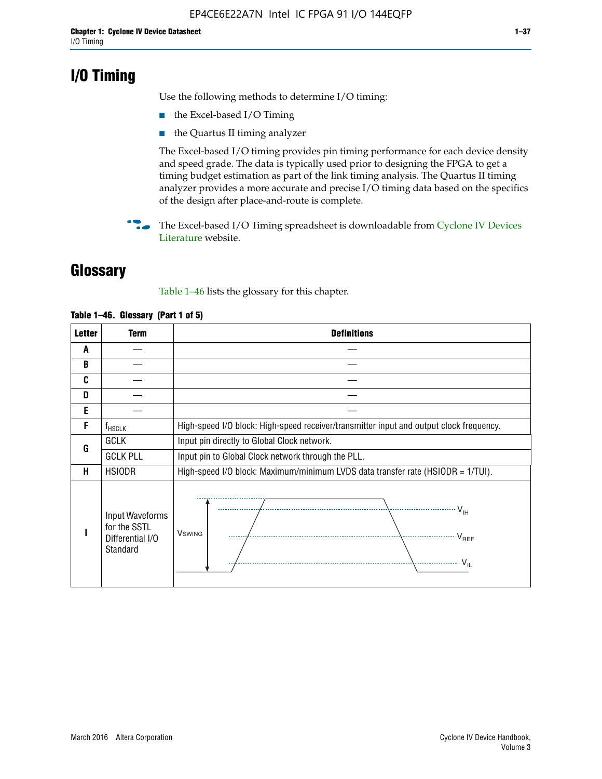## **I/O Timing**

Use the following methods to determine I/O timing:

- the Excel-based I/O Timing
- the Quartus II timing analyzer

The Excel-based I/O timing provides pin timing performance for each device density and speed grade. The data is typically used prior to designing the FPGA to get a timing budget estimation as part of the link timing analysis. The Quartus II timing analyzer provides a more accurate and precise I/O timing data based on the specifics of the design after place-and-route is complete.

**For The Excel-based I/O Timing spreadsheet is downloadable from Cyclone IV Devices** [Literature](http://www.altera.com/literature/lit-cyclone-iv.jsp) website.

## **Glossary**

Table 1–46 lists the glossary for this chapter.

| <b>Letter</b> | <b>Term</b>                                                     | <b>Definitions</b>                                                                                                                               |  |  |  |  |  |  |  |
|---------------|-----------------------------------------------------------------|--------------------------------------------------------------------------------------------------------------------------------------------------|--|--|--|--|--|--|--|
| A             |                                                                 |                                                                                                                                                  |  |  |  |  |  |  |  |
| B             |                                                                 |                                                                                                                                                  |  |  |  |  |  |  |  |
| C             |                                                                 |                                                                                                                                                  |  |  |  |  |  |  |  |
| D             |                                                                 |                                                                                                                                                  |  |  |  |  |  |  |  |
| E             |                                                                 |                                                                                                                                                  |  |  |  |  |  |  |  |
| F             | $f_{\sf HSCLK}$                                                 | High-speed I/O block: High-speed receiver/transmitter input and output clock frequency.                                                          |  |  |  |  |  |  |  |
| G             | <b>GCLK</b>                                                     | Input pin directly to Global Clock network.                                                                                                      |  |  |  |  |  |  |  |
|               | <b>GCLK PLL</b>                                                 | Input pin to Global Clock network through the PLL.                                                                                               |  |  |  |  |  |  |  |
| н             | <b>HSIODR</b>                                                   | High-speed I/O block: Maximum/minimum LVDS data transfer rate (HSIODR = 1/TUI).                                                                  |  |  |  |  |  |  |  |
|               | Input Waveforms<br>for the SSTL<br>Differential I/O<br>Standard | $\frac{1}{\sqrt{1+\frac{1}{2}}}\left\{ \frac{1}{\sqrt{1+\frac{1}{2}}}\right\}$<br><b>V</b> swing<br>$\cdots$ $V_{REF}$<br>\<br>$\sim V_{\rm IL}$ |  |  |  |  |  |  |  |

#### **Table 1–46. Glossary (Part 1 of 5)**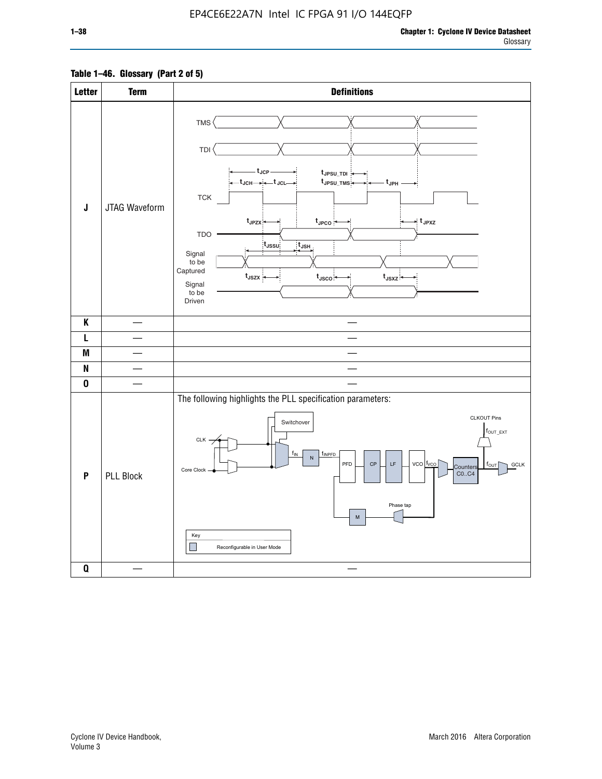### **Table 1–46. Glossary (Part 2 of 5)**

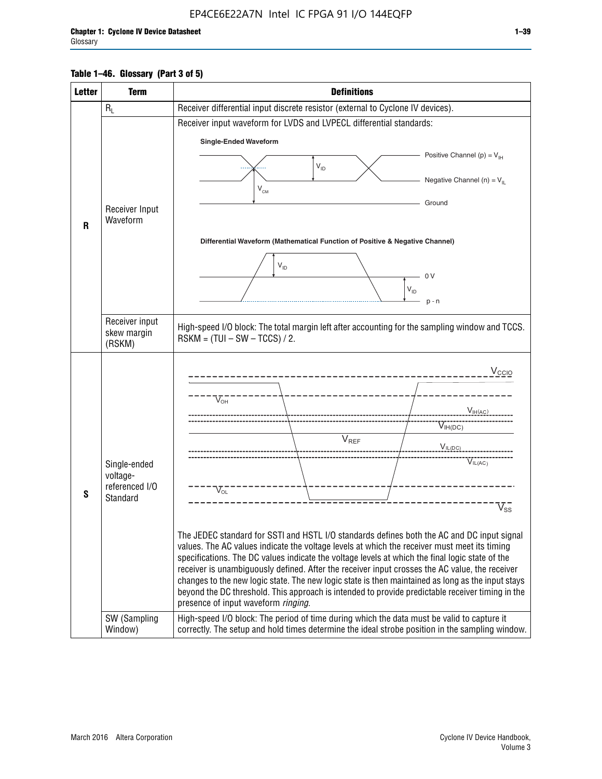#### **Table 1–46. Glossary (Part 3 of 5)**

| <b>Letter</b> | <b>Term</b>              | <b>Definitions</b>                                                                                                                                                                                |  |  |  |  |  |  |  |  |
|---------------|--------------------------|---------------------------------------------------------------------------------------------------------------------------------------------------------------------------------------------------|--|--|--|--|--|--|--|--|
|               | $R_L$                    | Receiver differential input discrete resistor (external to Cyclone IV devices).                                                                                                                   |  |  |  |  |  |  |  |  |
|               |                          | Receiver input waveform for LVDS and LVPECL differential standards:                                                                                                                               |  |  |  |  |  |  |  |  |
|               |                          | <b>Single-Ended Waveform</b>                                                                                                                                                                      |  |  |  |  |  |  |  |  |
|               |                          | Positive Channel (p) = $V_{\text{H}}$                                                                                                                                                             |  |  |  |  |  |  |  |  |
|               |                          | $\mathsf{V}_{\mathsf{ID}}$                                                                                                                                                                        |  |  |  |  |  |  |  |  |
|               |                          | Negative Channel (n) = $V_{\parallel}$<br>$V_{CM}$                                                                                                                                                |  |  |  |  |  |  |  |  |
|               | Receiver Input           | Ground                                                                                                                                                                                            |  |  |  |  |  |  |  |  |
| R             | Waveform                 |                                                                                                                                                                                                   |  |  |  |  |  |  |  |  |
|               |                          | Differential Waveform (Mathematical Function of Positive & Negative Channel)                                                                                                                      |  |  |  |  |  |  |  |  |
|               |                          |                                                                                                                                                                                                   |  |  |  |  |  |  |  |  |
|               |                          | $V_{ID}$<br>0V                                                                                                                                                                                    |  |  |  |  |  |  |  |  |
|               |                          | $V_{ID}$                                                                                                                                                                                          |  |  |  |  |  |  |  |  |
|               |                          | $p - n$                                                                                                                                                                                           |  |  |  |  |  |  |  |  |
|               | Receiver input           |                                                                                                                                                                                                   |  |  |  |  |  |  |  |  |
|               | skew margin              | High-speed I/O block: The total margin left after accounting for the sampling window and TCCS.<br>$RSKM = (TUI - SW - TCCS) / 2.$                                                                 |  |  |  |  |  |  |  |  |
|               | (RSKM)                   |                                                                                                                                                                                                   |  |  |  |  |  |  |  |  |
|               |                          | $V_{CCIO}$                                                                                                                                                                                        |  |  |  |  |  |  |  |  |
|               |                          |                                                                                                                                                                                                   |  |  |  |  |  |  |  |  |
|               |                          | $V_{\text{\tiny OH}}^-$                                                                                                                                                                           |  |  |  |  |  |  |  |  |
|               |                          | $V_{H(AC)}$                                                                                                                                                                                       |  |  |  |  |  |  |  |  |
|               |                          | $V_{IH(DC)}$<br>V <sub>REF</sub>                                                                                                                                                                  |  |  |  |  |  |  |  |  |
|               |                          | $V_{\text{IL(DC)}}$                                                                                                                                                                               |  |  |  |  |  |  |  |  |
|               | Single-ended<br>voltage- | VIL(AC)                                                                                                                                                                                           |  |  |  |  |  |  |  |  |
|               | referenced I/O           | $V_{\text{OL}}$                                                                                                                                                                                   |  |  |  |  |  |  |  |  |
| S             | Standard                 | $\rm V_{ss}^-$                                                                                                                                                                                    |  |  |  |  |  |  |  |  |
|               |                          |                                                                                                                                                                                                   |  |  |  |  |  |  |  |  |
|               |                          | The JEDEC standard for SSTI and HSTL I/O standards defines both the AC and DC input signal                                                                                                        |  |  |  |  |  |  |  |  |
|               |                          | values. The AC values indicate the voltage levels at which the receiver must meet its timing                                                                                                      |  |  |  |  |  |  |  |  |
|               |                          | specifications. The DC values indicate the voltage levels at which the final logic state of the<br>receiver is unambiguously defined. After the receiver input crosses the AC value, the receiver |  |  |  |  |  |  |  |  |
|               |                          | changes to the new logic state. The new logic state is then maintained as long as the input stays                                                                                                 |  |  |  |  |  |  |  |  |
|               |                          | beyond the DC threshold. This approach is intended to provide predictable receiver timing in the<br>presence of input waveform ringing.                                                           |  |  |  |  |  |  |  |  |
|               | SW (Sampling             | High-speed I/O block: The period of time during which the data must be valid to capture it                                                                                                        |  |  |  |  |  |  |  |  |
|               | Window)                  | correctly. The setup and hold times determine the ideal strobe position in the sampling window.                                                                                                   |  |  |  |  |  |  |  |  |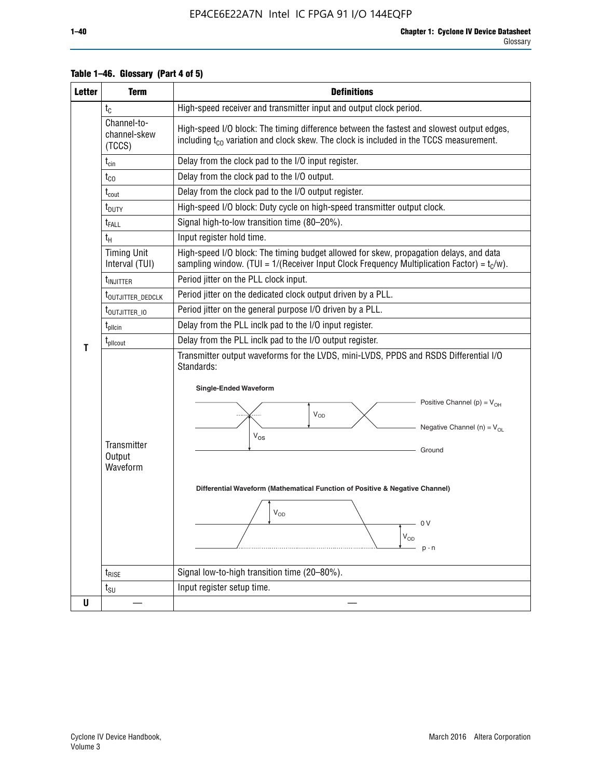| <b>Letter</b> | <b>Term</b>                           | <b>Definitions</b>                                                                                                                                                                                                                                                                                                                                                                        |  |  |  |  |  |  |  |  |
|---------------|---------------------------------------|-------------------------------------------------------------------------------------------------------------------------------------------------------------------------------------------------------------------------------------------------------------------------------------------------------------------------------------------------------------------------------------------|--|--|--|--|--|--|--|--|
|               | $t_{\rm C}$                           | High-speed receiver and transmitter input and output clock period.                                                                                                                                                                                                                                                                                                                        |  |  |  |  |  |  |  |  |
|               | Channel-to-<br>channel-skew<br>(TCCS) | High-speed I/O block: The timing difference between the fastest and slowest output edges,<br>including $t_{c0}$ variation and clock skew. The clock is included in the TCCS measurement.                                                                                                                                                                                                  |  |  |  |  |  |  |  |  |
|               | $t_{\mathsf{cin}}$                    | Delay from the clock pad to the I/O input register.                                                                                                                                                                                                                                                                                                                                       |  |  |  |  |  |  |  |  |
|               | $t_{CO}$                              | Delay from the clock pad to the I/O output.                                                                                                                                                                                                                                                                                                                                               |  |  |  |  |  |  |  |  |
|               | $t_{\text{cout}}$                     | Delay from the clock pad to the I/O output register.                                                                                                                                                                                                                                                                                                                                      |  |  |  |  |  |  |  |  |
|               | t <sub>DUTY</sub>                     | High-speed I/O block: Duty cycle on high-speed transmitter output clock.                                                                                                                                                                                                                                                                                                                  |  |  |  |  |  |  |  |  |
|               | $t_{FALL}$                            | Signal high-to-low transition time (80-20%).                                                                                                                                                                                                                                                                                                                                              |  |  |  |  |  |  |  |  |
|               | $t_{H}$                               | Input register hold time.                                                                                                                                                                                                                                                                                                                                                                 |  |  |  |  |  |  |  |  |
|               | <b>Timing Unit</b><br>Interval (TUI)  | High-speed I/O block: The timing budget allowed for skew, propagation delays, and data<br>sampling window. (TUI = $1/($ Receiver Input Clock Frequency Multiplication Factor) = $tC/w$ ).                                                                                                                                                                                                 |  |  |  |  |  |  |  |  |
|               | t <sub>INJITTER</sub>                 | Period jitter on the PLL clock input.                                                                                                                                                                                                                                                                                                                                                     |  |  |  |  |  |  |  |  |
|               | t <sub>outjitter_dedclk</sub>         | Period jitter on the dedicated clock output driven by a PLL.                                                                                                                                                                                                                                                                                                                              |  |  |  |  |  |  |  |  |
|               | t <sub>outjitter_io</sub>             | Period jitter on the general purpose I/O driven by a PLL.                                                                                                                                                                                                                                                                                                                                 |  |  |  |  |  |  |  |  |
|               | $t_{\sf pllcin}$                      | Delay from the PLL inclk pad to the I/O input register.                                                                                                                                                                                                                                                                                                                                   |  |  |  |  |  |  |  |  |
| Τ             | t <sub>plicout</sub>                  | Delay from the PLL inclk pad to the I/O output register.                                                                                                                                                                                                                                                                                                                                  |  |  |  |  |  |  |  |  |
|               | Transmitter<br>Output<br>Waveform     | Transmitter output waveforms for the LVDS, mini-LVDS, PPDS and RSDS Differential I/O<br>Standards:<br><b>Single-Ended Waveform</b><br>Positive Channel (p) = $V_{OH}$<br><b>V<sub>OD</sub></b><br>Negative Channel (n) = $V_{OL}$<br>$\rm V_{OS}$<br>Ground<br>Differential Waveform (Mathematical Function of Positive & Negative Channel)<br>$V_{OD}$<br>0 V<br>$\rm V_{OD}$<br>$p - n$ |  |  |  |  |  |  |  |  |
|               | $t_{\text{RISE}}$                     | Signal low-to-high transition time (20-80%).                                                                                                                                                                                                                                                                                                                                              |  |  |  |  |  |  |  |  |
|               | $t_{\scriptstyle\text{SU}}$           | Input register setup time.                                                                                                                                                                                                                                                                                                                                                                |  |  |  |  |  |  |  |  |
| U             |                                       |                                                                                                                                                                                                                                                                                                                                                                                           |  |  |  |  |  |  |  |  |

#### **Table 1–46. Glossary (Part 4 of 5)**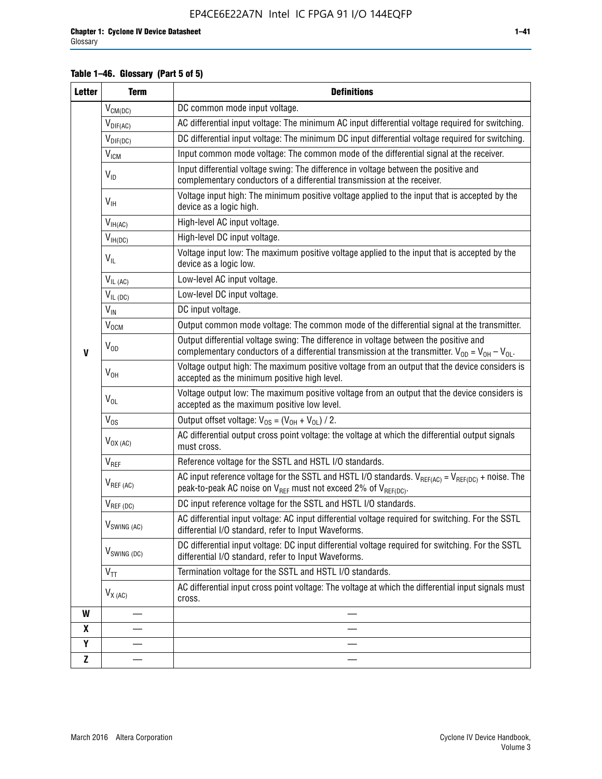#### **Table 1–46. Glossary (Part 5 of 5)**

| <b>Letter</b> | <b>Term</b>             | <b>Definitions</b>                                                                                                                                                                                |
|---------------|-------------------------|---------------------------------------------------------------------------------------------------------------------------------------------------------------------------------------------------|
|               | $V_{CM(DC)}$            | DC common mode input voltage.                                                                                                                                                                     |
|               | $V_{DIF(AC)}$           | AC differential input voltage: The minimum AC input differential voltage required for switching.                                                                                                  |
|               | $V_{DIF(DC)}$           | DC differential input voltage: The minimum DC input differential voltage required for switching.                                                                                                  |
|               | V <sub>ICM</sub>        | Input common mode voltage: The common mode of the differential signal at the receiver.                                                                                                            |
|               | $V_{ID}$                | Input differential voltage swing: The difference in voltage between the positive and<br>complementary conductors of a differential transmission at the receiver.                                  |
|               | $V_{\text{IH}}$         | Voltage input high: The minimum positive voltage applied to the input that is accepted by the<br>device as a logic high.                                                                          |
|               | $V_{IH(AC)}$            | High-level AC input voltage.                                                                                                                                                                      |
|               | $V_{IH(DC)}$            | High-level DC input voltage.                                                                                                                                                                      |
|               | $V_{IL}$                | Voltage input low: The maximum positive voltage applied to the input that is accepted by the<br>device as a logic low.                                                                            |
|               | $V_{IL(AC)}$            | Low-level AC input voltage.                                                                                                                                                                       |
|               | $V_{IL(DC)}$            | Low-level DC input voltage.                                                                                                                                                                       |
|               | $V_{\text{IN}}$         | DC input voltage.                                                                                                                                                                                 |
|               | $V_{OCM}$               | Output common mode voltage: The common mode of the differential signal at the transmitter.                                                                                                        |
| $\mathbf{V}$  | $V_{OD}$                | Output differential voltage swing: The difference in voltage between the positive and<br>complementary conductors of a differential transmission at the transmitter. $V_{OD} = V_{OH} - V_{OL}$ . |
|               | $V_{OH}$                | Voltage output high: The maximum positive voltage from an output that the device considers is<br>accepted as the minimum positive high level.                                                     |
|               | $V_{OL}$                | Voltage output low: The maximum positive voltage from an output that the device considers is<br>accepted as the maximum positive low level.                                                       |
|               | $V_{OS}$                | Output offset voltage: $V_{OS} = (V_{OH} + V_{OL}) / 2$ .                                                                                                                                         |
|               | $V_{OX (AC)}$           | AC differential output cross point voltage: the voltage at which the differential output signals<br>must cross.                                                                                   |
|               | V <sub>REF</sub>        | Reference voltage for the SSTL and HSTL I/O standards.                                                                                                                                            |
|               | $V_{REF\,(AC)}$         | AC input reference voltage for the SSTL and HSTL I/O standards. $V_{REF(AC)} = V_{REF(DC)} +$ noise. The<br>peak-to-peak AC noise on $V_{REF}$ must not exceed 2% of $V_{REF(DC)}$ .              |
|               | $V_{REF(DC)}$           | DC input reference voltage for the SSTL and HSTL I/O standards.                                                                                                                                   |
|               | $V_{\text{SWING (AC)}}$ | AC differential input voltage: AC input differential voltage required for switching. For the SSTL<br>differential I/O standard, refer to Input Waveforms.                                         |
|               | $V_{SWING (DC)}$        | DC differential input voltage: DC input differential voltage required for switching. For the SSTL<br>differential I/O standard, refer to Input Waveforms.                                         |
|               | $V_{TT}$                | Termination voltage for the SSTL and HSTL I/O standards.                                                                                                                                          |
|               | $V_{X(AC)}$             | AC differential input cross point voltage: The voltage at which the differential input signals must<br>cross.                                                                                     |
| W             |                         |                                                                                                                                                                                                   |
| X             |                         |                                                                                                                                                                                                   |
| Υ             |                         |                                                                                                                                                                                                   |
| Z             |                         |                                                                                                                                                                                                   |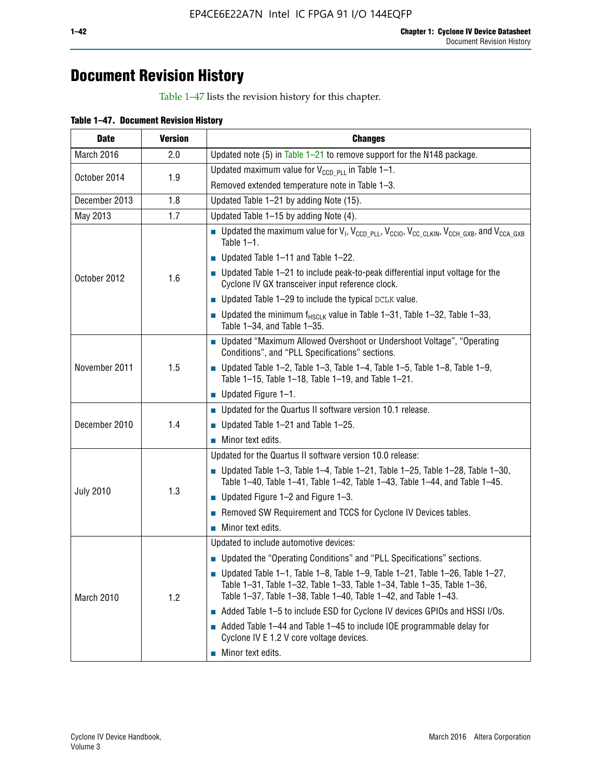## **Document Revision History**

Table 1–47 lists the revision history for this chapter.

| <b>Date</b>      | <b>Version</b> | <b>Changes</b>                                                                                                                                                                                                                            |
|------------------|----------------|-------------------------------------------------------------------------------------------------------------------------------------------------------------------------------------------------------------------------------------------|
| March 2016       | 2.0            | Updated note (5) in Table $1-21$ to remove support for the N148 package.                                                                                                                                                                  |
| October 2014     | 1.9            | Updated maximum value for $V_{CCD, PL}$ in Table 1-1.                                                                                                                                                                                     |
|                  |                | Removed extended temperature note in Table 1-3.                                                                                                                                                                                           |
| December 2013    | 1.8            | Updated Table 1-21 by adding Note (15).                                                                                                                                                                                                   |
| May 2013         | 1.7            | Updated Table 1-15 by adding Note (4).                                                                                                                                                                                                    |
| October 2012     | 1.6            | <b>D</b> Updated the maximum value for $V_1$ , $V_{CCD\_PLL}$ , $V_{CC10}$ , $V_{CC\_CLKIN}$ , $V_{CCH\_GXB}$ , and $V_{CCA\_GXB}$<br>Table $1-1$ .                                                                                       |
|                  |                | $\blacksquare$ Updated Table 1-11 and Table 1-22.                                                                                                                                                                                         |
|                  |                | $\blacksquare$ Updated Table 1-21 to include peak-to-peak differential input voltage for the<br>Cyclone IV GX transceiver input reference clock.                                                                                          |
|                  |                | $\blacksquare$ Updated Table 1-29 to include the typical DCLK value.                                                                                                                                                                      |
|                  |                | <b>Updated the minimum f<sub>HSCLK</sub></b> value in Table 1-31, Table 1-32, Table 1-33,<br>Table 1-34, and Table 1-35.                                                                                                                  |
| November 2011    | 1.5            | • Updated "Maximum Allowed Overshoot or Undershoot Voltage", "Operating<br>Conditions", and "PLL Specifications" sections.                                                                                                                |
|                  |                | ■ Updated Table 1-2, Table 1-3, Table 1-4, Table 1-5, Table 1-8, Table 1-9,<br>Table 1-15, Table 1-18, Table 1-19, and Table 1-21.                                                                                                        |
|                  |                | ■ Updated Figure $1-1$ .                                                                                                                                                                                                                  |
|                  | 1.4            | Updated for the Quartus II software version 10.1 release.                                                                                                                                                                                 |
| December 2010    |                | $\blacksquare$ Updated Table 1-21 and Table 1-25.                                                                                                                                                                                         |
|                  |                | $\blacksquare$ Minor text edits.                                                                                                                                                                                                          |
|                  | 1.3            | Updated for the Quartus II software version 10.0 release:                                                                                                                                                                                 |
|                  |                | Updated Table 1-3, Table 1-4, Table 1-21, Table 1-25, Table 1-28, Table 1-30,<br>Table 1-40, Table 1-41, Table 1-42, Table 1-43, Table 1-44, and Table 1-45.                                                                              |
| <b>July 2010</b> |                | ■ Updated Figure $1-2$ and Figure $1-3$ .                                                                                                                                                                                                 |
|                  |                | Removed SW Requirement and TCCS for Cyclone IV Devices tables.                                                                                                                                                                            |
|                  |                | $\blacksquare$ Minor text edits.                                                                                                                                                                                                          |
|                  | 1.2            | Updated to include automotive devices:                                                                                                                                                                                                    |
| March 2010       |                | • Updated the "Operating Conditions" and "PLL Specifications" sections.                                                                                                                                                                   |
|                  |                | $\blacksquare$ Updated Table 1-1, Table 1-8, Table 1-9, Table 1-21, Table 1-26, Table 1-27,<br>Table 1-31, Table 1-32, Table 1-33, Table 1-34, Table 1-35, Table 1-36,<br>Table 1-37, Table 1-38, Table 1-40, Table 1-42, and Table 1-43. |
|                  |                | Added Table 1-5 to include ESD for Cyclone IV devices GPIOs and HSSI I/Os.                                                                                                                                                                |
|                  |                | Added Table 1-44 and Table 1-45 to include IOE programmable delay for<br>Cyclone IV E 1.2 V core voltage devices.                                                                                                                         |
|                  |                | Minor text edits.                                                                                                                                                                                                                         |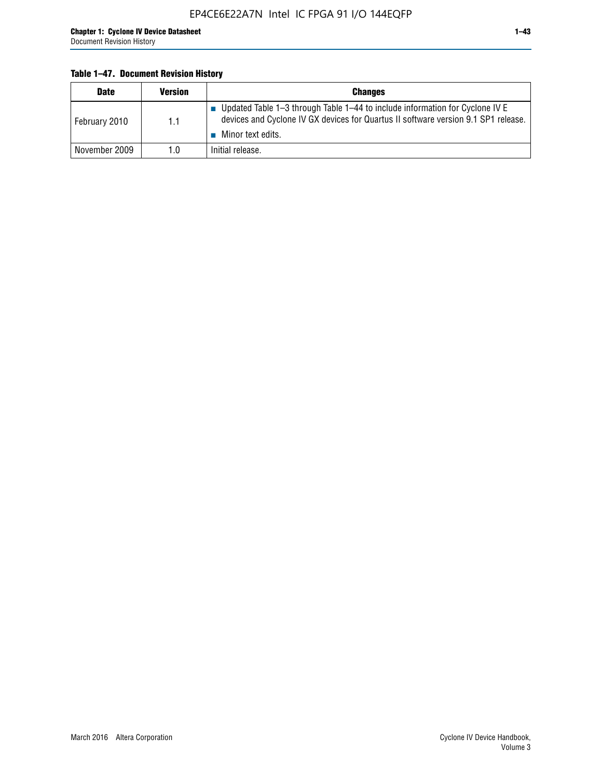#### **Table 1–47. Document Revision History**

| <b>Date</b>   | <b>Version</b> | <b>Changes</b>                                                                                                                                                                          |
|---------------|----------------|-----------------------------------------------------------------------------------------------------------------------------------------------------------------------------------------|
| February 2010 | 1.1            | Updated Table 1-3 through Table 1-44 to include information for Cyclone IV E<br>devices and Cyclone IV GX devices for Quartus II software version 9.1 SP1 release.<br>Minor text edits. |
| November 2009 | 1.0            | Initial release.                                                                                                                                                                        |